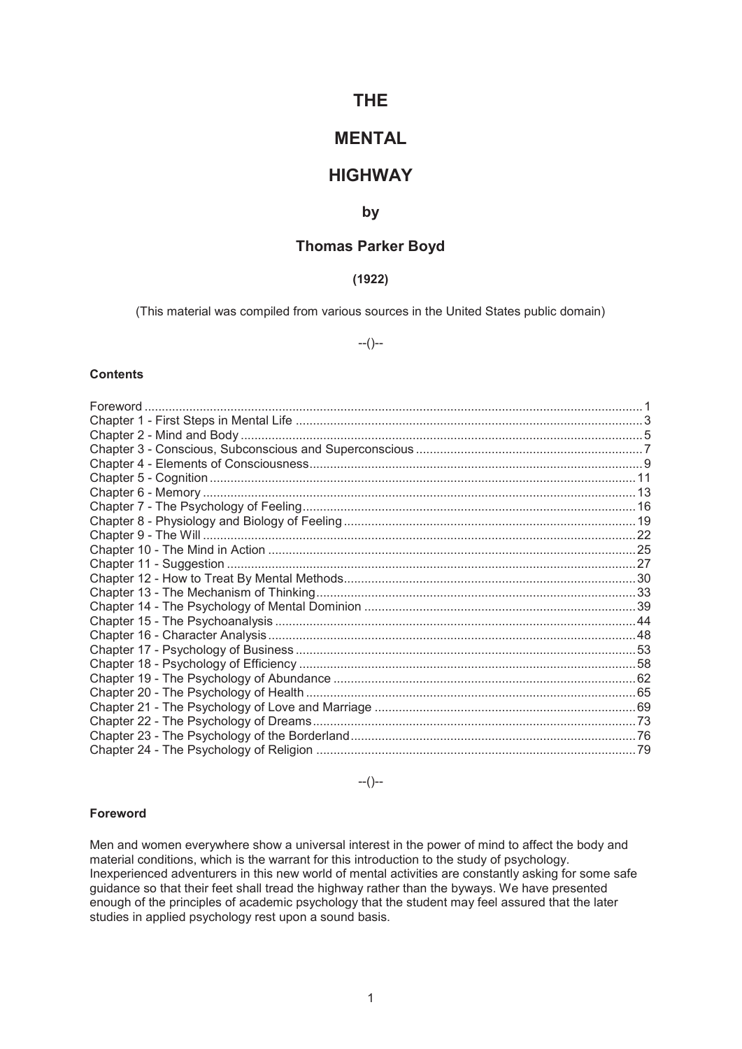# **THE**

# **MENTAL**

# **HIGHWAY**

# **by**

# **Thomas Parker Boyd**

# **(1922)**

(This material was compiled from various sources in the United States public domain)

--()--

#### **Contents**

--()--

## **Foreword**

Men and women everywhere show a universal interest in the power of mind to affect the body and material conditions, which is the warrant for this introduction to the study of psychology. Inexperienced adventurers in this new world of mental activities are constantly asking for some safe guidance so that their feet shall tread the highway rather than the byways. We have presented enough of the principles of academic psychology that the student may feel assured that the later studies in applied psychology rest upon a sound basis.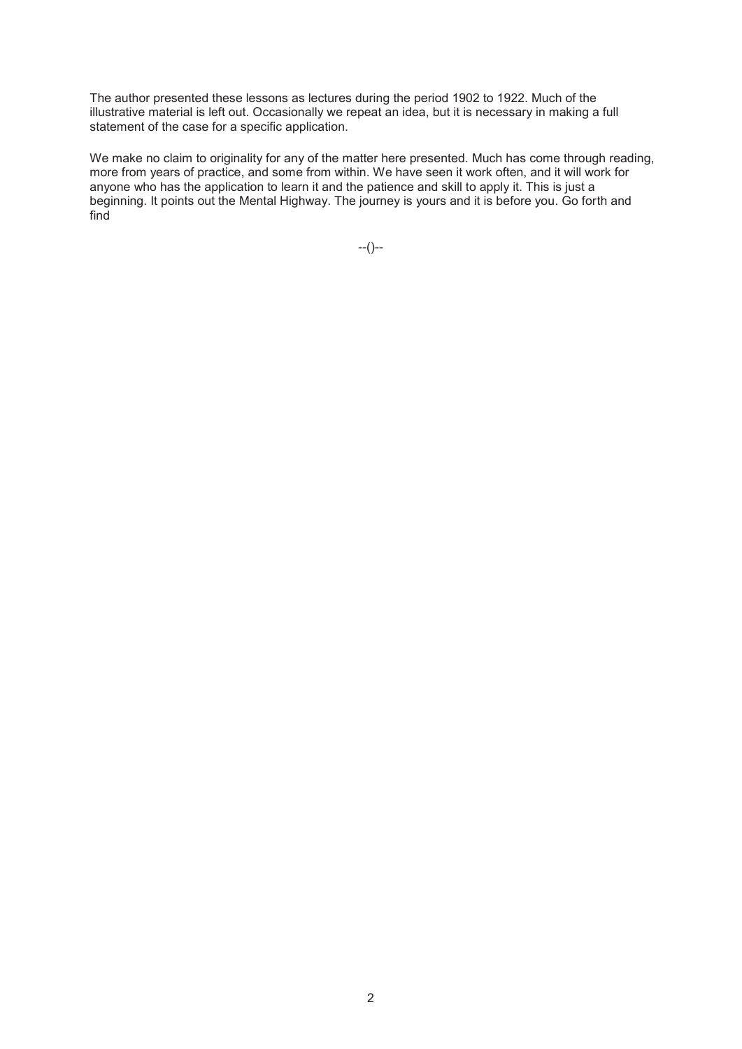The author presented these lessons as lectures during the period 1902 to 1922. Much of the illustrative material is left out. Occasionally we repeat an idea, but it is necessary in making a full statement of the case for a specific application.

We make no claim to originality for any of the matter here presented. Much has come through reading, more from years of practice, and some from within. We have seen it work often, and it will work for anyone who has the application to learn it and the patience and skill to apply it. This is just a beginning. It points out the Mental Highway. The journey is yours and it is before you. Go forth and find

 $-(-)$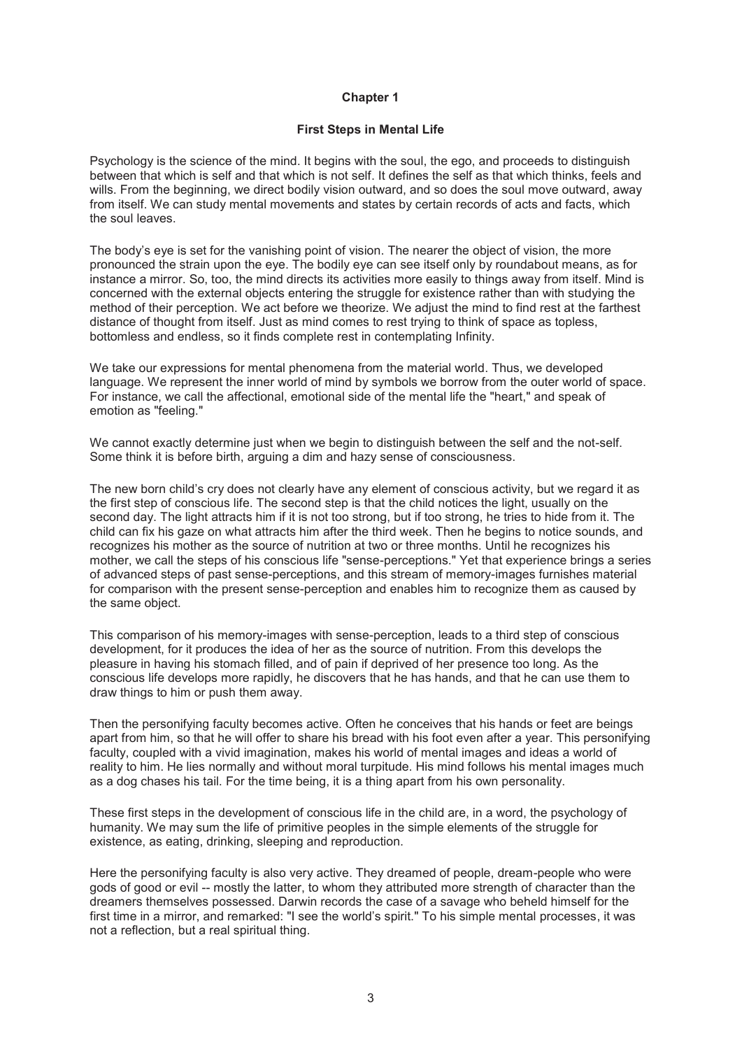#### **First Steps in Mental Life**

Psychology is the science of the mind. It begins with the soul, the ego, and proceeds to distinguish between that which is self and that which is not self. It defines the self as that which thinks, feels and wills. From the beginning, we direct bodily vision outward, and so does the soul move outward, away from itself. We can study mental movements and states by certain records of acts and facts, which the soul leaves.

The body's eye is set for the vanishing point of vision. The nearer the object of vision, the more pronounced the strain upon the eye. The bodily eye can see itself only by roundabout means, as for instance a mirror. So, too, the mind directs its activities more easily to things away from itself. Mind is concerned with the external objects entering the struggle for existence rather than with studying the method of their perception. We act before we theorize. We adjust the mind to find rest at the farthest distance of thought from itself. Just as mind comes to rest trying to think of space as topless, bottomless and endless, so it finds complete rest in contemplating Infinity.

We take our expressions for mental phenomena from the material world. Thus, we developed language. We represent the inner world of mind by symbols we borrow from the outer world of space. For instance, we call the affectional, emotional side of the mental life the "heart," and speak of emotion as "feeling."

We cannot exactly determine just when we begin to distinguish between the self and the not-self. Some think it is before birth, arguing a dim and hazy sense of consciousness.

The new born child's cry does not clearly have any element of conscious activity, but we regard it as the first step of conscious life. The second step is that the child notices the light, usually on the second day. The light attracts him if it is not too strong, but if too strong, he tries to hide from it. The child can fix his gaze on what attracts him after the third week. Then he begins to notice sounds, and recognizes his mother as the source of nutrition at two or three months. Until he recognizes his mother, we call the steps of his conscious life "sense-perceptions." Yet that experience brings a series of advanced steps of past sense-perceptions, and this stream of memory-images furnishes material for comparison with the present sense-perception and enables him to recognize them as caused by the same object.

This comparison of his memory-images with sense-perception, leads to a third step of conscious development, for it produces the idea of her as the source of nutrition. From this develops the pleasure in having his stomach filled, and of pain if deprived of her presence too long. As the conscious life develops more rapidly, he discovers that he has hands, and that he can use them to draw things to him or push them away.

Then the personifying faculty becomes active. Often he conceives that his hands or feet are beings apart from him, so that he will offer to share his bread with his foot even after a year. This personifying faculty, coupled with a vivid imagination, makes his world of mental images and ideas a world of reality to him. He lies normally and without moral turpitude. His mind follows his mental images much as a dog chases his tail. For the time being, it is a thing apart from his own personality.

These first steps in the development of conscious life in the child are, in a word, the psychology of humanity. We may sum the life of primitive peoples in the simple elements of the struggle for existence, as eating, drinking, sleeping and reproduction.

Here the personifying faculty is also very active. They dreamed of people, dream-people who were gods of good or evil -- mostly the latter, to whom they attributed more strength of character than the dreamers themselves possessed. Darwin records the case of a savage who beheld himself for the first time in a mirror, and remarked: "I see the world's spirit." To his simple mental processes, it was not a reflection, but a real spiritual thing.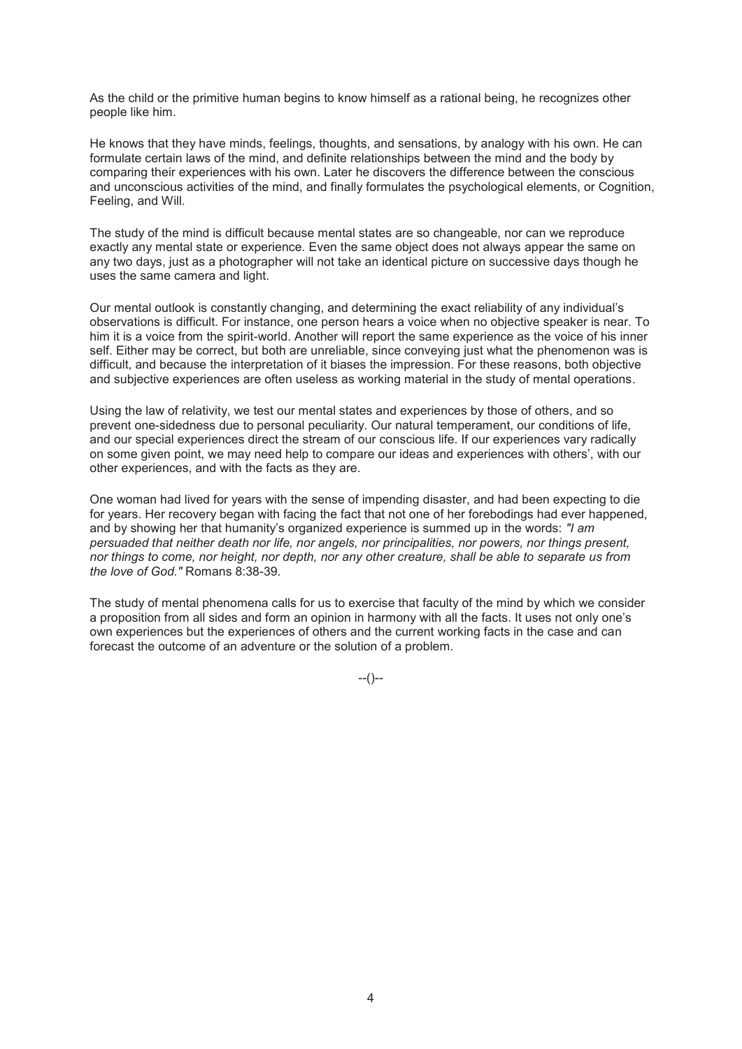As the child or the primitive human begins to know himself as a rational being, he recognizes other people like him.

He knows that they have minds, feelings, thoughts, and sensations, by analogy with his own. He can formulate certain laws of the mind, and definite relationships between the mind and the body by comparing their experiences with his own. Later he discovers the difference between the conscious and unconscious activities of the mind, and finally formulates the psychological elements, or Cognition, Feeling, and Will.

The study of the mind is difficult because mental states are so changeable, nor can we reproduce exactly any mental state or experience. Even the same object does not always appear the same on any two days, just as a photographer will not take an identical picture on successive days though he uses the same camera and light.

Our mental outlook is constantly changing, and determining the exact reliability of any individual's observations is difficult. For instance, one person hears a voice when no objective speaker is near. To him it is a voice from the spirit-world. Another will report the same experience as the voice of his inner self. Either may be correct, but both are unreliable, since conveying just what the phenomenon was is difficult, and because the interpretation of it biases the impression. For these reasons, both objective and subjective experiences are often useless as working material in the study of mental operations.

Using the law of relativity, we test our mental states and experiences by those of others, and so prevent one-sidedness due to personal peculiarity. Our natural temperament, our conditions of life, and our special experiences direct the stream of our conscious life. If our experiences vary radically on some given point, we may need help to compare our ideas and experiences with others', with our other experiences, and with the facts as they are.

One woman had lived for years with the sense of impending disaster, and had been expecting to die for years. Her recovery began with facing the fact that not one of her forebodings had ever happened, and by showing her that humanity's organized experience is summed up in the words: *"I am persuaded that neither death nor life, nor angels, nor principalities, nor powers, nor things present, nor things to come, nor height, nor depth, nor any other creature, shall be able to separate us from the love of God."* Romans 8:38-39.

The study of mental phenomena calls for us to exercise that faculty of the mind by which we consider a proposition from all sides and form an opinion in harmony with all the facts. It uses not only one's own experiences but the experiences of others and the current working facts in the case and can forecast the outcome of an adventure or the solution of a problem.

 $-(-)$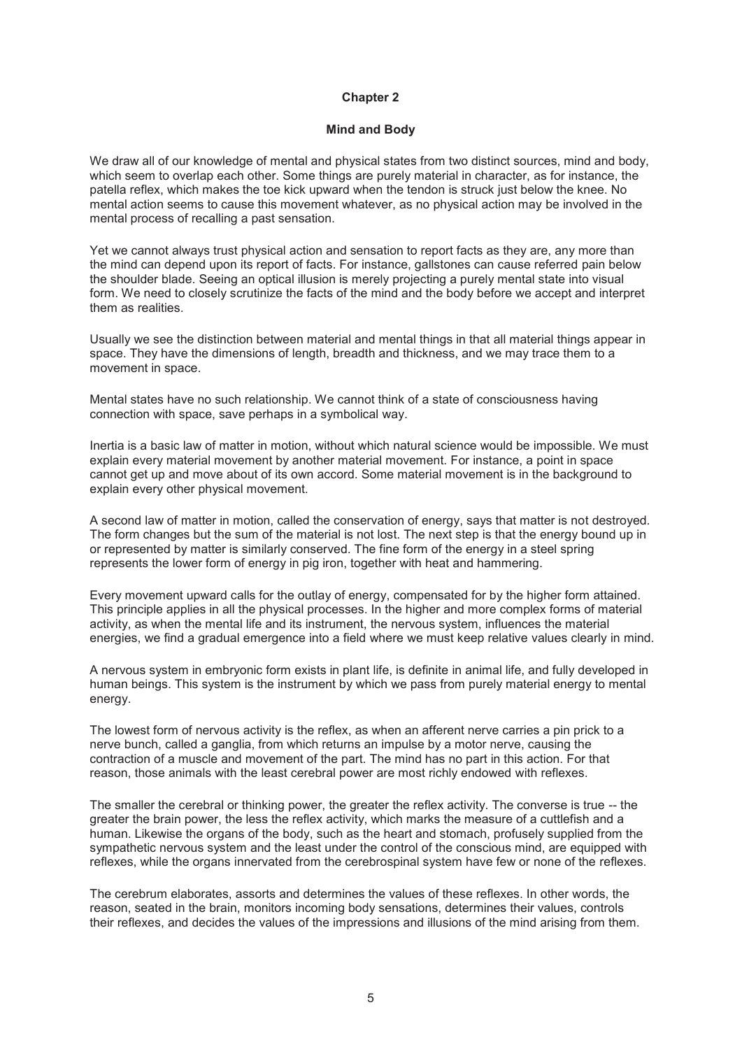#### **Mind and Body**

We draw all of our knowledge of mental and physical states from two distinct sources, mind and body, which seem to overlap each other. Some things are purely material in character, as for instance, the patella reflex, which makes the toe kick upward when the tendon is struck just below the knee. No mental action seems to cause this movement whatever, as no physical action may be involved in the mental process of recalling a past sensation.

Yet we cannot always trust physical action and sensation to report facts as they are, any more than the mind can depend upon its report of facts. For instance, gallstones can cause referred pain below the shoulder blade. Seeing an optical illusion is merely projecting a purely mental state into visual form. We need to closely scrutinize the facts of the mind and the body before we accept and interpret them as realities.

Usually we see the distinction between material and mental things in that all material things appear in space. They have the dimensions of length, breadth and thickness, and we may trace them to a movement in space.

Mental states have no such relationship. We cannot think of a state of consciousness having connection with space, save perhaps in a symbolical way.

Inertia is a basic law of matter in motion, without which natural science would be impossible. We must explain every material movement by another material movement. For instance, a point in space cannot get up and move about of its own accord. Some material movement is in the background to explain every other physical movement.

A second law of matter in motion, called the conservation of energy, says that matter is not destroyed. The form changes but the sum of the material is not lost. The next step is that the energy bound up in or represented by matter is similarly conserved. The fine form of the energy in a steel spring represents the lower form of energy in pig iron, together with heat and hammering.

Every movement upward calls for the outlay of energy, compensated for by the higher form attained. This principle applies in all the physical processes. In the higher and more complex forms of material activity, as when the mental life and its instrument, the nervous system, influences the material energies, we find a gradual emergence into a field where we must keep relative values clearly in mind.

A nervous system in embryonic form exists in plant life, is definite in animal life, and fully developed in human beings. This system is the instrument by which we pass from purely material energy to mental energy.

The lowest form of nervous activity is the reflex, as when an afferent nerve carries a pin prick to a nerve bunch, called a ganglia, from which returns an impulse by a motor nerve, causing the contraction of a muscle and movement of the part. The mind has no part in this action. For that reason, those animals with the least cerebral power are most richly endowed with reflexes.

The smaller the cerebral or thinking power, the greater the reflex activity. The converse is true -- the greater the brain power, the less the reflex activity, which marks the measure of a cuttlefish and a human. Likewise the organs of the body, such as the heart and stomach, profusely supplied from the sympathetic nervous system and the least under the control of the conscious mind, are equipped with reflexes, while the organs innervated from the cerebrospinal system have few or none of the reflexes.

The cerebrum elaborates, assorts and determines the values of these reflexes. In other words, the reason, seated in the brain, monitors incoming body sensations, determines their values, controls their reflexes, and decides the values of the impressions and illusions of the mind arising from them.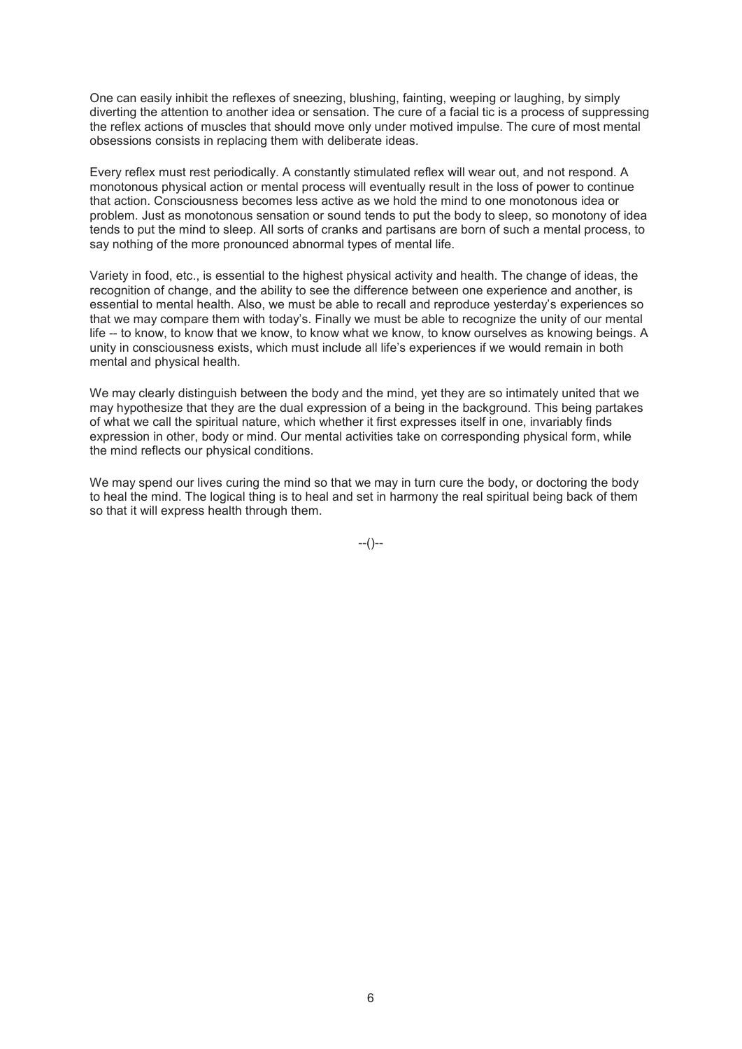One can easily inhibit the reflexes of sneezing, blushing, fainting, weeping or laughing, by simply diverting the attention to another idea or sensation. The cure of a facial tic is a process of suppressing the reflex actions of muscles that should move only under motived impulse. The cure of most mental obsessions consists in replacing them with deliberate ideas.

Every reflex must rest periodically. A constantly stimulated reflex will wear out, and not respond. A monotonous physical action or mental process will eventually result in the loss of power to continue that action. Consciousness becomes less active as we hold the mind to one monotonous idea or problem. Just as monotonous sensation or sound tends to put the body to sleep, so monotony of idea tends to put the mind to sleep. All sorts of cranks and partisans are born of such a mental process, to say nothing of the more pronounced abnormal types of mental life.

Variety in food, etc., is essential to the highest physical activity and health. The change of ideas, the recognition of change, and the ability to see the difference between one experience and another, is essential to mental health. Also, we must be able to recall and reproduce yesterday's experiences so that we may compare them with today's. Finally we must be able to recognize the unity of our mental life -- to know, to know that we know, to know what we know, to know ourselves as knowing beings. A unity in consciousness exists, which must include all life's experiences if we would remain in both mental and physical health.

We may clearly distinguish between the body and the mind, yet they are so intimately united that we may hypothesize that they are the dual expression of a being in the background. This being partakes of what we call the spiritual nature, which whether it first expresses itself in one, invariably finds expression in other, body or mind. Our mental activities take on corresponding physical form, while the mind reflects our physical conditions.

We may spend our lives curing the mind so that we may in turn cure the body, or doctoring the body to heal the mind. The logical thing is to heal and set in harmony the real spiritual being back of them so that it will express health through them.

--()--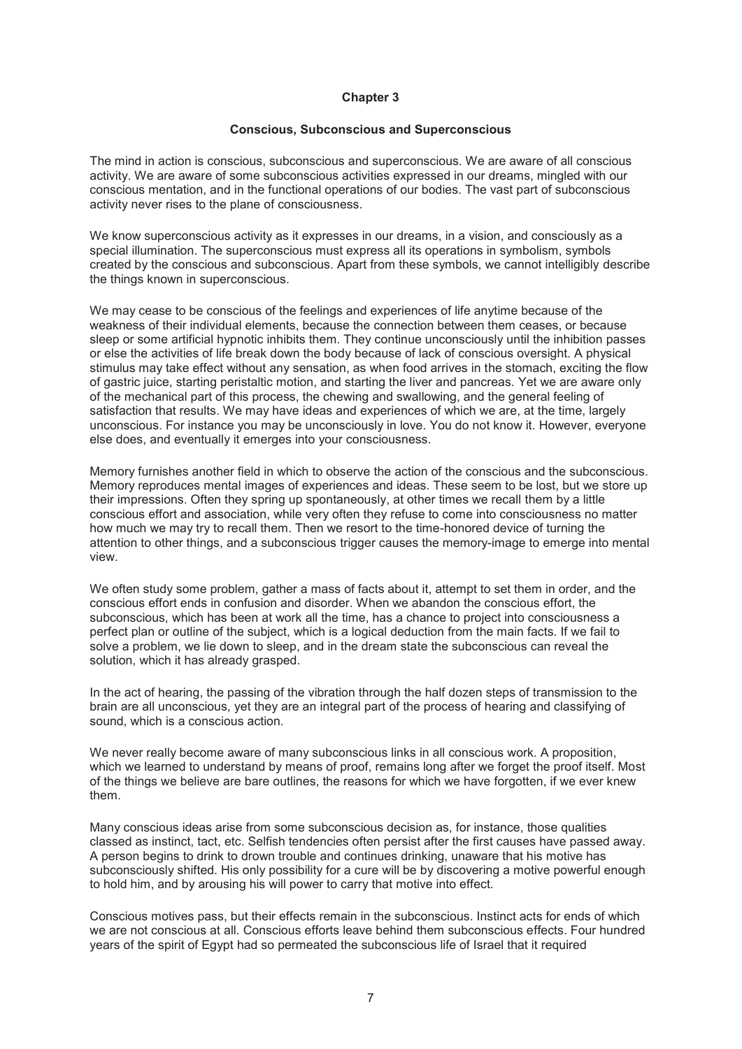#### **Conscious, Subconscious and Superconscious**

The mind in action is conscious, subconscious and superconscious. We are aware of all conscious activity. We are aware of some subconscious activities expressed in our dreams, mingled with our conscious mentation, and in the functional operations of our bodies. The vast part of subconscious activity never rises to the plane of consciousness.

We know superconscious activity as it expresses in our dreams, in a vision, and consciously as a special illumination. The superconscious must express all its operations in symbolism, symbols created by the conscious and subconscious. Apart from these symbols, we cannot intelligibly describe the things known in superconscious.

We may cease to be conscious of the feelings and experiences of life anytime because of the weakness of their individual elements, because the connection between them ceases, or because sleep or some artificial hypnotic inhibits them. They continue unconsciously until the inhibition passes or else the activities of life break down the body because of lack of conscious oversight. A physical stimulus may take effect without any sensation, as when food arrives in the stomach, exciting the flow of gastric juice, starting peristaltic motion, and starting the liver and pancreas. Yet we are aware only of the mechanical part of this process, the chewing and swallowing, and the general feeling of satisfaction that results. We may have ideas and experiences of which we are, at the time, largely unconscious. For instance you may be unconsciously in love. You do not know it. However, everyone else does, and eventually it emerges into your consciousness.

Memory furnishes another field in which to observe the action of the conscious and the subconscious. Memory reproduces mental images of experiences and ideas. These seem to be lost, but we store up their impressions. Often they spring up spontaneously, at other times we recall them by a little conscious effort and association, while very often they refuse to come into consciousness no matter how much we may try to recall them. Then we resort to the time-honored device of turning the attention to other things, and a subconscious trigger causes the memory-image to emerge into mental view.

We often study some problem, gather a mass of facts about it, attempt to set them in order, and the conscious effort ends in confusion and disorder. When we abandon the conscious effort, the subconscious, which has been at work all the time, has a chance to project into consciousness a perfect plan or outline of the subject, which is a logical deduction from the main facts. If we fail to solve a problem, we lie down to sleep, and in the dream state the subconscious can reveal the solution, which it has already grasped.

In the act of hearing, the passing of the vibration through the half dozen steps of transmission to the brain are all unconscious, yet they are an integral part of the process of hearing and classifying of sound, which is a conscious action.

We never really become aware of many subconscious links in all conscious work. A proposition, which we learned to understand by means of proof, remains long after we forget the proof itself. Most of the things we believe are bare outlines, the reasons for which we have forgotten, if we ever knew them.

Many conscious ideas arise from some subconscious decision as, for instance, those qualities classed as instinct, tact, etc. Selfish tendencies often persist after the first causes have passed away. A person begins to drink to drown trouble and continues drinking, unaware that his motive has subconsciously shifted. His only possibility for a cure will be by discovering a motive powerful enough to hold him, and by arousing his will power to carry that motive into effect.

Conscious motives pass, but their effects remain in the subconscious. Instinct acts for ends of which we are not conscious at all. Conscious efforts leave behind them subconscious effects. Four hundred years of the spirit of Egypt had so permeated the subconscious life of Israel that it required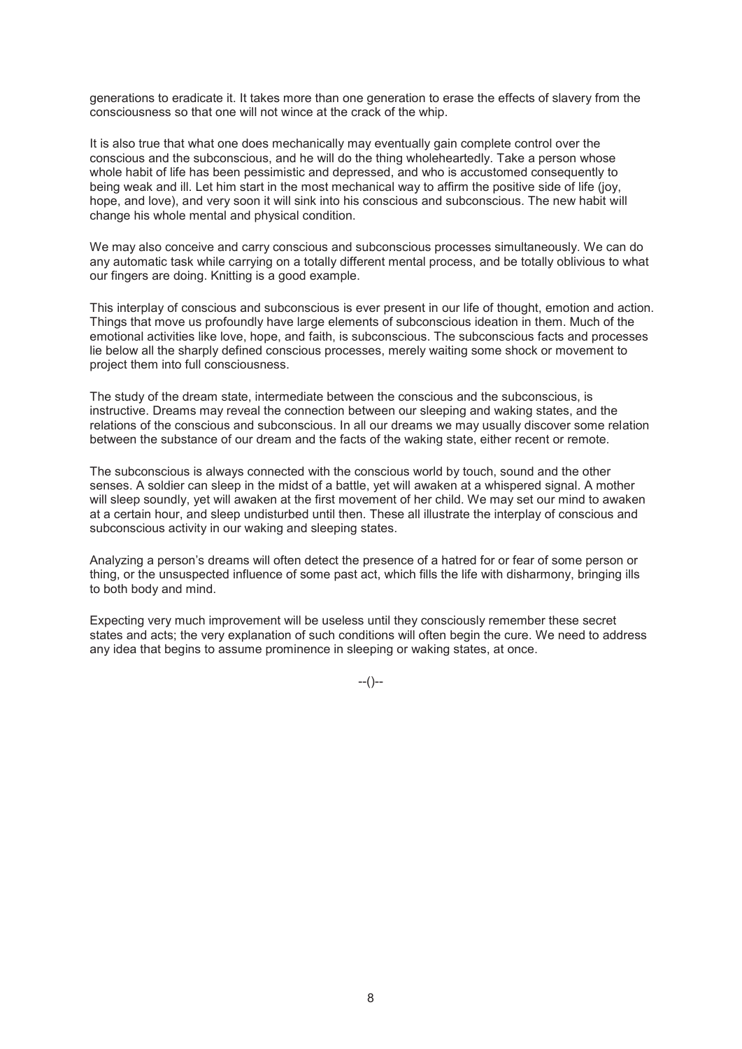generations to eradicate it. It takes more than one generation to erase the effects of slavery from the consciousness so that one will not wince at the crack of the whip.

It is also true that what one does mechanically may eventually gain complete control over the conscious and the subconscious, and he will do the thing wholeheartedly. Take a person whose whole habit of life has been pessimistic and depressed, and who is accustomed consequently to being weak and ill. Let him start in the most mechanical way to affirm the positive side of life (joy, hope, and love), and very soon it will sink into his conscious and subconscious. The new habit will change his whole mental and physical condition.

We may also conceive and carry conscious and subconscious processes simultaneously. We can do any automatic task while carrying on a totally different mental process, and be totally oblivious to what our fingers are doing. Knitting is a good example.

This interplay of conscious and subconscious is ever present in our life of thought, emotion and action. Things that move us profoundly have large elements of subconscious ideation in them. Much of the emotional activities like love, hope, and faith, is subconscious. The subconscious facts and processes lie below all the sharply defined conscious processes, merely waiting some shock or movement to project them into full consciousness.

The study of the dream state, intermediate between the conscious and the subconscious, is instructive. Dreams may reveal the connection between our sleeping and waking states, and the relations of the conscious and subconscious. In all our dreams we may usually discover some relation between the substance of our dream and the facts of the waking state, either recent or remote.

The subconscious is always connected with the conscious world by touch, sound and the other senses. A soldier can sleep in the midst of a battle, yet will awaken at a whispered signal. A mother will sleep soundly, yet will awaken at the first movement of her child. We may set our mind to awaken at a certain hour, and sleep undisturbed until then. These all illustrate the interplay of conscious and subconscious activity in our waking and sleeping states.

Analyzing a person's dreams will often detect the presence of a hatred for or fear of some person or thing, or the unsuspected influence of some past act, which fills the life with disharmony, bringing ills to both body and mind.

Expecting very much improvement will be useless until they consciously remember these secret states and acts; the very explanation of such conditions will often begin the cure. We need to address any idea that begins to assume prominence in sleeping or waking states, at once.

--()--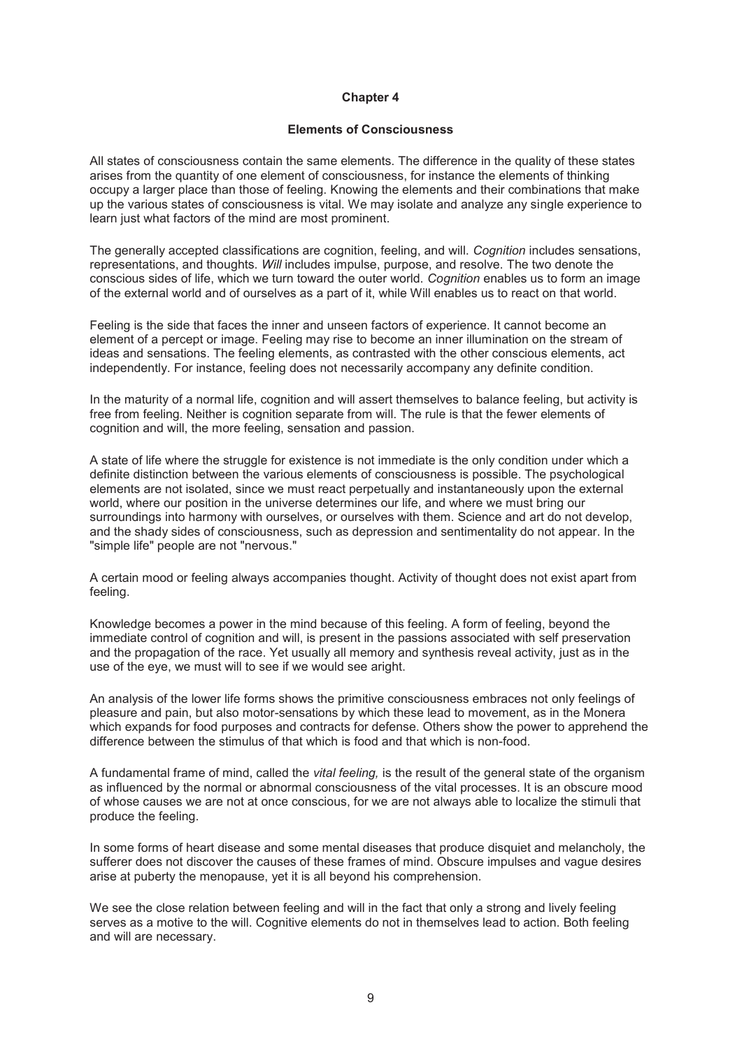### **Elements of Consciousness**

All states of consciousness contain the same elements. The difference in the quality of these states arises from the quantity of one element of consciousness, for instance the elements of thinking occupy a larger place than those of feeling. Knowing the elements and their combinations that make up the various states of consciousness is vital. We may isolate and analyze any single experience to learn just what factors of the mind are most prominent.

The generally accepted classifications are cognition, feeling, and will. *Cognition* includes sensations, representations, and thoughts. *Will* includes impulse, purpose, and resolve. The two denote the conscious sides of life, which we turn toward the outer world. *Cognition* enables us to form an image of the external world and of ourselves as a part of it, while Will enables us to react on that world.

Feeling is the side that faces the inner and unseen factors of experience. It cannot become an element of a percept or image. Feeling may rise to become an inner illumination on the stream of ideas and sensations. The feeling elements, as contrasted with the other conscious elements, act independently. For instance, feeling does not necessarily accompany any definite condition.

In the maturity of a normal life, cognition and will assert themselves to balance feeling, but activity is free from feeling. Neither is cognition separate from will. The rule is that the fewer elements of cognition and will, the more feeling, sensation and passion.

A state of life where the struggle for existence is not immediate is the only condition under which a definite distinction between the various elements of consciousness is possible. The psychological elements are not isolated, since we must react perpetually and instantaneously upon the external world, where our position in the universe determines our life, and where we must bring our surroundings into harmony with ourselves, or ourselves with them. Science and art do not develop, and the shady sides of consciousness, such as depression and sentimentality do not appear. In the "simple life" people are not "nervous."

A certain mood or feeling always accompanies thought. Activity of thought does not exist apart from feeling.

Knowledge becomes a power in the mind because of this feeling. A form of feeling, beyond the immediate control of cognition and will, is present in the passions associated with self preservation and the propagation of the race. Yet usually all memory and synthesis reveal activity, just as in the use of the eye, we must will to see if we would see aright.

An analysis of the lower life forms shows the primitive consciousness embraces not only feelings of pleasure and pain, but also motor-sensations by which these lead to movement, as in the Monera which expands for food purposes and contracts for defense. Others show the power to apprehend the difference between the stimulus of that which is food and that which is non-food.

A fundamental frame of mind, called the *vital feeling,* is the result of the general state of the organism as influenced by the normal or abnormal consciousness of the vital processes. It is an obscure mood of whose causes we are not at once conscious, for we are not always able to localize the stimuli that produce the feeling.

In some forms of heart disease and some mental diseases that produce disquiet and melancholy, the sufferer does not discover the causes of these frames of mind. Obscure impulses and vague desires arise at puberty the menopause, yet it is all beyond his comprehension.

We see the close relation between feeling and will in the fact that only a strong and lively feeling serves as a motive to the will. Cognitive elements do not in themselves lead to action. Both feeling and will are necessary.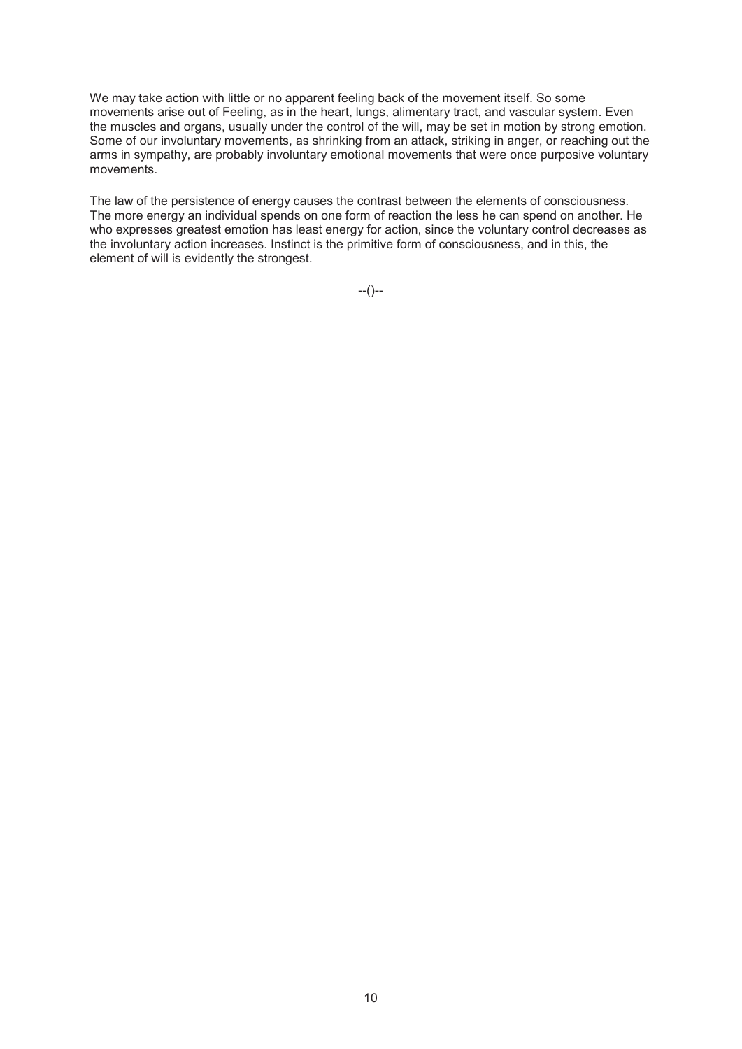We may take action with little or no apparent feeling back of the movement itself. So some movements arise out of Feeling, as in the heart, lungs, alimentary tract, and vascular system. Even the muscles and organs, usually under the control of the will, may be set in motion by strong emotion. Some of our involuntary movements, as shrinking from an attack, striking in anger, or reaching out the arms in sympathy, are probably involuntary emotional movements that were once purposive voluntary movements.

The law of the persistence of energy causes the contrast between the elements of consciousness. The more energy an individual spends on one form of reaction the less he can spend on another. He who expresses greatest emotion has least energy for action, since the voluntary control decreases as the involuntary action increases. Instinct is the primitive form of consciousness, and in this, the element of will is evidently the strongest.

--()--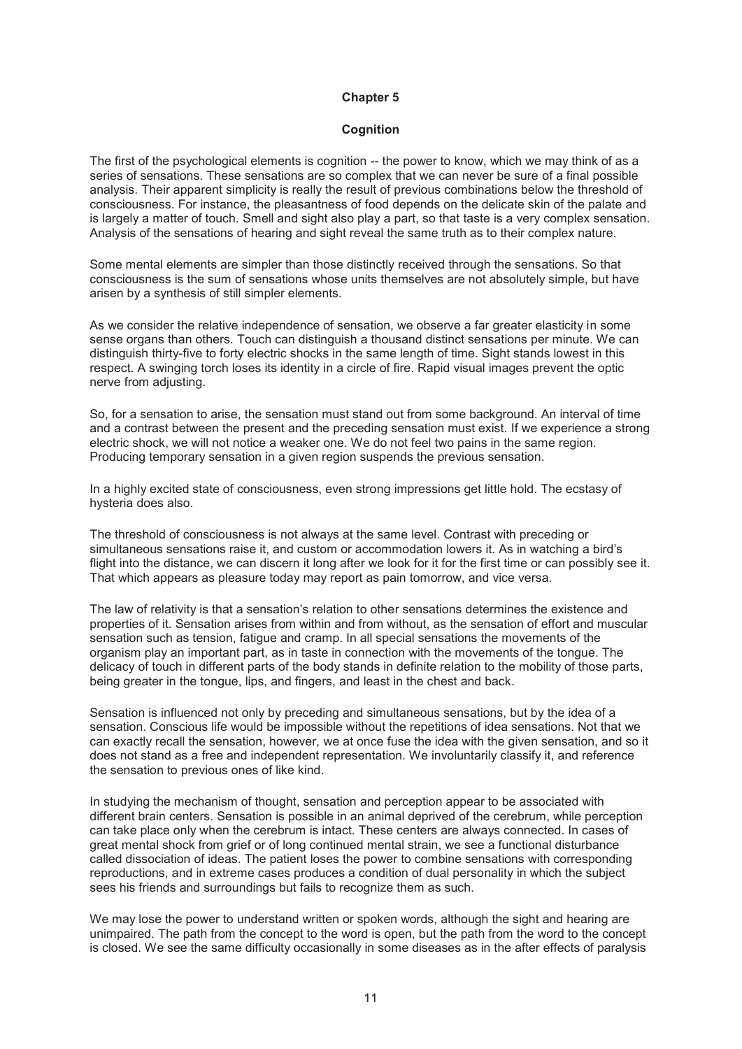#### **Cognition**

The first of the psychological elements is cognition -- the power to know, which we may think of as a series of sensations. These sensations are so complex that we can never be sure of a final possible analysis. Their apparent simplicity is really the result of previous combinations below the threshold of consciousness. For instance, the pleasantness of food depends on the delicate skin of the palate and is largely a matter of touch. Smell and sight also play a part, so that taste is a very complex sensation. Analysis of the sensations of hearing and sight reveal the same truth as to their complex nature.

Some mental elements are simpler than those distinctly received through the sensations. So that consciousness is the sum of sensations whose units themselves are not absolutely simple, but have arisen by a synthesis of still simpler elements.

As we consider the relative independence of sensation, we observe a far greater elasticity in some sense organs than others. Touch can distinguish a thousand distinct sensations per minute. We can distinguish thirty-five to forty electric shocks in the same length of time. Sight stands lowest in this respect. A swinging torch loses its identity in a circle of fire. Rapid visual images prevent the optic nerve from adjusting.

So, for a sensation to arise, the sensation must stand out from some background. An interval of time and a contrast between the present and the preceding sensation must exist. If we experience a strong electric shock, we will not notice a weaker one. We do not feel two pains in the same region. Producing temporary sensation in a given region suspends the previous sensation.

In a highly excited state of consciousness, even strong impressions get little hold. The ecstasy of hysteria does also.

The threshold of consciousness is not always at the same level. Contrast with preceding or simultaneous sensations raise it, and custom or accommodation lowers it. As in watching a bird's flight into the distance, we can discern it long after we look for it for the first time or can possibly see it. That which appears as pleasure today may report as pain tomorrow, and vice versa.

The law of relativity is that a sensation's relation to other sensations determines the existence and properties of it. Sensation arises from within and from without, as the sensation of effort and muscular sensation such as tension, fatigue and cramp. In all special sensations the movements of the organism play an important part, as in taste in connection with the movements of the tongue. The delicacy of touch in different parts of the body stands in definite relation to the mobility of those parts, being greater in the tongue, lips, and fingers, and least in the chest and back.

Sensation is influenced not only by preceding and simultaneous sensations, but by the idea of a sensation. Conscious life would be impossible without the repetitions of idea sensations. Not that we can exactly recall the sensation, however, we at once fuse the idea with the given sensation, and so it does not stand as a free and independent representation. We involuntarily classify it, and reference the sensation to previous ones of like kind.

In studying the mechanism of thought, sensation and perception appear to be associated with different brain centers. Sensation is possible in an animal deprived of the cerebrum, while perception can take place only when the cerebrum is intact. These centers are always connected. In cases of great mental shock from grief or of long continued mental strain, we see a functional disturbance called dissociation of ideas. The patient loses the power to combine sensations with corresponding reproductions, and in extreme cases produces a condition of dual personality in which the subject sees his friends and surroundings but fails to recognize them as such.

We may lose the power to understand written or spoken words, although the sight and hearing are unimpaired. The path from the concept to the word is open, but the path from the word to the concept is closed. We see the same difficulty occasionally in some diseases as in the after effects of paralysis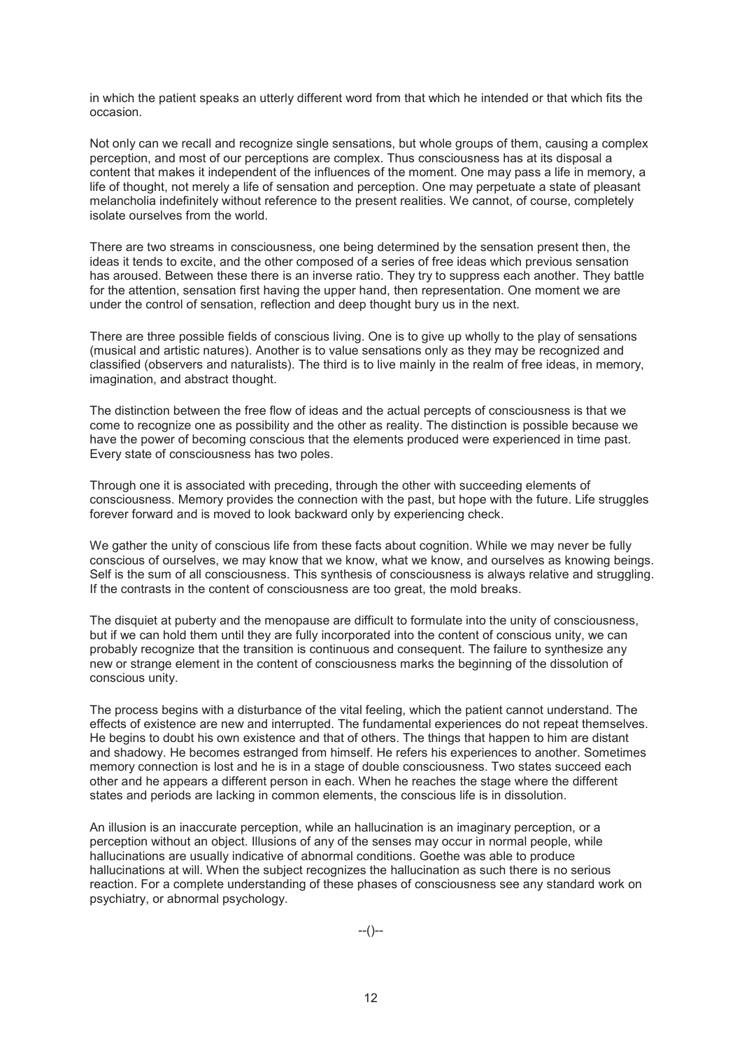in which the patient speaks an utterly different word from that which he intended or that which fits the occasion.

Not only can we recall and recognize single sensations, but whole groups of them, causing a complex perception, and most of our perceptions are complex. Thus consciousness has at its disposal a content that makes it independent of the influences of the moment. One may pass a life in memory, a life of thought, not merely a life of sensation and perception. One may perpetuate a state of pleasant melancholia indefinitely without reference to the present realities. We cannot, of course, completely isolate ourselves from the world.

There are two streams in consciousness, one being determined by the sensation present then, the ideas it tends to excite, and the other composed of a series of free ideas which previous sensation has aroused. Between these there is an inverse ratio. They try to suppress each another. They battle for the attention, sensation first having the upper hand, then representation. One moment we are under the control of sensation, reflection and deep thought bury us in the next.

There are three possible fields of conscious living. One is to give up wholly to the play of sensations (musical and artistic natures). Another is to value sensations only as they may be recognized and classified (observers and naturalists). The third is to live mainly in the realm of free ideas, in memory, imagination, and abstract thought.

The distinction between the free flow of ideas and the actual percepts of consciousness is that we come to recognize one as possibility and the other as reality. The distinction is possible because we have the power of becoming conscious that the elements produced were experienced in time past. Every state of consciousness has two poles.

Through one it is associated with preceding, through the other with succeeding elements of consciousness. Memory provides the connection with the past, but hope with the future. Life struggles forever forward and is moved to look backward only by experiencing check.

We gather the unity of conscious life from these facts about cognition. While we may never be fully conscious of ourselves, we may know that we know, what we know, and ourselves as knowing beings. Self is the sum of all consciousness. This synthesis of consciousness is always relative and struggling. If the contrasts in the content of consciousness are too great, the mold breaks.

The disquiet at puberty and the menopause are difficult to formulate into the unity of consciousness, but if we can hold them until they are fully incorporated into the content of conscious unity, we can probably recognize that the transition is continuous and consequent. The failure to synthesize any new or strange element in the content of consciousness marks the beginning of the dissolution of conscious unity.

The process begins with a disturbance of the vital feeling, which the patient cannot understand. The effects of existence are new and interrupted. The fundamental experiences do not repeat themselves. He begins to doubt his own existence and that of others. The things that happen to him are distant and shadowy. He becomes estranged from himself. He refers his experiences to another. Sometimes memory connection is lost and he is in a stage of double consciousness. Two states succeed each other and he appears a different person in each. When he reaches the stage where the different states and periods are lacking in common elements, the conscious life is in dissolution.

An illusion is an inaccurate perception, while an hallucination is an imaginary perception, or a perception without an object. Illusions of any of the senses may occur in normal people, while hallucinations are usually indicative of abnormal conditions. Goethe was able to produce hallucinations at will. When the subject recognizes the hallucination as such there is no serious reaction. For a complete understanding of these phases of consciousness see any standard work on psychiatry, or abnormal psychology.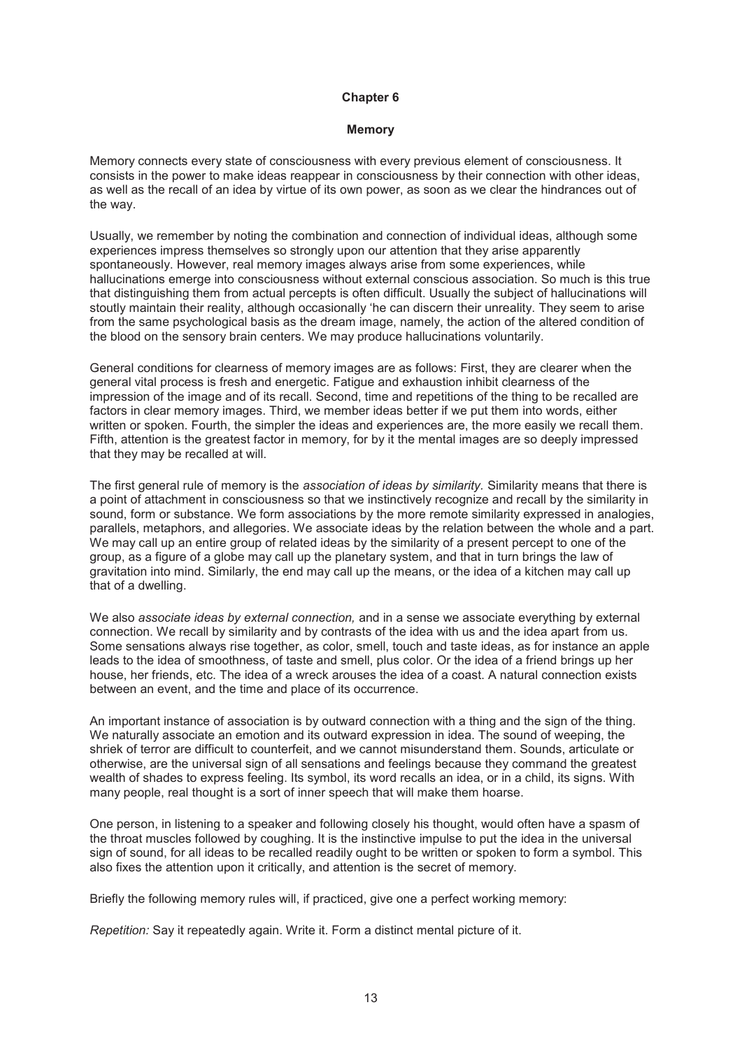#### **Memory**

Memory connects every state of consciousness with every previous element of consciousness. It consists in the power to make ideas reappear in consciousness by their connection with other ideas, as well as the recall of an idea by virtue of its own power, as soon as we clear the hindrances out of the way.

Usually, we remember by noting the combination and connection of individual ideas, although some experiences impress themselves so strongly upon our attention that they arise apparently spontaneously. However, real memory images always arise from some experiences, while hallucinations emerge into consciousness without external conscious association. So much is this true that distinguishing them from actual percepts is often difficult. Usually the subject of hallucinations will stoutly maintain their reality, although occasionally 'he can discern their unreality. They seem to arise from the same psychological basis as the dream image, namely, the action of the altered condition of the blood on the sensory brain centers. We may produce hallucinations voluntarily.

General conditions for clearness of memory images are as follows: First, they are clearer when the general vital process is fresh and energetic. Fatigue and exhaustion inhibit clearness of the impression of the image and of its recall. Second, time and repetitions of the thing to be recalled are factors in clear memory images. Third, we member ideas better if we put them into words, either written or spoken. Fourth, the simpler the ideas and experiences are, the more easily we recall them. Fifth, attention is the greatest factor in memory, for by it the mental images are so deeply impressed that they may be recalled at will.

The first general rule of memory is the *association of ideas by similarity.* Similarity means that there is a point of attachment in consciousness so that we instinctively recognize and recall by the similarity in sound, form or substance. We form associations by the more remote similarity expressed in analogies, parallels, metaphors, and allegories. We associate ideas by the relation between the whole and a part. We may call up an entire group of related ideas by the similarity of a present percept to one of the group, as a figure of a globe may call up the planetary system, and that in turn brings the law of gravitation into mind. Similarly, the end may call up the means, or the idea of a kitchen may call up that of a dwelling.

We also *associate ideas by external connection,* and in a sense we associate everything by external connection. We recall by similarity and by contrasts of the idea with us and the idea apart from us. Some sensations always rise together, as color, smell, touch and taste ideas, as for instance an apple leads to the idea of smoothness, of taste and smell, plus color. Or the idea of a friend brings up her house, her friends, etc. The idea of a wreck arouses the idea of a coast. A natural connection exists between an event, and the time and place of its occurrence.

An important instance of association is by outward connection with a thing and the sign of the thing. We naturally associate an emotion and its outward expression in idea. The sound of weeping, the shriek of terror are difficult to counterfeit, and we cannot misunderstand them. Sounds, articulate or otherwise, are the universal sign of all sensations and feelings because they command the greatest wealth of shades to express feeling. Its symbol, its word recalls an idea, or in a child, its signs. With many people, real thought is a sort of inner speech that will make them hoarse.

One person, in listening to a speaker and following closely his thought, would often have a spasm of the throat muscles followed by coughing. It is the instinctive impulse to put the idea in the universal sign of sound, for all ideas to be recalled readily ought to be written or spoken to form a symbol. This also fixes the attention upon it critically, and attention is the secret of memory.

Briefly the following memory rules will, if practiced, give one a perfect working memory:

*Repetition:* Say it repeatedly again. Write it. Form a distinct mental picture of it.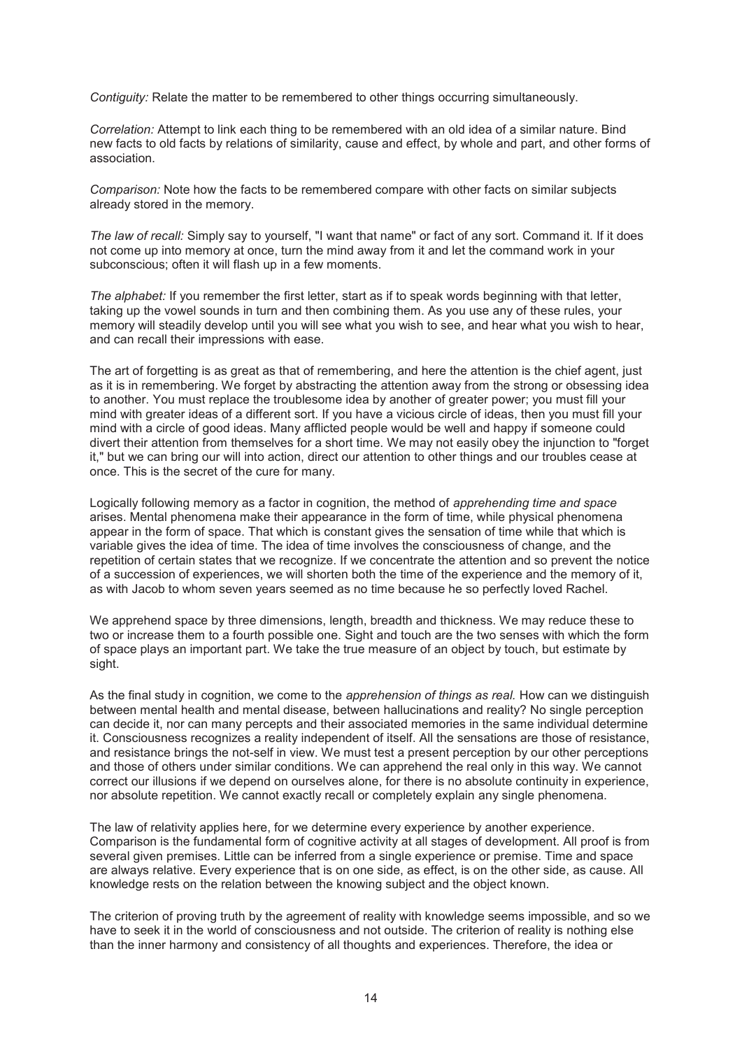*Contiguity:* Relate the matter to be remembered to other things occurring simultaneously.

*Correlation:* Attempt to link each thing to be remembered with an old idea of a similar nature. Bind new facts to old facts by relations of similarity, cause and effect, by whole and part, and other forms of association.

*Comparison:* Note how the facts to be remembered compare with other facts on similar subjects already stored in the memory.

*The law of recall:* Simply say to yourself, "I want that name" or fact of any sort. Command it. If it does not come up into memory at once, turn the mind away from it and let the command work in your subconscious; often it will flash up in a few moments.

*The alphabet:* If you remember the first letter, start as if to speak words beginning with that letter, taking up the vowel sounds in turn and then combining them. As you use any of these rules, your memory will steadily develop until you will see what you wish to see, and hear what you wish to hear, and can recall their impressions with ease.

The art of forgetting is as great as that of remembering, and here the attention is the chief agent, just as it is in remembering. We forget by abstracting the attention away from the strong or obsessing idea to another. You must replace the troublesome idea by another of greater power; you must fill your mind with greater ideas of a different sort. If you have a vicious circle of ideas, then you must fill your mind with a circle of good ideas. Many afflicted people would be well and happy if someone could divert their attention from themselves for a short time. We may not easily obey the injunction to "forget it," but we can bring our will into action, direct our attention to other things and our troubles cease at once. This is the secret of the cure for many.

Logically following memory as a factor in cognition, the method of *apprehending time and space*  arises. Mental phenomena make their appearance in the form of time, while physical phenomena appear in the form of space. That which is constant gives the sensation of time while that which is variable gives the idea of time. The idea of time involves the consciousness of change, and the repetition of certain states that we recognize. If we concentrate the attention and so prevent the notice of a succession of experiences, we will shorten both the time of the experience and the memory of it, as with Jacob to whom seven years seemed as no time because he so perfectly loved Rachel.

We apprehend space by three dimensions, length, breadth and thickness. We may reduce these to two or increase them to a fourth possible one. Sight and touch are the two senses with which the form of space plays an important part. We take the true measure of an object by touch, but estimate by sight.

As the final study in cognition, we come to the *apprehension of things as real.* How can we distinguish between mental health and mental disease, between hallucinations and reality? No single perception can decide it, nor can many percepts and their associated memories in the same individual determine it. Consciousness recognizes a reality independent of itself. All the sensations are those of resistance, and resistance brings the not-self in view. We must test a present perception by our other perceptions and those of others under similar conditions. We can apprehend the real only in this way. We cannot correct our illusions if we depend on ourselves alone, for there is no absolute continuity in experience, nor absolute repetition. We cannot exactly recall or completely explain any single phenomena.

The law of relativity applies here, for we determine every experience by another experience. Comparison is the fundamental form of cognitive activity at all stages of development. All proof is from several given premises. Little can be inferred from a single experience or premise. Time and space are always relative. Every experience that is on one side, as effect, is on the other side, as cause. All knowledge rests on the relation between the knowing subject and the object known.

The criterion of proving truth by the agreement of reality with knowledge seems impossible, and so we have to seek it in the world of consciousness and not outside. The criterion of reality is nothing else than the inner harmony and consistency of all thoughts and experiences. Therefore, the idea or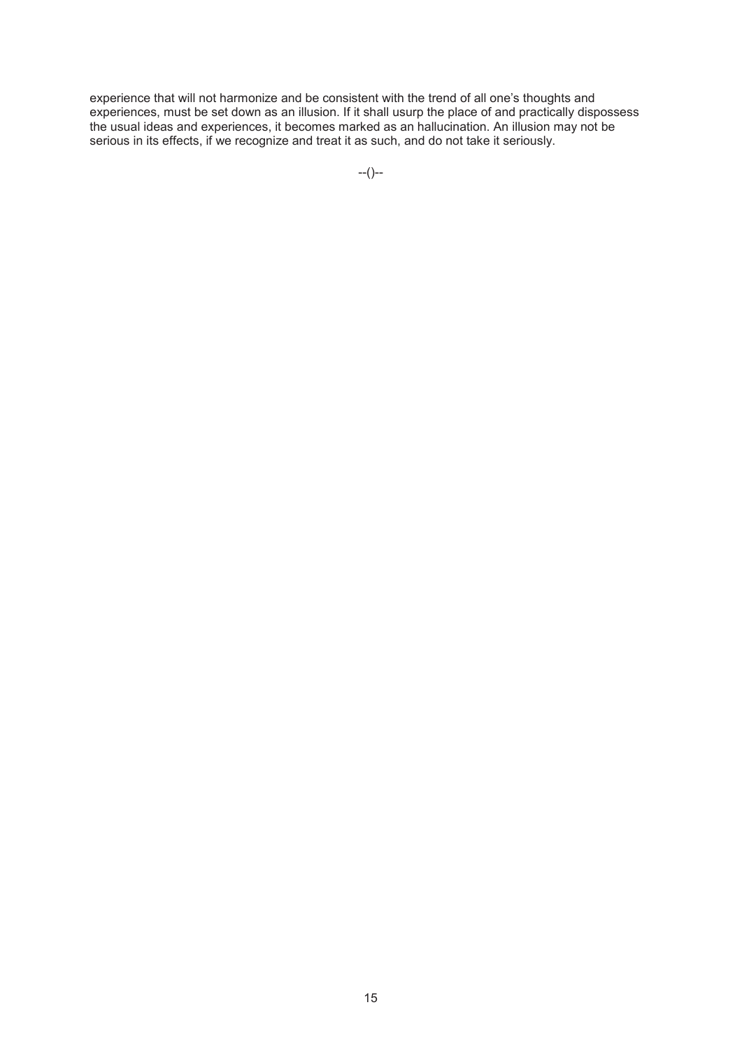experience that will not harmonize and be consistent with the trend of all one's thoughts and experiences, must be set down as an illusion. If it shall usurp the place of and practically dispossess the usual ideas and experiences, it becomes marked as an hallucination. An illusion may not be serious in its effects, if we recognize and treat it as such, and do not take it seriously.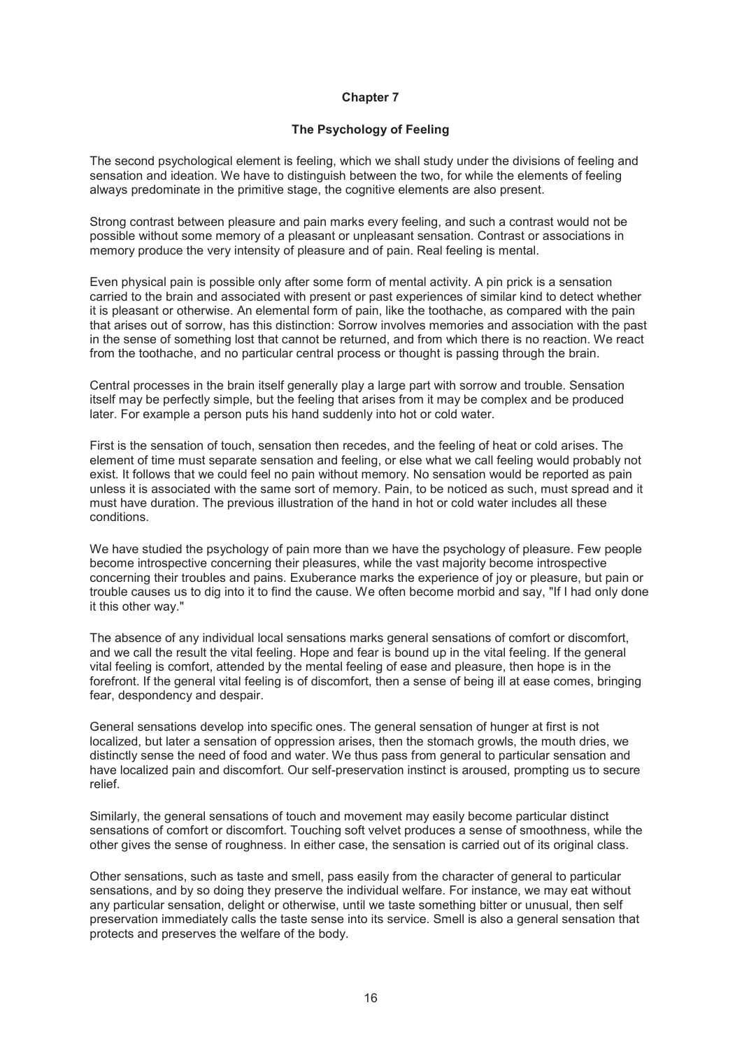### **The Psychology of Feeling**

The second psychological element is feeling, which we shall study under the divisions of feeling and sensation and ideation. We have to distinguish between the two, for while the elements of feeling always predominate in the primitive stage, the cognitive elements are also present.

Strong contrast between pleasure and pain marks every feeling, and such a contrast would not be possible without some memory of a pleasant or unpleasant sensation. Contrast or associations in memory produce the very intensity of pleasure and of pain. Real feeling is mental.

Even physical pain is possible only after some form of mental activity. A pin prick is a sensation carried to the brain and associated with present or past experiences of similar kind to detect whether it is pleasant or otherwise. An elemental form of pain, like the toothache, as compared with the pain that arises out of sorrow, has this distinction: Sorrow involves memories and association with the past in the sense of something lost that cannot be returned, and from which there is no reaction. We react from the toothache, and no particular central process or thought is passing through the brain.

Central processes in the brain itself generally play a large part with sorrow and trouble. Sensation itself may be perfectly simple, but the feeling that arises from it may be complex and be produced later. For example a person puts his hand suddenly into hot or cold water.

First is the sensation of touch, sensation then recedes, and the feeling of heat or cold arises. The element of time must separate sensation and feeling, or else what we call feeling would probably not exist. It follows that we could feel no pain without memory. No sensation would be reported as pain unless it is associated with the same sort of memory. Pain, to be noticed as such, must spread and it must have duration. The previous illustration of the hand in hot or cold water includes all these conditions.

We have studied the psychology of pain more than we have the psychology of pleasure. Few people become introspective concerning their pleasures, while the vast majority become introspective concerning their troubles and pains. Exuberance marks the experience of joy or pleasure, but pain or trouble causes us to dig into it to find the cause. We often become morbid and say, "If I had only done it this other way."

The absence of any individual local sensations marks general sensations of comfort or discomfort, and we call the result the vital feeling. Hope and fear is bound up in the vital feeling. If the general vital feeling is comfort, attended by the mental feeling of ease and pleasure, then hope is in the forefront. If the general vital feeling is of discomfort, then a sense of being ill at ease comes, bringing fear, despondency and despair.

General sensations develop into specific ones. The general sensation of hunger at first is not localized, but later a sensation of oppression arises, then the stomach growls, the mouth dries, we distinctly sense the need of food and water. We thus pass from general to particular sensation and have localized pain and discomfort. Our self-preservation instinct is aroused, prompting us to secure relief.

Similarly, the general sensations of touch and movement may easily become particular distinct sensations of comfort or discomfort. Touching soft velvet produces a sense of smoothness, while the other gives the sense of roughness. In either case, the sensation is carried out of its original class.

Other sensations, such as taste and smell, pass easily from the character of general to particular sensations, and by so doing they preserve the individual welfare. For instance, we may eat without any particular sensation, delight or otherwise, until we taste something bitter or unusual, then self preservation immediately calls the taste sense into its service. Smell is also a general sensation that protects and preserves the welfare of the body.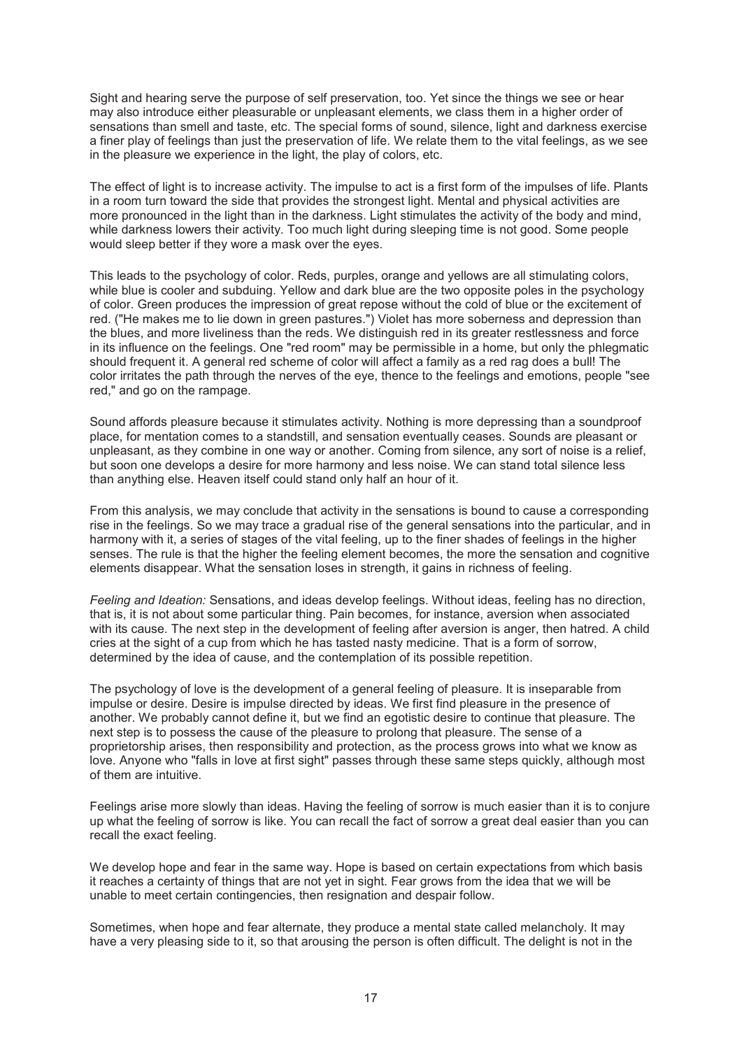Sight and hearing serve the purpose of self preservation, too. Yet since the things we see or hear may also introduce either pleasurable or unpleasant elements, we class them in a higher order of sensations than smell and taste, etc. The special forms of sound, silence, light and darkness exercise a finer play of feelings than just the preservation of life. We relate them to the vital feelings, as we see in the pleasure we experience in the light, the play of colors, etc.

The effect of light is to increase activity. The impulse to act is a first form of the impulses of life. Plants in a room turn toward the side that provides the strongest light. Mental and physical activities are more pronounced in the light than in the darkness. Light stimulates the activity of the body and mind, while darkness lowers their activity. Too much light during sleeping time is not good. Some people would sleep better if they wore a mask over the eyes.

This leads to the psychology of color. Reds, purples, orange and yellows are all stimulating colors, while blue is cooler and subduing. Yellow and dark blue are the two opposite poles in the psychology of color. Green produces the impression of great repose without the cold of blue or the excitement of red. ("He makes me to lie down in green pastures.") Violet has more soberness and depression than the blues, and more liveliness than the reds. We distinguish red in its greater restlessness and force in its influence on the feelings. One "red room" may be permissible in a home, but only the phlegmatic should frequent it. A general red scheme of color will affect a family as a red rag does a bull! The color irritates the path through the nerves of the eye, thence to the feelings and emotions, people "see red," and go on the rampage.

Sound affords pleasure because it stimulates activity. Nothing is more depressing than a soundproof place, for mentation comes to a standstill, and sensation eventually ceases. Sounds are pleasant or unpleasant, as they combine in one way or another. Coming from silence, any sort of noise is a relief, but soon one develops a desire for more harmony and less noise. We can stand total silence less than anything else. Heaven itself could stand only half an hour of it.

From this analysis, we may conclude that activity in the sensations is bound to cause a corresponding rise in the feelings. So we may trace a gradual rise of the general sensations into the particular, and in harmony with it, a series of stages of the vital feeling, up to the finer shades of feelings in the higher senses. The rule is that the higher the feeling element becomes, the more the sensation and cognitive elements disappear. What the sensation loses in strength, it gains in richness of feeling.

*Feeling and Ideation:* Sensations, and ideas develop feelings. Without ideas, feeling has no direction, that is, it is not about some particular thing. Pain becomes, for instance, aversion when associated with its cause. The next step in the development of feeling after aversion is anger, then hatred. A child cries at the sight of a cup from which he has tasted nasty medicine. That is a form of sorrow, determined by the idea of cause, and the contemplation of its possible repetition.

The psychology of love is the development of a general feeling of pleasure. It is inseparable from impulse or desire. Desire is impulse directed by ideas. We first find pleasure in the presence of another. We probably cannot define it, but we find an egotistic desire to continue that pleasure. The next step is to possess the cause of the pleasure to prolong that pleasure. The sense of a proprietorship arises, then responsibility and protection, as the process grows into what we know as love. Anyone who "falls in love at first sight" passes through these same steps quickly, although most of them are intuitive.

Feelings arise more slowly than ideas. Having the feeling of sorrow is much easier than it is to conjure up what the feeling of sorrow is like. You can recall the fact of sorrow a great deal easier than you can recall the exact feeling.

We develop hope and fear in the same way. Hope is based on certain expectations from which basis it reaches a certainty of things that are not yet in sight. Fear grows from the idea that we will be unable to meet certain contingencies, then resignation and despair follow.

Sometimes, when hope and fear alternate, they produce a mental state called melancholy. It may have a very pleasing side to it, so that arousing the person is often difficult. The delight is not in the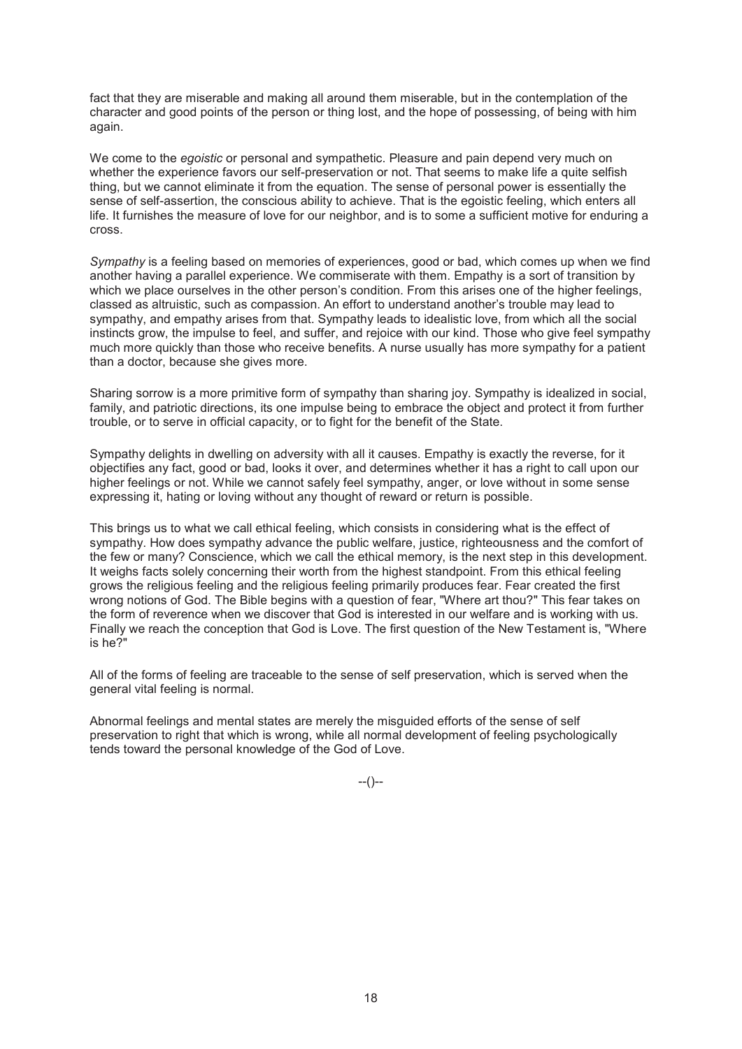fact that they are miserable and making all around them miserable, but in the contemplation of the character and good points of the person or thing lost, and the hope of possessing, of being with him again.

We come to the *egoistic* or personal and sympathetic. Pleasure and pain depend very much on whether the experience favors our self-preservation or not. That seems to make life a quite selfish thing, but we cannot eliminate it from the equation. The sense of personal power is essentially the sense of self-assertion, the conscious ability to achieve. That is the egoistic feeling, which enters all life. It furnishes the measure of love for our neighbor, and is to some a sufficient motive for enduring a cross.

*Sympathy* is a feeling based on memories of experiences, good or bad, which comes up when we find another having a parallel experience. We commiserate with them. Empathy is a sort of transition by which we place ourselves in the other person's condition. From this arises one of the higher feelings, classed as altruistic, such as compassion. An effort to understand another's trouble may lead to sympathy, and empathy arises from that. Sympathy leads to idealistic love, from which all the social instincts grow, the impulse to feel, and suffer, and rejoice with our kind. Those who give feel sympathy much more quickly than those who receive benefits. A nurse usually has more sympathy for a patient than a doctor, because she gives more.

Sharing sorrow is a more primitive form of sympathy than sharing joy. Sympathy is idealized in social, family, and patriotic directions, its one impulse being to embrace the object and protect it from further trouble, or to serve in official capacity, or to fight for the benefit of the State.

Sympathy delights in dwelling on adversity with all it causes. Empathy is exactly the reverse, for it objectifies any fact, good or bad, looks it over, and determines whether it has a right to call upon our higher feelings or not. While we cannot safely feel sympathy, anger, or love without in some sense expressing it, hating or loving without any thought of reward or return is possible.

This brings us to what we call ethical feeling, which consists in considering what is the effect of sympathy. How does sympathy advance the public welfare, justice, righteousness and the comfort of the few or many? Conscience, which we call the ethical memory, is the next step in this development. It weighs facts solely concerning their worth from the highest standpoint. From this ethical feeling grows the religious feeling and the religious feeling primarily produces fear. Fear created the first wrong notions of God. The Bible begins with a question of fear, "Where art thou?" This fear takes on the form of reverence when we discover that God is interested in our welfare and is working with us. Finally we reach the conception that God is Love. The first question of the New Testament is, "Where is he?"

All of the forms of feeling are traceable to the sense of self preservation, which is served when the general vital feeling is normal.

Abnormal feelings and mental states are merely the misguided efforts of the sense of self preservation to right that which is wrong, while all normal development of feeling psychologically tends toward the personal knowledge of the God of Love.

--()--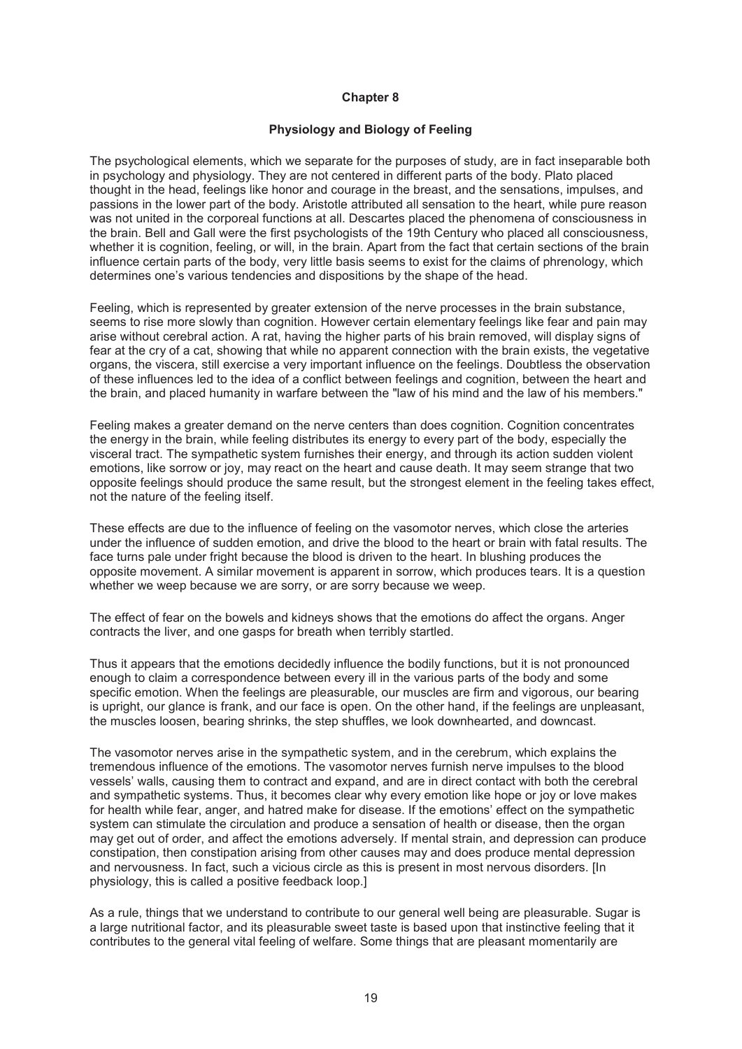## **Physiology and Biology of Feeling**

The psychological elements, which we separate for the purposes of study, are in fact inseparable both in psychology and physiology. They are not centered in different parts of the body. Plato placed thought in the head, feelings like honor and courage in the breast, and the sensations, impulses, and passions in the lower part of the body. Aristotle attributed all sensation to the heart, while pure reason was not united in the corporeal functions at all. Descartes placed the phenomena of consciousness in the brain. Bell and Gall were the first psychologists of the 19th Century who placed all consciousness, whether it is cognition, feeling, or will, in the brain. Apart from the fact that certain sections of the brain influence certain parts of the body, very little basis seems to exist for the claims of phrenology, which determines one's various tendencies and dispositions by the shape of the head.

Feeling, which is represented by greater extension of the nerve processes in the brain substance, seems to rise more slowly than cognition. However certain elementary feelings like fear and pain may arise without cerebral action. A rat, having the higher parts of his brain removed, will display signs of fear at the cry of a cat, showing that while no apparent connection with the brain exists, the vegetative organs, the viscera, still exercise a very important influence on the feelings. Doubtless the observation of these influences led to the idea of a conflict between feelings and cognition, between the heart and the brain, and placed humanity in warfare between the "law of his mind and the law of his members."

Feeling makes a greater demand on the nerve centers than does cognition. Cognition concentrates the energy in the brain, while feeling distributes its energy to every part of the body, especially the visceral tract. The sympathetic system furnishes their energy, and through its action sudden violent emotions, like sorrow or joy, may react on the heart and cause death. It may seem strange that two opposite feelings should produce the same result, but the strongest element in the feeling takes effect, not the nature of the feeling itself.

These effects are due to the influence of feeling on the vasomotor nerves, which close the arteries under the influence of sudden emotion, and drive the blood to the heart or brain with fatal results. The face turns pale under fright because the blood is driven to the heart. In blushing produces the opposite movement. A similar movement is apparent in sorrow, which produces tears. It is a question whether we weep because we are sorry, or are sorry because we weep.

The effect of fear on the bowels and kidneys shows that the emotions do affect the organs. Anger contracts the liver, and one gasps for breath when terribly startled.

Thus it appears that the emotions decidedly influence the bodily functions, but it is not pronounced enough to claim a correspondence between every ill in the various parts of the body and some specific emotion. When the feelings are pleasurable, our muscles are firm and vigorous, our bearing is upright, our glance is frank, and our face is open. On the other hand, if the feelings are unpleasant, the muscles loosen, bearing shrinks, the step shuffles, we look downhearted, and downcast.

The vasomotor nerves arise in the sympathetic system, and in the cerebrum, which explains the tremendous influence of the emotions. The vasomotor nerves furnish nerve impulses to the blood vessels' walls, causing them to contract and expand, and are in direct contact with both the cerebral and sympathetic systems. Thus, it becomes clear why every emotion like hope or joy or love makes for health while fear, anger, and hatred make for disease. If the emotions' effect on the sympathetic system can stimulate the circulation and produce a sensation of health or disease, then the organ may get out of order, and affect the emotions adversely. If mental strain, and depression can produce constipation, then constipation arising from other causes may and does produce mental depression and nervousness. In fact, such a vicious circle as this is present in most nervous disorders. [In physiology, this is called a positive feedback loop.]

As a rule, things that we understand to contribute to our general well being are pleasurable. Sugar is a large nutritional factor, and its pleasurable sweet taste is based upon that instinctive feeling that it contributes to the general vital feeling of welfare. Some things that are pleasant momentarily are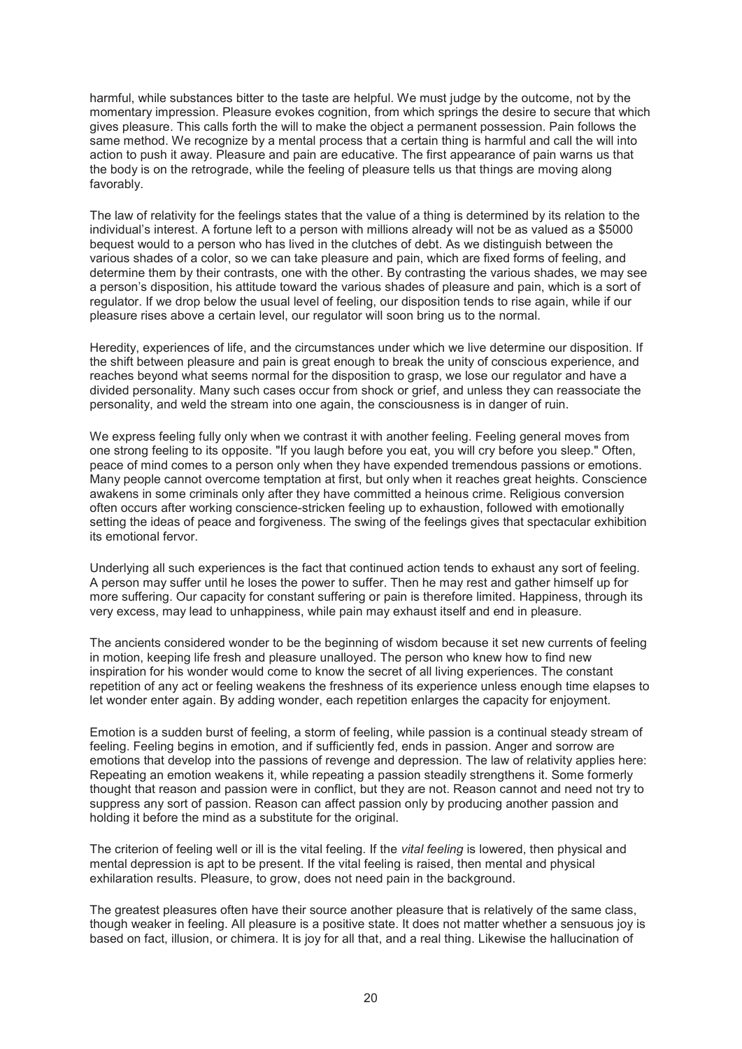harmful, while substances bitter to the taste are helpful. We must judge by the outcome, not by the momentary impression. Pleasure evokes cognition, from which springs the desire to secure that which gives pleasure. This calls forth the will to make the object a permanent possession. Pain follows the same method. We recognize by a mental process that a certain thing is harmful and call the will into action to push it away. Pleasure and pain are educative. The first appearance of pain warns us that the body is on the retrograde, while the feeling of pleasure tells us that things are moving along favorably.

The law of relativity for the feelings states that the value of a thing is determined by its relation to the individual's interest. A fortune left to a person with millions already will not be as valued as a \$5000 bequest would to a person who has lived in the clutches of debt. As we distinguish between the various shades of a color, so we can take pleasure and pain, which are fixed forms of feeling, and determine them by their contrasts, one with the other. By contrasting the various shades, we may see a person's disposition, his attitude toward the various shades of pleasure and pain, which is a sort of regulator. If we drop below the usual level of feeling, our disposition tends to rise again, while if our pleasure rises above a certain level, our regulator will soon bring us to the normal.

Heredity, experiences of life, and the circumstances under which we live determine our disposition. If the shift between pleasure and pain is great enough to break the unity of conscious experience, and reaches beyond what seems normal for the disposition to grasp, we lose our regulator and have a divided personality. Many such cases occur from shock or grief, and unless they can reassociate the personality, and weld the stream into one again, the consciousness is in danger of ruin.

We express feeling fully only when we contrast it with another feeling. Feeling general moves from one strong feeling to its opposite. "If you laugh before you eat, you will cry before you sleep." Often, peace of mind comes to a person only when they have expended tremendous passions or emotions. Many people cannot overcome temptation at first, but only when it reaches great heights. Conscience awakens in some criminals only after they have committed a heinous crime. Religious conversion often occurs after working conscience-stricken feeling up to exhaustion, followed with emotionally setting the ideas of peace and forgiveness. The swing of the feelings gives that spectacular exhibition its emotional fervor.

Underlying all such experiences is the fact that continued action tends to exhaust any sort of feeling. A person may suffer until he loses the power to suffer. Then he may rest and gather himself up for more suffering. Our capacity for constant suffering or pain is therefore limited. Happiness, through its very excess, may lead to unhappiness, while pain may exhaust itself and end in pleasure.

The ancients considered wonder to be the beginning of wisdom because it set new currents of feeling in motion, keeping life fresh and pleasure unalloyed. The person who knew how to find new inspiration for his wonder would come to know the secret of all living experiences. The constant repetition of any act or feeling weakens the freshness of its experience unless enough time elapses to let wonder enter again. By adding wonder, each repetition enlarges the capacity for enjoyment.

Emotion is a sudden burst of feeling, a storm of feeling, while passion is a continual steady stream of feeling. Feeling begins in emotion, and if sufficiently fed, ends in passion. Anger and sorrow are emotions that develop into the passions of revenge and depression. The law of relativity applies here: Repeating an emotion weakens it, while repeating a passion steadily strengthens it. Some formerly thought that reason and passion were in conflict, but they are not. Reason cannot and need not try to suppress any sort of passion. Reason can affect passion only by producing another passion and holding it before the mind as a substitute for the original.

The criterion of feeling well or ill is the vital feeling. If the *vital feeling* is lowered, then physical and mental depression is apt to be present. If the vital feeling is raised, then mental and physical exhilaration results. Pleasure, to grow, does not need pain in the background.

The greatest pleasures often have their source another pleasure that is relatively of the same class, though weaker in feeling. All pleasure is a positive state. It does not matter whether a sensuous joy is based on fact, illusion, or chimera. It is joy for all that, and a real thing. Likewise the hallucination of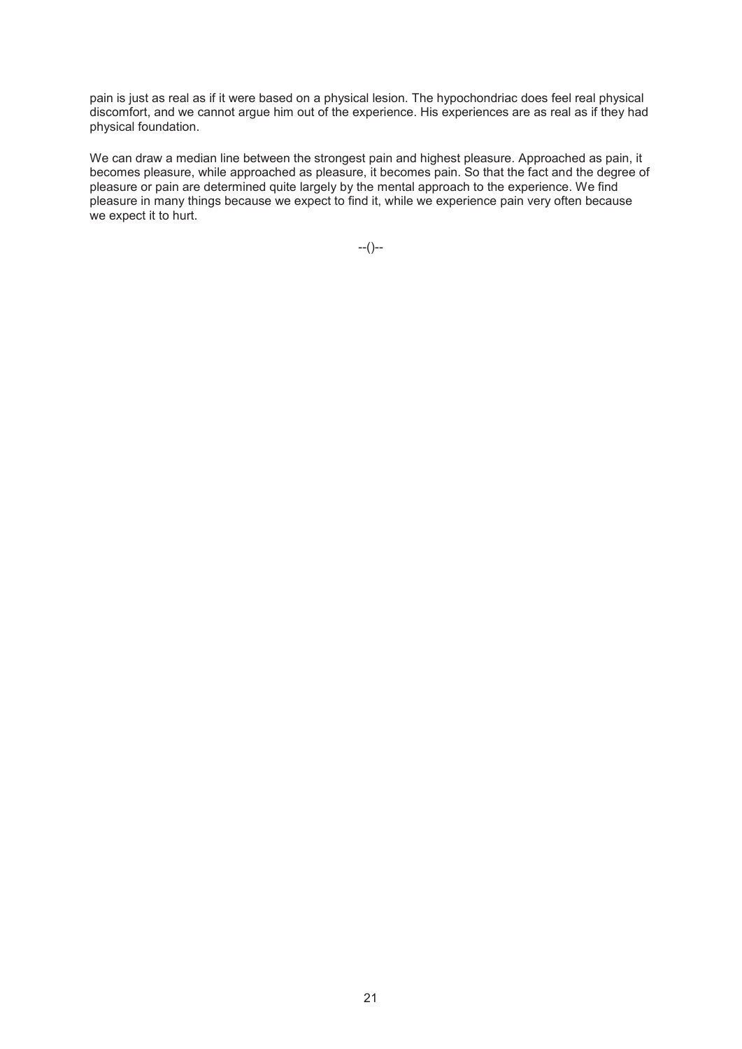pain is just as real as if it were based on a physical lesion. The hypochondriac does feel real physical discomfort, and we cannot argue him out of the experience. His experiences are as real as if they had physical foundation.

We can draw a median line between the strongest pain and highest pleasure. Approached as pain, it becomes pleasure, while approached as pleasure, it becomes pain. So that the fact and the degree of pleasure or pain are determined quite largely by the mental approach to the experience. We find pleasure in many things because we expect to find it, while we experience pain very often because we expect it to hurt.

--()--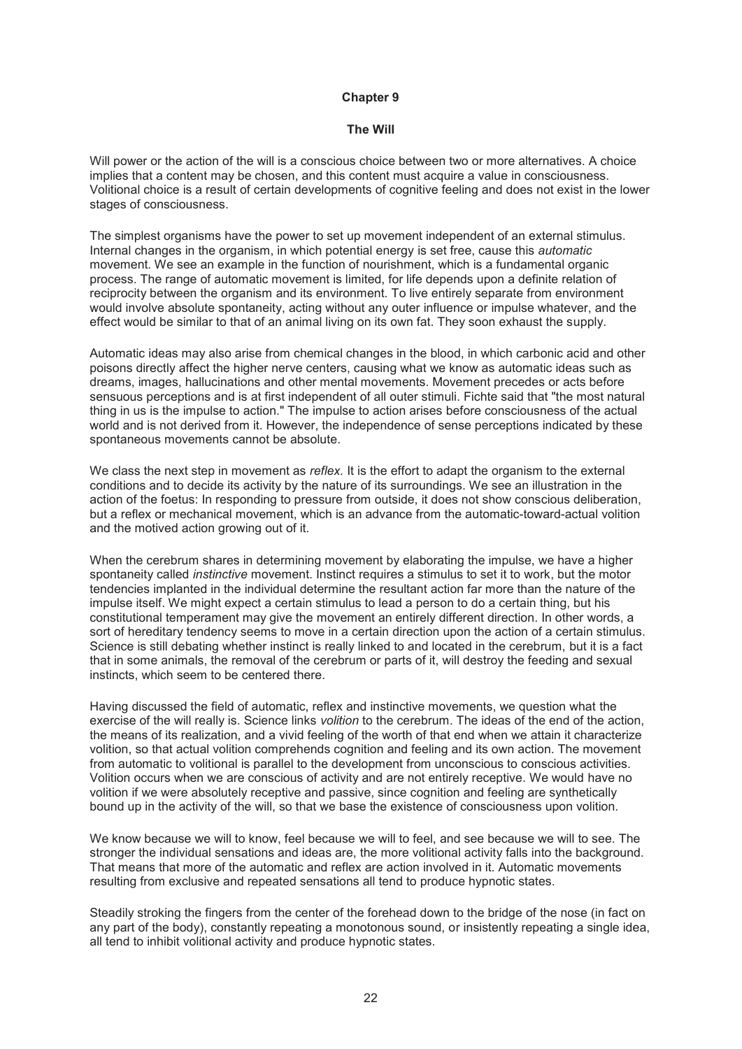#### **The Will**

Will power or the action of the will is a conscious choice between two or more alternatives. A choice implies that a content may be chosen, and this content must acquire a value in consciousness. Volitional choice is a result of certain developments of cognitive feeling and does not exist in the lower stages of consciousness.

The simplest organisms have the power to set up movement independent of an external stimulus. Internal changes in the organism, in which potential energy is set free, cause this *automatic*  movement. We see an example in the function of nourishment, which is a fundamental organic process. The range of automatic movement is limited, for life depends upon a definite relation of reciprocity between the organism and its environment. To live entirely separate from environment would involve absolute spontaneity, acting without any outer influence or impulse whatever, and the effect would be similar to that of an animal living on its own fat. They soon exhaust the supply.

Automatic ideas may also arise from chemical changes in the blood, in which carbonic acid and other poisons directly affect the higher nerve centers, causing what we know as automatic ideas such as dreams, images, hallucinations and other mental movements. Movement precedes or acts before sensuous perceptions and is at first independent of all outer stimuli. Fichte said that "the most natural thing in us is the impulse to action." The impulse to action arises before consciousness of the actual world and is not derived from it. However, the independence of sense perceptions indicated by these spontaneous movements cannot be absolute.

We class the next step in movement as *reflex.* It is the effort to adapt the organism to the external conditions and to decide its activity by the nature of its surroundings. We see an illustration in the action of the foetus: In responding to pressure from outside, it does not show conscious deliberation, but a reflex or mechanical movement, which is an advance from the automatic-toward-actual volition and the motived action growing out of it.

When the cerebrum shares in determining movement by elaborating the impulse, we have a higher spontaneity called *instinctive* movement. Instinct requires a stimulus to set it to work, but the motor tendencies implanted in the individual determine the resultant action far more than the nature of the impulse itself. We might expect a certain stimulus to lead a person to do a certain thing, but his constitutional temperament may give the movement an entirely different direction. In other words, a sort of hereditary tendency seems to move in a certain direction upon the action of a certain stimulus. Science is still debating whether instinct is really linked to and located in the cerebrum, but it is a fact that in some animals, the removal of the cerebrum or parts of it, will destroy the feeding and sexual instincts, which seem to be centered there.

Having discussed the field of automatic, reflex and instinctive movements, we question what the exercise of the will really is. Science links *volition* to the cerebrum. The ideas of the end of the action, the means of its realization, and a vivid feeling of the worth of that end when we attain it characterize volition, so that actual volition comprehends cognition and feeling and its own action. The movement from automatic to volitional is parallel to the development from unconscious to conscious activities. Volition occurs when we are conscious of activity and are not entirely receptive. We would have no volition if we were absolutely receptive and passive, since cognition and feeling are synthetically bound up in the activity of the will, so that we base the existence of consciousness upon volition.

We know because we will to know, feel because we will to feel, and see because we will to see. The stronger the individual sensations and ideas are, the more volitional activity falls into the background. That means that more of the automatic and reflex are action involved in it. Automatic movements resulting from exclusive and repeated sensations all tend to produce hypnotic states.

Steadily stroking the fingers from the center of the forehead down to the bridge of the nose (in fact on any part of the body), constantly repeating a monotonous sound, or insistently repeating a single idea, all tend to inhibit volitional activity and produce hypnotic states.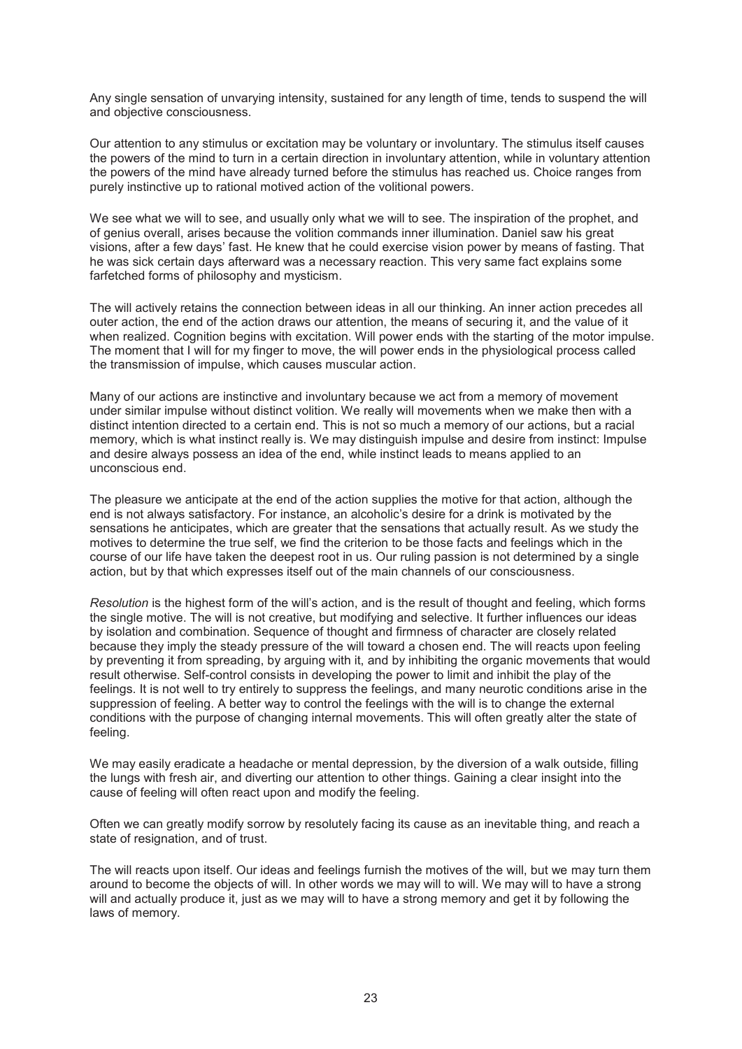Any single sensation of unvarying intensity, sustained for any length of time, tends to suspend the will and objective consciousness.

Our attention to any stimulus or excitation may be voluntary or involuntary. The stimulus itself causes the powers of the mind to turn in a certain direction in involuntary attention, while in voluntary attention the powers of the mind have already turned before the stimulus has reached us. Choice ranges from purely instinctive up to rational motived action of the volitional powers.

We see what we will to see, and usually only what we will to see. The inspiration of the prophet, and of genius overall, arises because the volition commands inner illumination. Daniel saw his great visions, after a few days' fast. He knew that he could exercise vision power by means of fasting. That he was sick certain days afterward was a necessary reaction. This very same fact explains some farfetched forms of philosophy and mysticism.

The will actively retains the connection between ideas in all our thinking. An inner action precedes all outer action, the end of the action draws our attention, the means of securing it, and the value of it when realized. Cognition begins with excitation. Will power ends with the starting of the motor impulse. The moment that I will for my finger to move, the will power ends in the physiological process called the transmission of impulse, which causes muscular action.

Many of our actions are instinctive and involuntary because we act from a memory of movement under similar impulse without distinct volition. We really will movements when we make then with a distinct intention directed to a certain end. This is not so much a memory of our actions, but a racial memory, which is what instinct really is. We may distinguish impulse and desire from instinct: Impulse and desire always possess an idea of the end, while instinct leads to means applied to an unconscious end.

The pleasure we anticipate at the end of the action supplies the motive for that action, although the end is not always satisfactory. For instance, an alcoholic's desire for a drink is motivated by the sensations he anticipates, which are greater that the sensations that actually result. As we study the motives to determine the true self, we find the criterion to be those facts and feelings which in the course of our life have taken the deepest root in us. Our ruling passion is not determined by a single action, but by that which expresses itself out of the main channels of our consciousness.

*Resolution* is the highest form of the will's action, and is the result of thought and feeling, which forms the single motive. The will is not creative, but modifying and selective. It further influences our ideas by isolation and combination. Sequence of thought and firmness of character are closely related because they imply the steady pressure of the will toward a chosen end. The will reacts upon feeling by preventing it from spreading, by arguing with it, and by inhibiting the organic movements that would result otherwise. Self-control consists in developing the power to limit and inhibit the play of the feelings. It is not well to try entirely to suppress the feelings, and many neurotic conditions arise in the suppression of feeling. A better way to control the feelings with the will is to change the external conditions with the purpose of changing internal movements. This will often greatly alter the state of feeling.

We may easily eradicate a headache or mental depression, by the diversion of a walk outside, filling the lungs with fresh air, and diverting our attention to other things. Gaining a clear insight into the cause of feeling will often react upon and modify the feeling.

Often we can greatly modify sorrow by resolutely facing its cause as an inevitable thing, and reach a state of resignation, and of trust.

The will reacts upon itself. Our ideas and feelings furnish the motives of the will, but we may turn them around to become the objects of will. In other words we may will to will. We may will to have a strong will and actually produce it, just as we may will to have a strong memory and get it by following the laws of memory.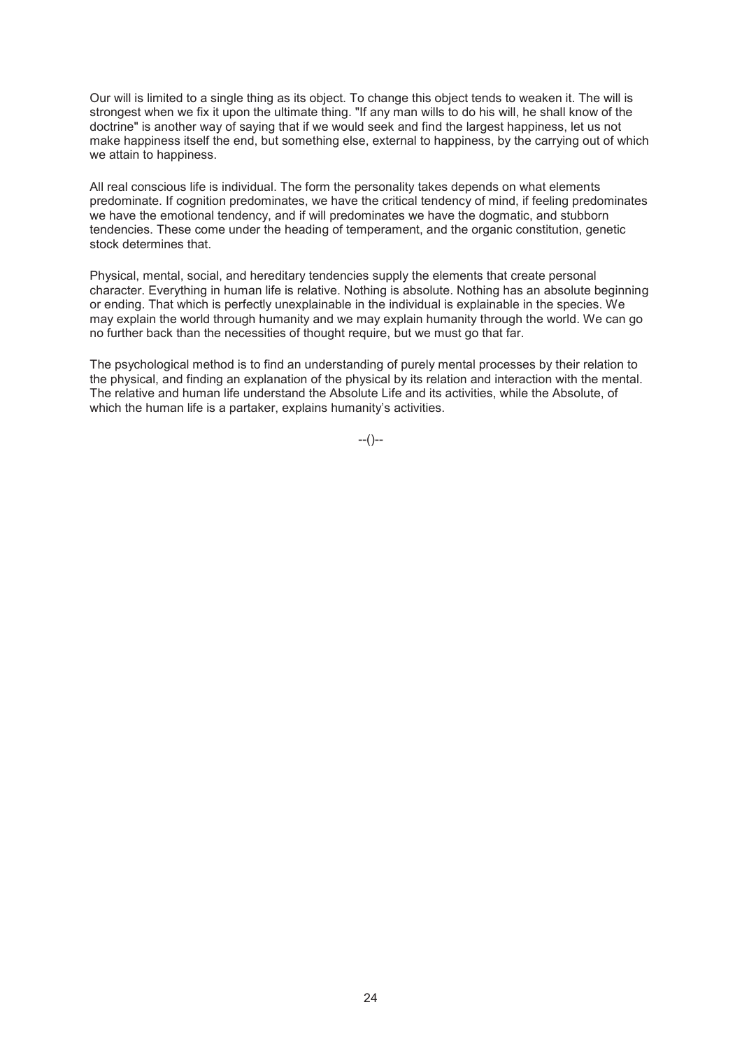Our will is limited to a single thing as its object. To change this object tends to weaken it. The will is strongest when we fix it upon the ultimate thing. "If any man wills to do his will, he shall know of the doctrine" is another way of saying that if we would seek and find the largest happiness, let us not make happiness itself the end, but something else, external to happiness, by the carrying out of which we attain to happiness.

All real conscious life is individual. The form the personality takes depends on what elements predominate. If cognition predominates, we have the critical tendency of mind, if feeling predominates we have the emotional tendency, and if will predominates we have the dogmatic, and stubborn tendencies. These come under the heading of temperament, and the organic constitution, genetic stock determines that.

Physical, mental, social, and hereditary tendencies supply the elements that create personal character. Everything in human life is relative. Nothing is absolute. Nothing has an absolute beginning or ending. That which is perfectly unexplainable in the individual is explainable in the species. We may explain the world through humanity and we may explain humanity through the world. We can go no further back than the necessities of thought require, but we must go that far.

The psychological method is to find an understanding of purely mental processes by their relation to the physical, and finding an explanation of the physical by its relation and interaction with the mental. The relative and human life understand the Absolute Life and its activities, while the Absolute, of which the human life is a partaker, explains humanity's activities.

--()--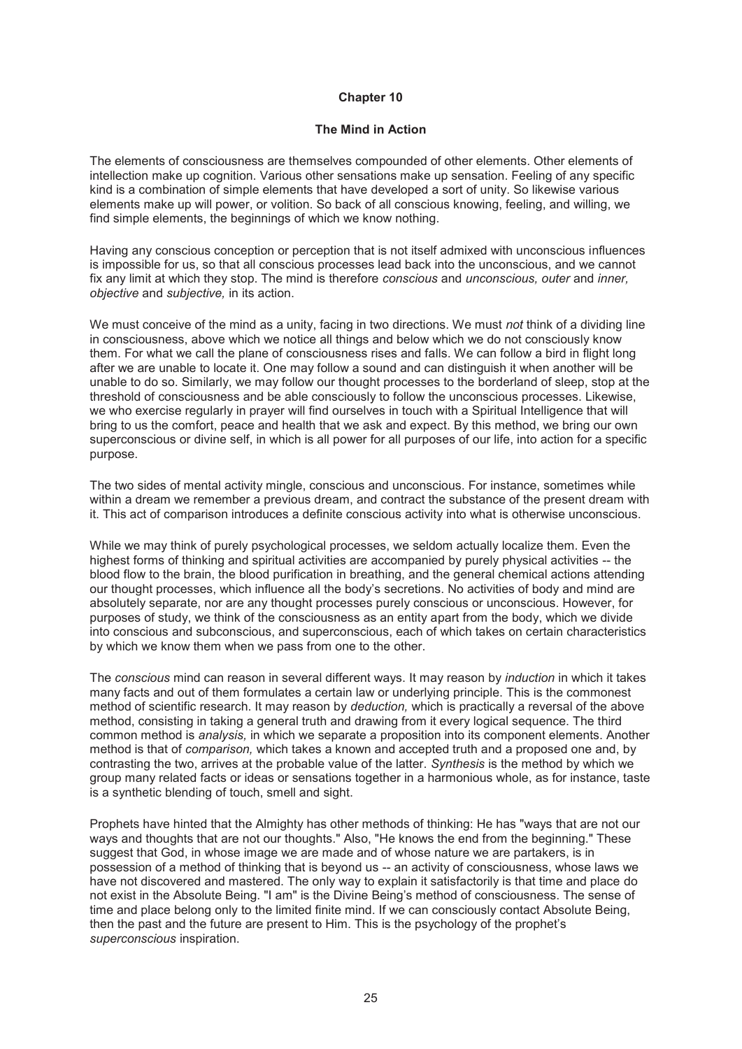#### **The Mind in Action**

The elements of consciousness are themselves compounded of other elements. Other elements of intellection make up cognition. Various other sensations make up sensation. Feeling of any specific kind is a combination of simple elements that have developed a sort of unity. So likewise various elements make up will power, or volition. So back of all conscious knowing, feeling, and willing, we find simple elements, the beginnings of which we know nothing.

Having any conscious conception or perception that is not itself admixed with unconscious influences is impossible for us, so that all conscious processes lead back into the unconscious, and we cannot fix any limit at which they stop. The mind is therefore *conscious* and *unconscious, outer* and *inner, objective* and *subjective,* in its action.

We must conceive of the mind as a unity, facing in two directions. We must *not* think of a dividing line in consciousness, above which we notice all things and below which we do not consciously know them. For what we call the plane of consciousness rises and falls. We can follow a bird in flight long after we are unable to locate it. One may follow a sound and can distinguish it when another will be unable to do so. Similarly, we may follow our thought processes to the borderland of sleep, stop at the threshold of consciousness and be able consciously to follow the unconscious processes. Likewise, we who exercise regularly in prayer will find ourselves in touch with a Spiritual Intelligence that will bring to us the comfort, peace and health that we ask and expect. By this method, we bring our own superconscious or divine self, in which is all power for all purposes of our life, into action for a specific purpose.

The two sides of mental activity mingle, conscious and unconscious. For instance, sometimes while within a dream we remember a previous dream, and contract the substance of the present dream with it. This act of comparison introduces a definite conscious activity into what is otherwise unconscious.

While we may think of purely psychological processes, we seldom actually localize them. Even the highest forms of thinking and spiritual activities are accompanied by purely physical activities -- the blood flow to the brain, the blood purification in breathing, and the general chemical actions attending our thought processes, which influence all the body's secretions. No activities of body and mind are absolutely separate, nor are any thought processes purely conscious or unconscious. However, for purposes of study, we think of the consciousness as an entity apart from the body, which we divide into conscious and subconscious, and superconscious, each of which takes on certain characteristics by which we know them when we pass from one to the other.

The *conscious* mind can reason in several different ways. It may reason by *induction* in which it takes many facts and out of them formulates a certain law or underlying principle. This is the commonest method of scientific research. It may reason by *deduction,* which is practically a reversal of the above method, consisting in taking a general truth and drawing from it every logical sequence. The third common method is *analysis,* in which we separate a proposition into its component elements. Another method is that of *comparison,* which takes a known and accepted truth and a proposed one and, by contrasting the two, arrives at the probable value of the latter. *Synthesis* is the method by which we group many related facts or ideas or sensations together in a harmonious whole, as for instance, taste is a synthetic blending of touch, smell and sight.

Prophets have hinted that the Almighty has other methods of thinking: He has "ways that are not our ways and thoughts that are not our thoughts." Also, "He knows the end from the beginning." These suggest that God, in whose image we are made and of whose nature we are partakers, is in possession of a method of thinking that is beyond us -- an activity of consciousness, whose laws we have not discovered and mastered. The only way to explain it satisfactorily is that time and place do not exist in the Absolute Being. "I am" is the Divine Being's method of consciousness. The sense of time and place belong only to the limited finite mind. If we can consciously contact Absolute Being, then the past and the future are present to Him. This is the psychology of the prophet's *superconscious* inspiration.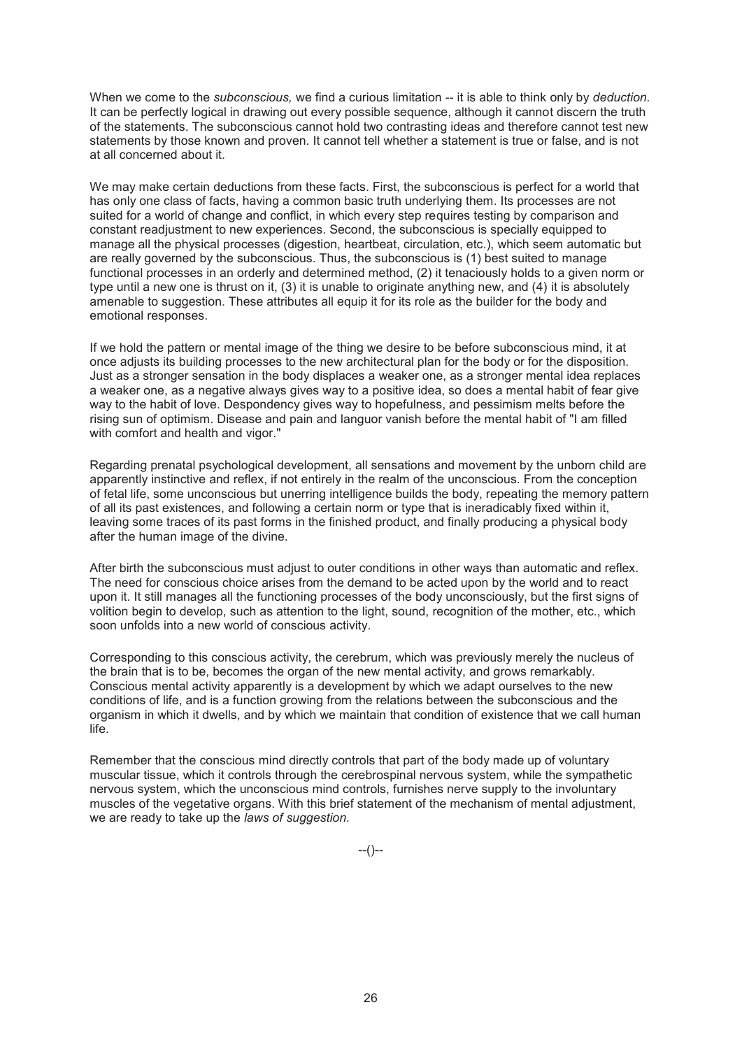When we come to the *subconscious,* we find a curious limitation -- it is able to think only by *deduction.*  It can be perfectly logical in drawing out every possible sequence, although it cannot discern the truth of the statements. The subconscious cannot hold two contrasting ideas and therefore cannot test new statements by those known and proven. It cannot tell whether a statement is true or false, and is not at all concerned about it.

We may make certain deductions from these facts. First, the subconscious is perfect for a world that has only one class of facts, having a common basic truth underlying them. Its processes are not suited for a world of change and conflict, in which every step requires testing by comparison and constant readjustment to new experiences. Second, the subconscious is specially equipped to manage all the physical processes (digestion, heartbeat, circulation, etc.), which seem automatic but are really governed by the subconscious. Thus, the subconscious is (1) best suited to manage functional processes in an orderly and determined method, (2) it tenaciously holds to a given norm or type until a new one is thrust on it, (3) it is unable to originate anything new, and (4) it is absolutely amenable to suggestion. These attributes all equip it for its role as the builder for the body and emotional responses.

If we hold the pattern or mental image of the thing we desire to be before subconscious mind, it at once adjusts its building processes to the new architectural plan for the body or for the disposition. Just as a stronger sensation in the body displaces a weaker one, as a stronger mental idea replaces a weaker one, as a negative always gives way to a positive idea, so does a mental habit of fear give way to the habit of love. Despondency gives way to hopefulness, and pessimism melts before the rising sun of optimism. Disease and pain and languor vanish before the mental habit of "I am filled with comfort and health and vigor."

Regarding prenatal psychological development, all sensations and movement by the unborn child are apparently instinctive and reflex, if not entirely in the realm of the unconscious. From the conception of fetal life, some unconscious but unerring intelligence builds the body, repeating the memory pattern of all its past existences, and following a certain norm or type that is ineradicably fixed within it, leaving some traces of its past forms in the finished product, and finally producing a physical body after the human image of the divine.

After birth the subconscious must adjust to outer conditions in other ways than automatic and reflex. The need for conscious choice arises from the demand to be acted upon by the world and to react upon it. It still manages all the functioning processes of the body unconsciously, but the first signs of volition begin to develop, such as attention to the light, sound, recognition of the mother, etc., which soon unfolds into a new world of conscious activity.

Corresponding to this conscious activity, the cerebrum, which was previously merely the nucleus of the brain that is to be, becomes the organ of the new mental activity, and grows remarkably. Conscious mental activity apparently is a development by which we adapt ourselves to the new conditions of life, and is a function growing from the relations between the subconscious and the organism in which it dwells, and by which we maintain that condition of existence that we call human life.

Remember that the conscious mind directly controls that part of the body made up of voluntary muscular tissue, which it controls through the cerebrospinal nervous system, while the sympathetic nervous system, which the unconscious mind controls, furnishes nerve supply to the involuntary muscles of the vegetative organs. With this brief statement of the mechanism of mental adjustment, we are ready to take up the *laws of suggestion.*

 $-(-)$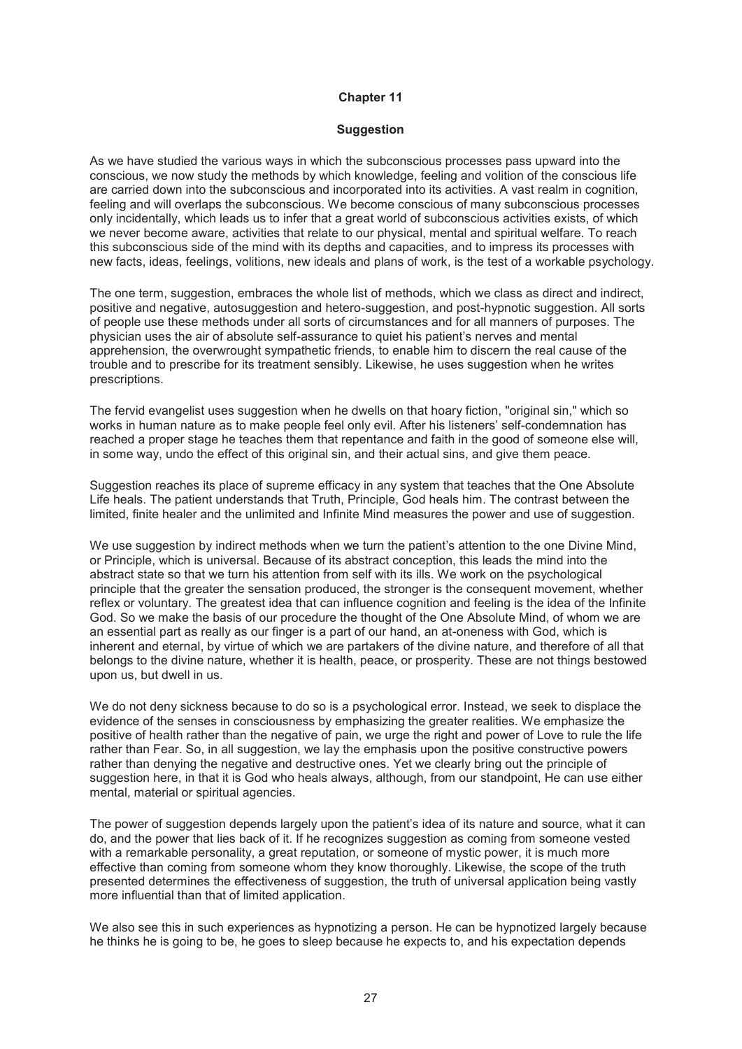#### **Suggestion**

As we have studied the various ways in which the subconscious processes pass upward into the conscious, we now study the methods by which knowledge, feeling and volition of the conscious life are carried down into the subconscious and incorporated into its activities. A vast realm in cognition, feeling and will overlaps the subconscious. We become conscious of many subconscious processes only incidentally, which leads us to infer that a great world of subconscious activities exists, of which we never become aware, activities that relate to our physical, mental and spiritual welfare. To reach this subconscious side of the mind with its depths and capacities, and to impress its processes with new facts, ideas, feelings, volitions, new ideals and plans of work, is the test of a workable psychology.

The one term, suggestion, embraces the whole list of methods, which we class as direct and indirect, positive and negative, autosuggestion and hetero-suggestion, and post-hypnotic suggestion. All sorts of people use these methods under all sorts of circumstances and for all manners of purposes. The physician uses the air of absolute self-assurance to quiet his patient's nerves and mental apprehension, the overwrought sympathetic friends, to enable him to discern the real cause of the trouble and to prescribe for its treatment sensibly. Likewise, he uses suggestion when he writes prescriptions.

The fervid evangelist uses suggestion when he dwells on that hoary fiction, "original sin," which so works in human nature as to make people feel only evil. After his listeners' self-condemnation has reached a proper stage he teaches them that repentance and faith in the good of someone else will, in some way, undo the effect of this original sin, and their actual sins, and give them peace.

Suggestion reaches its place of supreme efficacy in any system that teaches that the One Absolute Life heals. The patient understands that Truth, Principle, God heals him. The contrast between the limited, finite healer and the unlimited and Infinite Mind measures the power and use of suggestion.

We use suggestion by indirect methods when we turn the patient's attention to the one Divine Mind, or Principle, which is universal. Because of its abstract conception, this leads the mind into the abstract state so that we turn his attention from self with its ills. We work on the psychological principle that the greater the sensation produced, the stronger is the consequent movement, whether reflex or voluntary. The greatest idea that can influence cognition and feeling is the idea of the Infinite God. So we make the basis of our procedure the thought of the One Absolute Mind, of whom we are an essential part as really as our finger is a part of our hand, an at-oneness with God, which is inherent and eternal, by virtue of which we are partakers of the divine nature, and therefore of all that belongs to the divine nature, whether it is health, peace, or prosperity. These are not things bestowed upon us, but dwell in us.

We do not deny sickness because to do so is a psychological error. Instead, we seek to displace the evidence of the senses in consciousness by emphasizing the greater realities. We emphasize the positive of health rather than the negative of pain, we urge the right and power of Love to rule the life rather than Fear. So, in all suggestion, we lay the emphasis upon the positive constructive powers rather than denying the negative and destructive ones. Yet we clearly bring out the principle of suggestion here, in that it is God who heals always, although, from our standpoint, He can use either mental, material or spiritual agencies.

The power of suggestion depends largely upon the patient's idea of its nature and source, what it can do, and the power that lies back of it. If he recognizes suggestion as coming from someone vested with a remarkable personality, a great reputation, or someone of mystic power, it is much more effective than coming from someone whom they know thoroughly. Likewise, the scope of the truth presented determines the effectiveness of suggestion, the truth of universal application being vastly more influential than that of limited application.

We also see this in such experiences as hypnotizing a person. He can be hypnotized largely because he thinks he is going to be, he goes to sleep because he expects to, and his expectation depends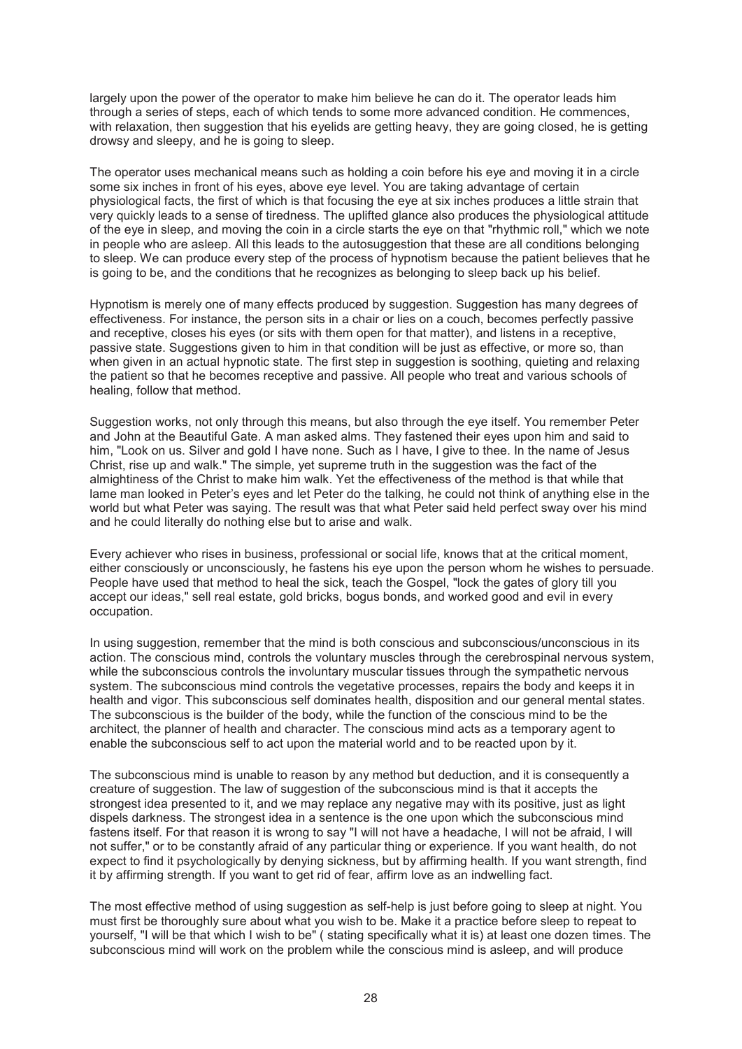largely upon the power of the operator to make him believe he can do it. The operator leads him through a series of steps, each of which tends to some more advanced condition. He commences, with relaxation, then suggestion that his eyelids are getting heavy, they are going closed, he is getting drowsy and sleepy, and he is going to sleep.

The operator uses mechanical means such as holding a coin before his eye and moving it in a circle some six inches in front of his eyes, above eye level. You are taking advantage of certain physiological facts, the first of which is that focusing the eye at six inches produces a little strain that very quickly leads to a sense of tiredness. The uplifted glance also produces the physiological attitude of the eye in sleep, and moving the coin in a circle starts the eye on that "rhythmic roll," which we note in people who are asleep. All this leads to the autosuggestion that these are all conditions belonging to sleep. We can produce every step of the process of hypnotism because the patient believes that he is going to be, and the conditions that he recognizes as belonging to sleep back up his belief.

Hypnotism is merely one of many effects produced by suggestion. Suggestion has many degrees of effectiveness. For instance, the person sits in a chair or lies on a couch, becomes perfectly passive and receptive, closes his eyes (or sits with them open for that matter), and listens in a receptive, passive state. Suggestions given to him in that condition will be just as effective, or more so, than when given in an actual hypnotic state. The first step in suggestion is soothing, quieting and relaxing the patient so that he becomes receptive and passive. All people who treat and various schools of healing, follow that method.

Suggestion works, not only through this means, but also through the eye itself. You remember Peter and John at the Beautiful Gate. A man asked alms. They fastened their eyes upon him and said to him, "Look on us. Silver and gold I have none. Such as I have, I give to thee. In the name of Jesus Christ, rise up and walk." The simple, yet supreme truth in the suggestion was the fact of the almightiness of the Christ to make him walk. Yet the effectiveness of the method is that while that lame man looked in Peter's eyes and let Peter do the talking, he could not think of anything else in the world but what Peter was saying. The result was that what Peter said held perfect sway over his mind and he could literally do nothing else but to arise and walk.

Every achiever who rises in business, professional or social life, knows that at the critical moment, either consciously or unconsciously, he fastens his eye upon the person whom he wishes to persuade. People have used that method to heal the sick, teach the Gospel, "lock the gates of glory till you accept our ideas," sell real estate, gold bricks, bogus bonds, and worked good and evil in every occupation.

In using suggestion, remember that the mind is both conscious and subconscious/unconscious in its action. The conscious mind, controls the voluntary muscles through the cerebrospinal nervous system, while the subconscious controls the involuntary muscular tissues through the sympathetic nervous system. The subconscious mind controls the vegetative processes, repairs the body and keeps it in health and vigor. This subconscious self dominates health, disposition and our general mental states. The subconscious is the builder of the body, while the function of the conscious mind to be the architect, the planner of health and character. The conscious mind acts as a temporary agent to enable the subconscious self to act upon the material world and to be reacted upon by it.

The subconscious mind is unable to reason by any method but deduction, and it is consequently a creature of suggestion. The law of suggestion of the subconscious mind is that it accepts the strongest idea presented to it, and we may replace any negative may with its positive, just as light dispels darkness. The strongest idea in a sentence is the one upon which the subconscious mind fastens itself. For that reason it is wrong to say "I will not have a headache, I will not be afraid, I will not suffer," or to be constantly afraid of any particular thing or experience. If you want health, do not expect to find it psychologically by denying sickness, but by affirming health. If you want strength, find it by affirming strength. If you want to get rid of fear, affirm love as an indwelling fact.

The most effective method of using suggestion as self-help is just before going to sleep at night. You must first be thoroughly sure about what you wish to be. Make it a practice before sleep to repeat to yourself, "I will be that which I wish to be" ( stating specifically what it is) at least one dozen times. The subconscious mind will work on the problem while the conscious mind is asleep, and will produce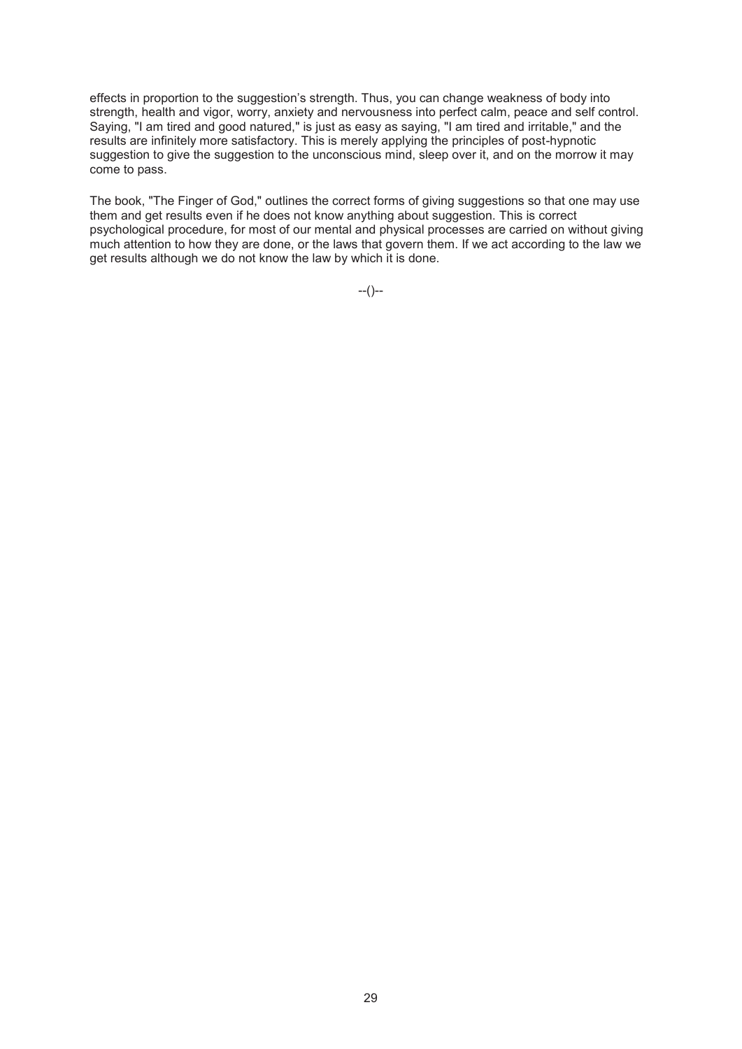effects in proportion to the suggestion's strength. Thus, you can change weakness of body into strength, health and vigor, worry, anxiety and nervousness into perfect calm, peace and self control. Saying, "I am tired and good natured," is just as easy as saying, "I am tired and irritable," and the results are infinitely more satisfactory. This is merely applying the principles of post-hypnotic suggestion to give the suggestion to the unconscious mind, sleep over it, and on the morrow it may come to pass.

The book, "The Finger of God," outlines the correct forms of giving suggestions so that one may use them and get results even if he does not know anything about suggestion. This is correct psychological procedure, for most of our mental and physical processes are carried on without giving much attention to how they are done, or the laws that govern them. If we act according to the law we get results although we do not know the law by which it is done.

 $-(-)$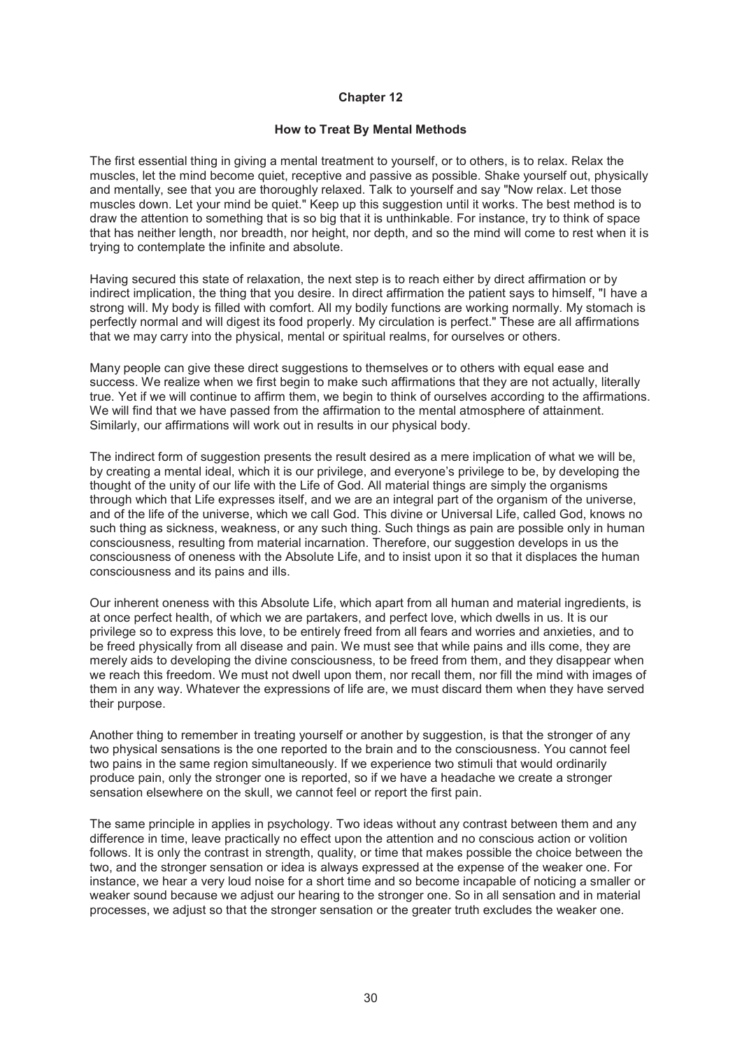#### **How to Treat By Mental Methods**

The first essential thing in giving a mental treatment to yourself, or to others, is to relax. Relax the muscles, let the mind become quiet, receptive and passive as possible. Shake yourself out, physically and mentally, see that you are thoroughly relaxed. Talk to yourself and say "Now relax. Let those muscles down. Let your mind be quiet." Keep up this suggestion until it works. The best method is to draw the attention to something that is so big that it is unthinkable. For instance, try to think of space that has neither length, nor breadth, nor height, nor depth, and so the mind will come to rest when it is trying to contemplate the infinite and absolute.

Having secured this state of relaxation, the next step is to reach either by direct affirmation or by indirect implication, the thing that you desire. In direct affirmation the patient says to himself, "I have a strong will. My body is filled with comfort. All my bodily functions are working normally. My stomach is perfectly normal and will digest its food properly. My circulation is perfect." These are all affirmations that we may carry into the physical, mental or spiritual realms, for ourselves or others.

Many people can give these direct suggestions to themselves or to others with equal ease and success. We realize when we first begin to make such affirmations that they are not actually, literally true. Yet if we will continue to affirm them, we begin to think of ourselves according to the affirmations. We will find that we have passed from the affirmation to the mental atmosphere of attainment. Similarly, our affirmations will work out in results in our physical body.

The indirect form of suggestion presents the result desired as a mere implication of what we will be, by creating a mental ideal, which it is our privilege, and everyone's privilege to be, by developing the thought of the unity of our life with the Life of God. All material things are simply the organisms through which that Life expresses itself, and we are an integral part of the organism of the universe, and of the life of the universe, which we call God. This divine or Universal Life, called God, knows no such thing as sickness, weakness, or any such thing. Such things as pain are possible only in human consciousness, resulting from material incarnation. Therefore, our suggestion develops in us the consciousness of oneness with the Absolute Life, and to insist upon it so that it displaces the human consciousness and its pains and ills.

Our inherent oneness with this Absolute Life, which apart from all human and material ingredients, is at once perfect health, of which we are partakers, and perfect love, which dwells in us. It is our privilege so to express this love, to be entirely freed from all fears and worries and anxieties, and to be freed physically from all disease and pain. We must see that while pains and ills come, they are merely aids to developing the divine consciousness, to be freed from them, and they disappear when we reach this freedom. We must not dwell upon them, nor recall them, nor fill the mind with images of them in any way. Whatever the expressions of life are, we must discard them when they have served their purpose.

Another thing to remember in treating yourself or another by suggestion, is that the stronger of any two physical sensations is the one reported to the brain and to the consciousness. You cannot feel two pains in the same region simultaneously. If we experience two stimuli that would ordinarily produce pain, only the stronger one is reported, so if we have a headache we create a stronger sensation elsewhere on the skull, we cannot feel or report the first pain.

The same principle in applies in psychology. Two ideas without any contrast between them and any difference in time, leave practically no effect upon the attention and no conscious action or volition follows. It is only the contrast in strength, quality, or time that makes possible the choice between the two, and the stronger sensation or idea is always expressed at the expense of the weaker one. For instance, we hear a very loud noise for a short time and so become incapable of noticing a smaller or weaker sound because we adjust our hearing to the stronger one. So in all sensation and in material processes, we adjust so that the stronger sensation or the greater truth excludes the weaker one.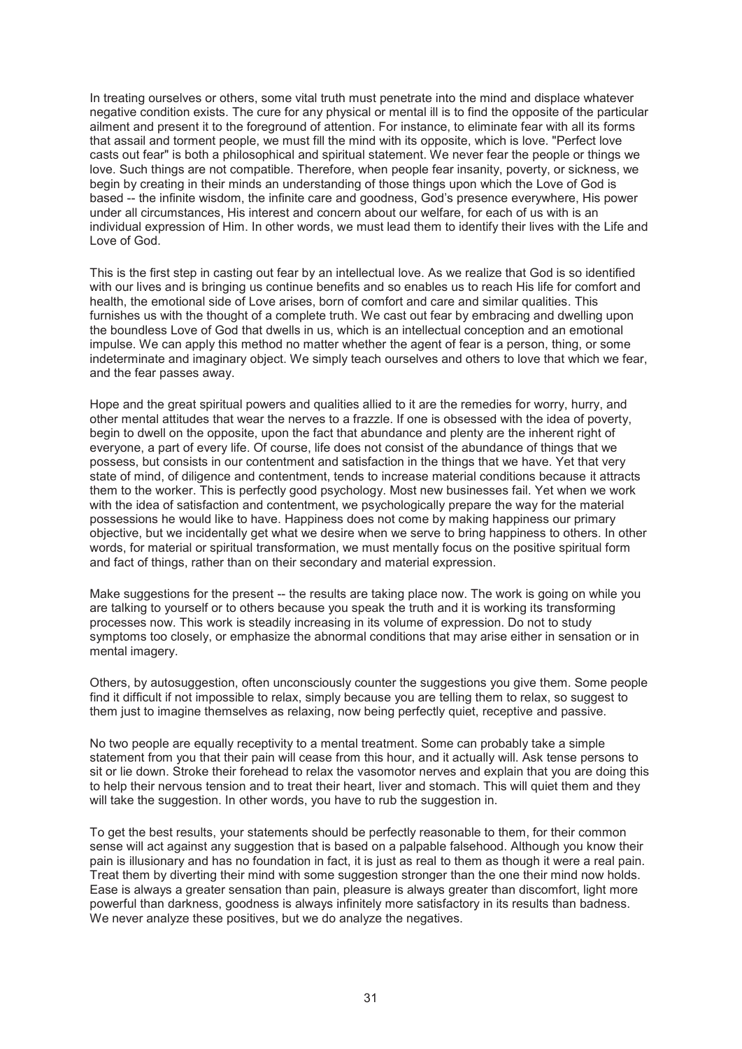In treating ourselves or others, some vital truth must penetrate into the mind and displace whatever negative condition exists. The cure for any physical or mental ill is to find the opposite of the particular ailment and present it to the foreground of attention. For instance, to eliminate fear with all its forms that assail and torment people, we must fill the mind with its opposite, which is love. "Perfect love casts out fear" is both a philosophical and spiritual statement. We never fear the people or things we love. Such things are not compatible. Therefore, when people fear insanity, poverty, or sickness, we begin by creating in their minds an understanding of those things upon which the Love of God is based -- the infinite wisdom, the infinite care and goodness, God's presence everywhere, His power under all circumstances, His interest and concern about our welfare, for each of us with is an individual expression of Him. In other words, we must lead them to identify their lives with the Life and Love of God.

This is the first step in casting out fear by an intellectual love. As we realize that God is so identified with our lives and is bringing us continue benefits and so enables us to reach His life for comfort and health, the emotional side of Love arises, born of comfort and care and similar qualities. This furnishes us with the thought of a complete truth. We cast out fear by embracing and dwelling upon the boundless Love of God that dwells in us, which is an intellectual conception and an emotional impulse. We can apply this method no matter whether the agent of fear is a person, thing, or some indeterminate and imaginary object. We simply teach ourselves and others to love that which we fear, and the fear passes away.

Hope and the great spiritual powers and qualities allied to it are the remedies for worry, hurry, and other mental attitudes that wear the nerves to a frazzle. If one is obsessed with the idea of poverty, begin to dwell on the opposite, upon the fact that abundance and plenty are the inherent right of everyone, a part of every life. Of course, life does not consist of the abundance of things that we possess, but consists in our contentment and satisfaction in the things that we have. Yet that very state of mind, of diligence and contentment, tends to increase material conditions because it attracts them to the worker. This is perfectly good psychology. Most new businesses fail. Yet when we work with the idea of satisfaction and contentment, we psychologically prepare the way for the material possessions he would like to have. Happiness does not come by making happiness our primary objective, but we incidentally get what we desire when we serve to bring happiness to others. In other words, for material or spiritual transformation, we must mentally focus on the positive spiritual form and fact of things, rather than on their secondary and material expression.

Make suggestions for the present -- the results are taking place now. The work is going on while you are talking to yourself or to others because you speak the truth and it is working its transforming processes now. This work is steadily increasing in its volume of expression. Do not to study symptoms too closely, or emphasize the abnormal conditions that may arise either in sensation or in mental imagery.

Others, by autosuggestion, often unconsciously counter the suggestions you give them. Some people find it difficult if not impossible to relax, simply because you are telling them to relax, so suggest to them just to imagine themselves as relaxing, now being perfectly quiet, receptive and passive.

No two people are equally receptivity to a mental treatment. Some can probably take a simple statement from you that their pain will cease from this hour, and it actually will. Ask tense persons to sit or lie down. Stroke their forehead to relax the vasomotor nerves and explain that you are doing this to help their nervous tension and to treat their heart, liver and stomach. This will quiet them and they will take the suggestion. In other words, you have to rub the suggestion in.

To get the best results, your statements should be perfectly reasonable to them, for their common sense will act against any suggestion that is based on a palpable falsehood. Although you know their pain is illusionary and has no foundation in fact, it is just as real to them as though it were a real pain. Treat them by diverting their mind with some suggestion stronger than the one their mind now holds. Ease is always a greater sensation than pain, pleasure is always greater than discomfort, light more powerful than darkness, goodness is always infinitely more satisfactory in its results than badness. We never analyze these positives, but we do analyze the negatives.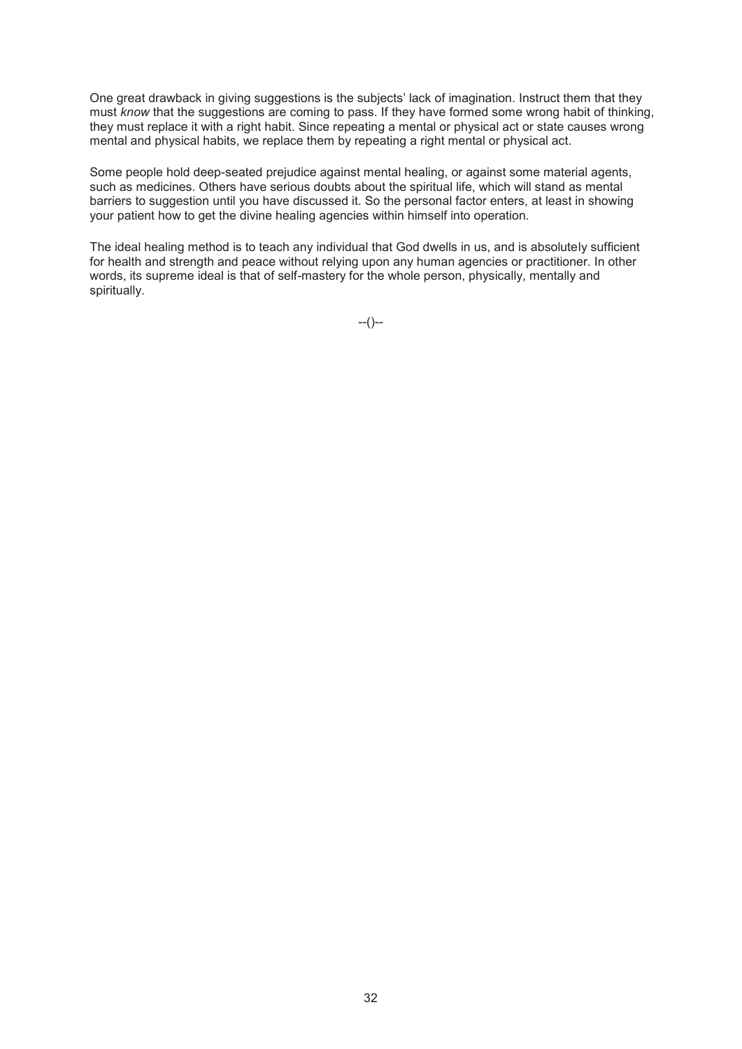One great drawback in giving suggestions is the subjects' lack of imagination. Instruct them that they must *know* that the suggestions are coming to pass. If they have formed some wrong habit of thinking, they must replace it with a right habit. Since repeating a mental or physical act or state causes wrong mental and physical habits, we replace them by repeating a right mental or physical act.

Some people hold deep-seated prejudice against mental healing, or against some material agents, such as medicines. Others have serious doubts about the spiritual life, which will stand as mental barriers to suggestion until you have discussed it. So the personal factor enters, at least in showing your patient how to get the divine healing agencies within himself into operation.

The ideal healing method is to teach any individual that God dwells in us, and is absolutely sufficient for health and strength and peace without relying upon any human agencies or practitioner. In other words, its supreme ideal is that of self-mastery for the whole person, physically, mentally and spiritually.

 $-(-)$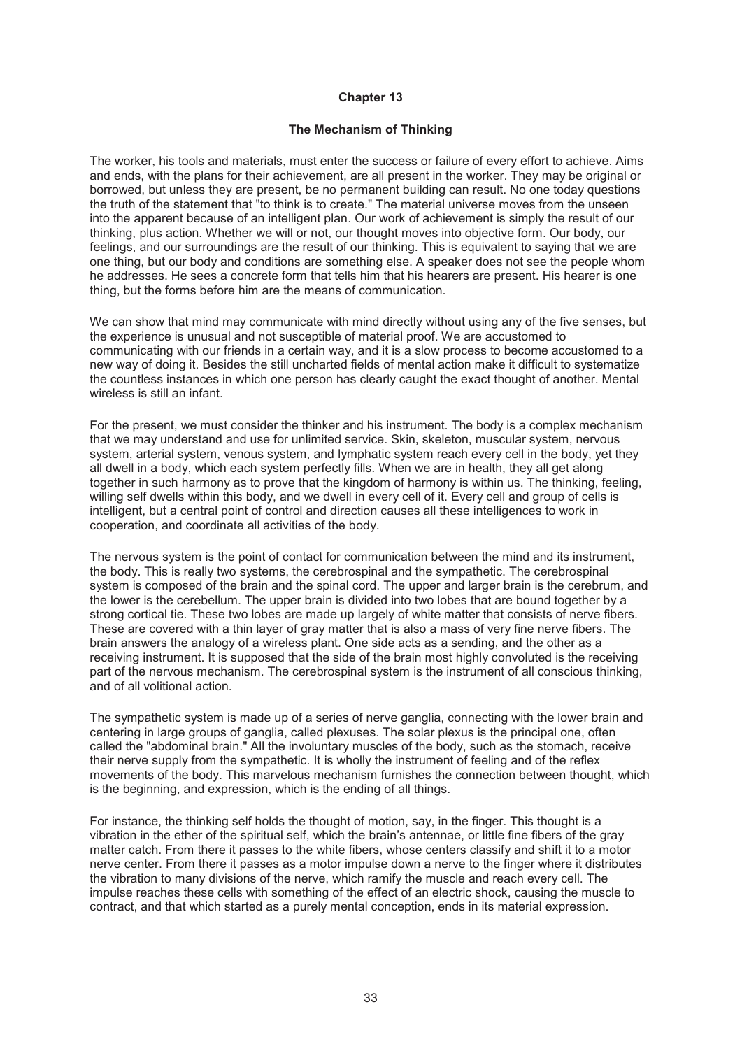### **The Mechanism of Thinking**

The worker, his tools and materials, must enter the success or failure of every effort to achieve. Aims and ends, with the plans for their achievement, are all present in the worker. They may be original or borrowed, but unless they are present, be no permanent building can result. No one today questions the truth of the statement that "to think is to create." The material universe moves from the unseen into the apparent because of an intelligent plan. Our work of achievement is simply the result of our thinking, plus action. Whether we will or not, our thought moves into objective form. Our body, our feelings, and our surroundings are the result of our thinking. This is equivalent to saying that we are one thing, but our body and conditions are something else. A speaker does not see the people whom he addresses. He sees a concrete form that tells him that his hearers are present. His hearer is one thing, but the forms before him are the means of communication.

We can show that mind may communicate with mind directly without using any of the five senses, but the experience is unusual and not susceptible of material proof. We are accustomed to communicating with our friends in a certain way, and it is a slow process to become accustomed to a new way of doing it. Besides the still uncharted fields of mental action make it difficult to systematize the countless instances in which one person has clearly caught the exact thought of another. Mental wireless is still an infant.

For the present, we must consider the thinker and his instrument. The body is a complex mechanism that we may understand and use for unlimited service. Skin, skeleton, muscular system, nervous system, arterial system, venous system, and lymphatic system reach every cell in the body, yet they all dwell in a body, which each system perfectly fills. When we are in health, they all get along together in such harmony as to prove that the kingdom of harmony is within us. The thinking, feeling, willing self dwells within this body, and we dwell in every cell of it. Every cell and group of cells is intelligent, but a central point of control and direction causes all these intelligences to work in cooperation, and coordinate all activities of the body.

The nervous system is the point of contact for communication between the mind and its instrument, the body. This is really two systems, the cerebrospinal and the sympathetic. The cerebrospinal system is composed of the brain and the spinal cord. The upper and larger brain is the cerebrum, and the lower is the cerebellum. The upper brain is divided into two lobes that are bound together by a strong cortical tie. These two lobes are made up largely of white matter that consists of nerve fibers. These are covered with a thin layer of gray matter that is also a mass of very fine nerve fibers. The brain answers the analogy of a wireless plant. One side acts as a sending, and the other as a receiving instrument. It is supposed that the side of the brain most highly convoluted is the receiving part of the nervous mechanism. The cerebrospinal system is the instrument of all conscious thinking, and of all volitional action.

The sympathetic system is made up of a series of nerve ganglia, connecting with the lower brain and centering in large groups of ganglia, called plexuses. The solar plexus is the principal one, often called the "abdominal brain." All the involuntary muscles of the body, such as the stomach, receive their nerve supply from the sympathetic. It is wholly the instrument of feeling and of the reflex movements of the body. This marvelous mechanism furnishes the connection between thought, which is the beginning, and expression, which is the ending of all things.

For instance, the thinking self holds the thought of motion, say, in the finger. This thought is a vibration in the ether of the spiritual self, which the brain's antennae, or little fine fibers of the gray matter catch. From there it passes to the white fibers, whose centers classify and shift it to a motor nerve center. From there it passes as a motor impulse down a nerve to the finger where it distributes the vibration to many divisions of the nerve, which ramify the muscle and reach every cell. The impulse reaches these cells with something of the effect of an electric shock, causing the muscle to contract, and that which started as a purely mental conception, ends in its material expression.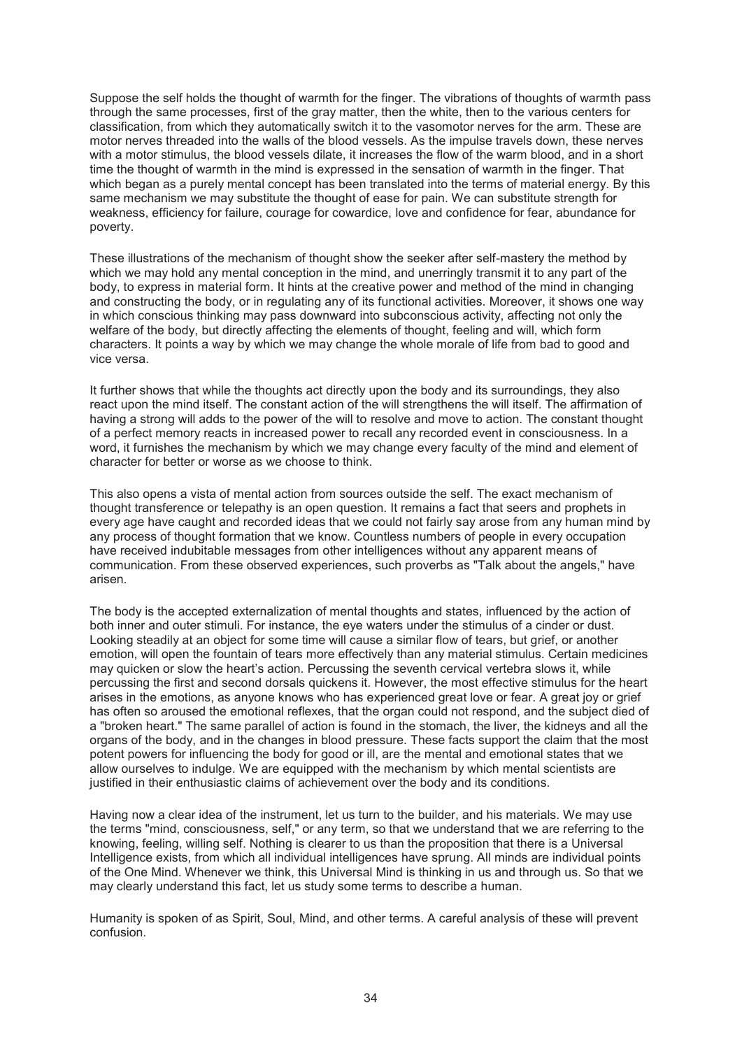Suppose the self holds the thought of warmth for the finger. The vibrations of thoughts of warmth pass through the same processes, first of the gray matter, then the white, then to the various centers for classification, from which they automatically switch it to the vasomotor nerves for the arm. These are motor nerves threaded into the walls of the blood vessels. As the impulse travels down, these nerves with a motor stimulus, the blood vessels dilate, it increases the flow of the warm blood, and in a short time the thought of warmth in the mind is expressed in the sensation of warmth in the finger. That which began as a purely mental concept has been translated into the terms of material energy. By this same mechanism we may substitute the thought of ease for pain. We can substitute strength for weakness, efficiency for failure, courage for cowardice, love and confidence for fear, abundance for poverty.

These illustrations of the mechanism of thought show the seeker after self-mastery the method by which we may hold any mental conception in the mind, and unerringly transmit it to any part of the body, to express in material form. It hints at the creative power and method of the mind in changing and constructing the body, or in regulating any of its functional activities. Moreover, it shows one way in which conscious thinking may pass downward into subconscious activity, affecting not only the welfare of the body, but directly affecting the elements of thought, feeling and will, which form characters. It points a way by which we may change the whole morale of life from bad to good and vice versa.

It further shows that while the thoughts act directly upon the body and its surroundings, they also react upon the mind itself. The constant action of the will strengthens the will itself. The affirmation of having a strong will adds to the power of the will to resolve and move to action. The constant thought of a perfect memory reacts in increased power to recall any recorded event in consciousness. In a word, it furnishes the mechanism by which we may change every faculty of the mind and element of character for better or worse as we choose to think.

This also opens a vista of mental action from sources outside the self. The exact mechanism of thought transference or telepathy is an open question. It remains a fact that seers and prophets in every age have caught and recorded ideas that we could not fairly say arose from any human mind by any process of thought formation that we know. Countless numbers of people in every occupation have received indubitable messages from other intelligences without any apparent means of communication. From these observed experiences, such proverbs as "Talk about the angels," have arisen.

The body is the accepted externalization of mental thoughts and states, influenced by the action of both inner and outer stimuli. For instance, the eye waters under the stimulus of a cinder or dust. Looking steadily at an object for some time will cause a similar flow of tears, but grief, or another emotion, will open the fountain of tears more effectively than any material stimulus. Certain medicines may quicken or slow the heart's action. Percussing the seventh cervical vertebra slows it, while percussing the first and second dorsals quickens it. However, the most effective stimulus for the heart arises in the emotions, as anyone knows who has experienced great love or fear. A great joy or grief has often so aroused the emotional reflexes, that the organ could not respond, and the subject died of a "broken heart." The same parallel of action is found in the stomach, the liver, the kidneys and all the organs of the body, and in the changes in blood pressure. These facts support the claim that the most potent powers for influencing the body for good or ill, are the mental and emotional states that we allow ourselves to indulge. We are equipped with the mechanism by which mental scientists are justified in their enthusiastic claims of achievement over the body and its conditions.

Having now a clear idea of the instrument, let us turn to the builder, and his materials. We may use the terms "mind, consciousness, self," or any term, so that we understand that we are referring to the knowing, feeling, willing self. Nothing is clearer to us than the proposition that there is a Universal Intelligence exists, from which all individual intelligences have sprung. All minds are individual points of the One Mind. Whenever we think, this Universal Mind is thinking in us and through us. So that we may clearly understand this fact, let us study some terms to describe a human.

Humanity is spoken of as Spirit, Soul, Mind, and other terms. A careful analysis of these will prevent confusion.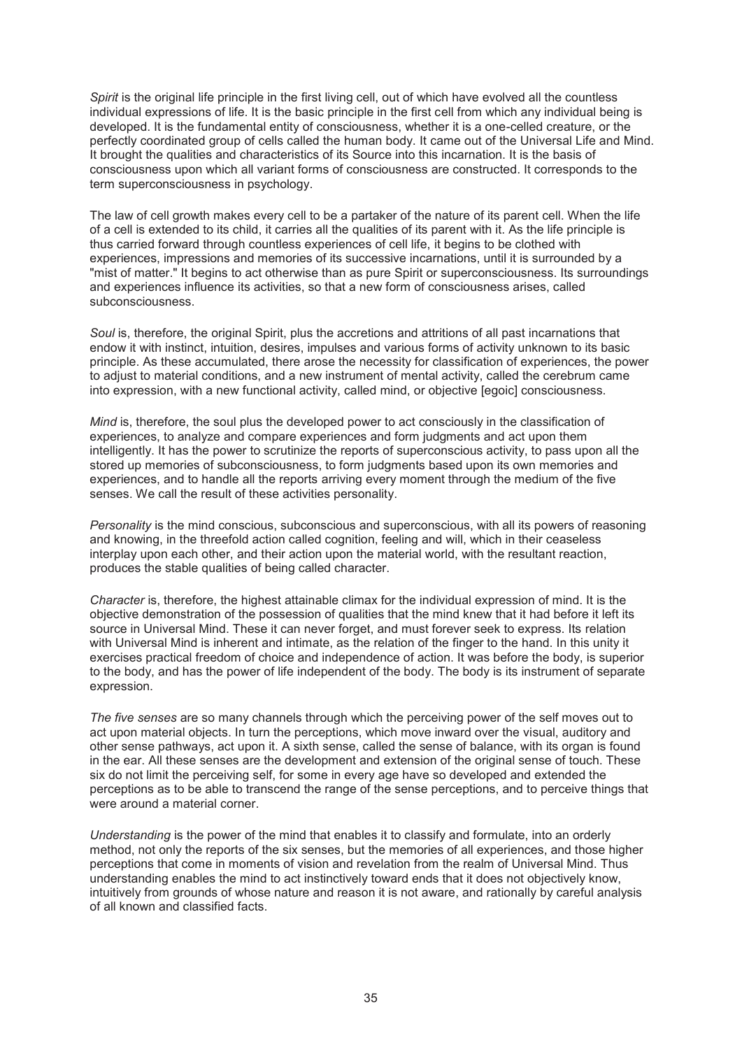*Spirit* is the original life principle in the first living cell, out of which have evolved all the countless individual expressions of life. It is the basic principle in the first cell from which any individual being is developed. It is the fundamental entity of consciousness, whether it is a one-celled creature, or the perfectly coordinated group of cells called the human body. It came out of the Universal Life and Mind. It brought the qualities and characteristics of its Source into this incarnation. It is the basis of consciousness upon which all variant forms of consciousness are constructed. It corresponds to the term superconsciousness in psychology.

The law of cell growth makes every cell to be a partaker of the nature of its parent cell. When the life of a cell is extended to its child, it carries all the qualities of its parent with it. As the life principle is thus carried forward through countless experiences of cell life, it begins to be clothed with experiences, impressions and memories of its successive incarnations, until it is surrounded by a "mist of matter." It begins to act otherwise than as pure Spirit or superconsciousness. Its surroundings and experiences influence its activities, so that a new form of consciousness arises, called subconsciousness.

Soul is, therefore, the original Spirit, plus the accretions and attritions of all past incarnations that endow it with instinct, intuition, desires, impulses and various forms of activity unknown to its basic principle. As these accumulated, there arose the necessity for classification of experiences, the power to adjust to material conditions, and a new instrument of mental activity, called the cerebrum came into expression, with a new functional activity, called mind, or objective [egoic] consciousness.

*Mind* is, therefore, the soul plus the developed power to act consciously in the classification of experiences, to analyze and compare experiences and form judgments and act upon them intelligently. It has the power to scrutinize the reports of superconscious activity, to pass upon all the stored up memories of subconsciousness, to form judgments based upon its own memories and experiences, and to handle all the reports arriving every moment through the medium of the five senses. We call the result of these activities personality.

*Personality* is the mind conscious, subconscious and superconscious, with all its powers of reasoning and knowing, in the threefold action called cognition, feeling and will, which in their ceaseless interplay upon each other, and their action upon the material world, with the resultant reaction, produces the stable qualities of being called character.

*Character* is, therefore, the highest attainable climax for the individual expression of mind. It is the objective demonstration of the possession of qualities that the mind knew that it had before it left its source in Universal Mind. These it can never forget, and must forever seek to express. Its relation with Universal Mind is inherent and intimate, as the relation of the finger to the hand. In this unity it exercises practical freedom of choice and independence of action. It was before the body, is superior to the body, and has the power of life independent of the body. The body is its instrument of separate expression.

*The five senses* are so many channels through which the perceiving power of the self moves out to act upon material objects. In turn the perceptions, which move inward over the visual, auditory and other sense pathways, act upon it. A sixth sense, called the sense of balance, with its organ is found in the ear. All these senses are the development and extension of the original sense of touch. These six do not limit the perceiving self, for some in every age have so developed and extended the perceptions as to be able to transcend the range of the sense perceptions, and to perceive things that were around a material corner.

*Understanding* is the power of the mind that enables it to classify and formulate, into an orderly method, not only the reports of the six senses, but the memories of all experiences, and those higher perceptions that come in moments of vision and revelation from the realm of Universal Mind. Thus understanding enables the mind to act instinctively toward ends that it does not objectively know, intuitively from grounds of whose nature and reason it is not aware, and rationally by careful analysis of all known and classified facts.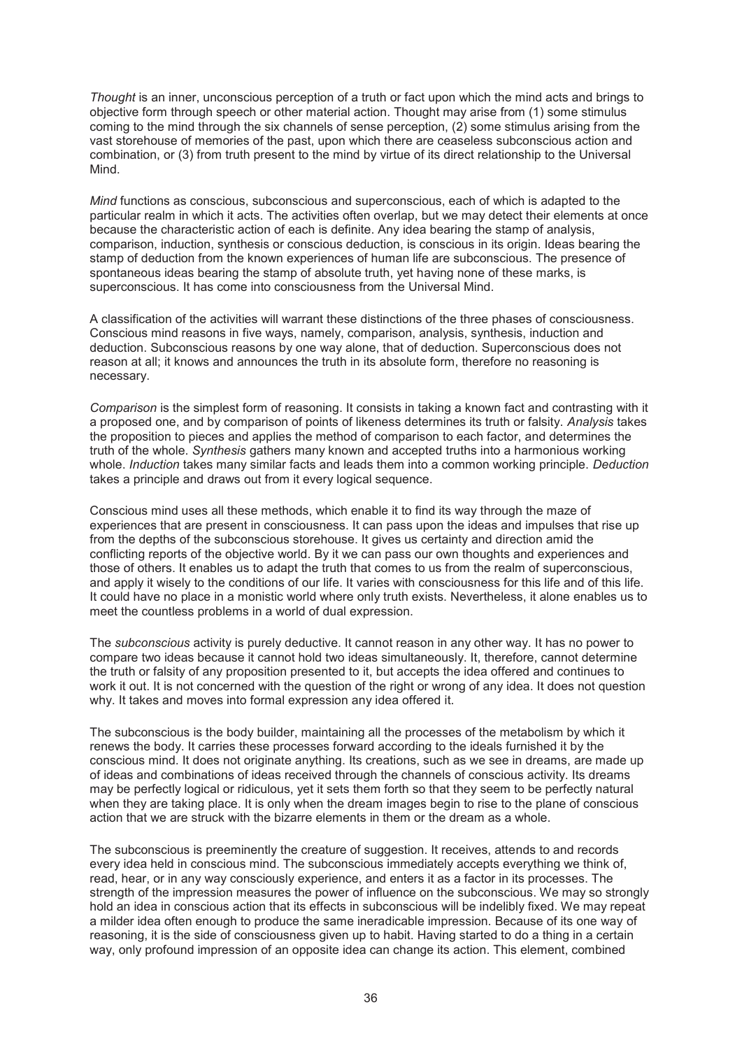*Thought* is an inner, unconscious perception of a truth or fact upon which the mind acts and brings to objective form through speech or other material action. Thought may arise from (1) some stimulus coming to the mind through the six channels of sense perception, (2) some stimulus arising from the vast storehouse of memories of the past, upon which there are ceaseless subconscious action and combination, or (3) from truth present to the mind by virtue of its direct relationship to the Universal Mind.

*Mind* functions as conscious, subconscious and superconscious, each of which is adapted to the particular realm in which it acts. The activities often overlap, but we may detect their elements at once because the characteristic action of each is definite. Any idea bearing the stamp of analysis, comparison, induction, synthesis or conscious deduction, is conscious in its origin. Ideas bearing the stamp of deduction from the known experiences of human life are subconscious. The presence of spontaneous ideas bearing the stamp of absolute truth, yet having none of these marks, is superconscious. It has come into consciousness from the Universal Mind.

A classification of the activities will warrant these distinctions of the three phases of consciousness. Conscious mind reasons in five ways, namely, comparison, analysis, synthesis, induction and deduction. Subconscious reasons by one way alone, that of deduction. Superconscious does not reason at all; it knows and announces the truth in its absolute form, therefore no reasoning is necessary.

*Comparison* is the simplest form of reasoning. It consists in taking a known fact and contrasting with it a proposed one, and by comparison of points of likeness determines its truth or falsity. *Analysis* takes the proposition to pieces and applies the method of comparison to each factor, and determines the truth of the whole. *Synthesis* gathers many known and accepted truths into a harmonious working whole. *Induction* takes many similar facts and leads them into a common working principle. *Deduction*  takes a principle and draws out from it every logical sequence.

Conscious mind uses all these methods, which enable it to find its way through the maze of experiences that are present in consciousness. It can pass upon the ideas and impulses that rise up from the depths of the subconscious storehouse. It gives us certainty and direction amid the conflicting reports of the objective world. By it we can pass our own thoughts and experiences and those of others. It enables us to adapt the truth that comes to us from the realm of superconscious, and apply it wisely to the conditions of our life. It varies with consciousness for this life and of this life. It could have no place in a monistic world where only truth exists. Nevertheless, it alone enables us to meet the countless problems in a world of dual expression.

The *subconscious* activity is purely deductive. It cannot reason in any other way. It has no power to compare two ideas because it cannot hold two ideas simultaneously. It, therefore, cannot determine the truth or falsity of any proposition presented to it, but accepts the idea offered and continues to work it out. It is not concerned with the question of the right or wrong of any idea. It does not question why. It takes and moves into formal expression any idea offered it.

The subconscious is the body builder, maintaining all the processes of the metabolism by which it renews the body. It carries these processes forward according to the ideals furnished it by the conscious mind. It does not originate anything. Its creations, such as we see in dreams, are made up of ideas and combinations of ideas received through the channels of conscious activity. Its dreams may be perfectly logical or ridiculous, yet it sets them forth so that they seem to be perfectly natural when they are taking place. It is only when the dream images begin to rise to the plane of conscious action that we are struck with the bizarre elements in them or the dream as a whole.

The subconscious is preeminently the creature of suggestion. It receives, attends to and records every idea held in conscious mind. The subconscious immediately accepts everything we think of, read, hear, or in any way consciously experience, and enters it as a factor in its processes. The strength of the impression measures the power of influence on the subconscious. We may so strongly hold an idea in conscious action that its effects in subconscious will be indelibly fixed. We may repeat a milder idea often enough to produce the same ineradicable impression. Because of its one way of reasoning, it is the side of consciousness given up to habit. Having started to do a thing in a certain way, only profound impression of an opposite idea can change its action. This element, combined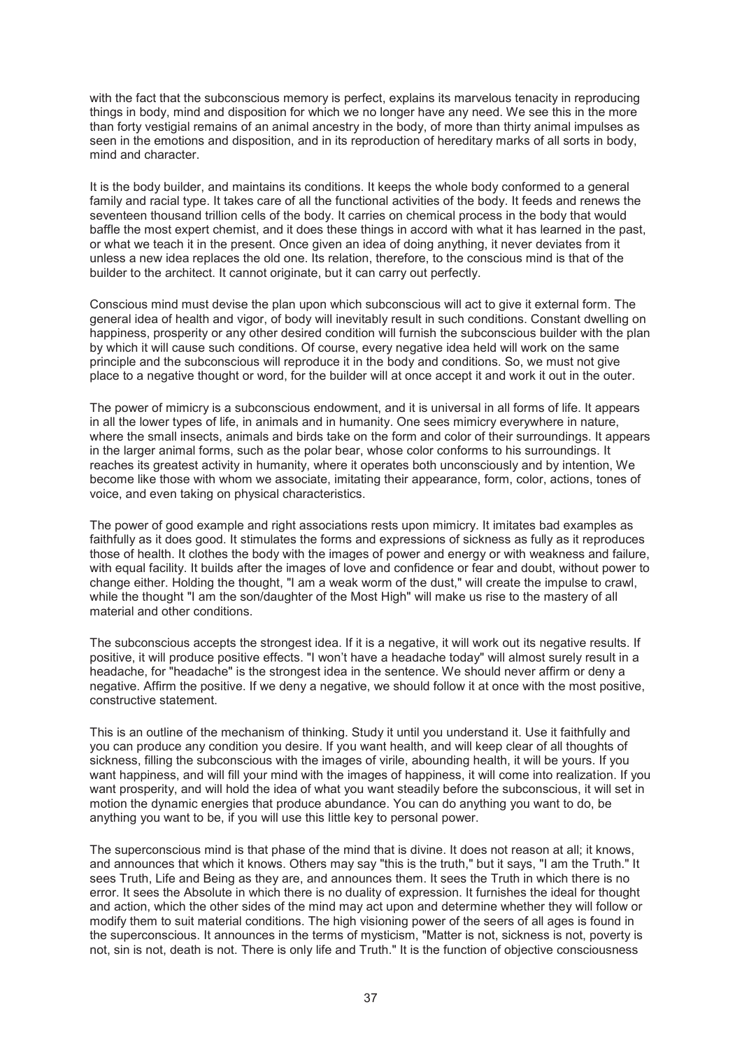with the fact that the subconscious memory is perfect, explains its marvelous tenacity in reproducing things in body, mind and disposition for which we no longer have any need. We see this in the more than forty vestigial remains of an animal ancestry in the body, of more than thirty animal impulses as seen in the emotions and disposition, and in its reproduction of hereditary marks of all sorts in body, mind and character.

It is the body builder, and maintains its conditions. It keeps the whole body conformed to a general family and racial type. It takes care of all the functional activities of the body. It feeds and renews the seventeen thousand trillion cells of the body. It carries on chemical process in the body that would baffle the most expert chemist, and it does these things in accord with what it has learned in the past, or what we teach it in the present. Once given an idea of doing anything, it never deviates from it unless a new idea replaces the old one. Its relation, therefore, to the conscious mind is that of the builder to the architect. It cannot originate, but it can carry out perfectly.

Conscious mind must devise the plan upon which subconscious will act to give it external form. The general idea of health and vigor, of body will inevitably result in such conditions. Constant dwelling on happiness, prosperity or any other desired condition will furnish the subconscious builder with the plan by which it will cause such conditions. Of course, every negative idea held will work on the same principle and the subconscious will reproduce it in the body and conditions. So, we must not give place to a negative thought or word, for the builder will at once accept it and work it out in the outer.

The power of mimicry is a subconscious endowment, and it is universal in all forms of life. It appears in all the lower types of life, in animals and in humanity. One sees mimicry everywhere in nature, where the small insects, animals and birds take on the form and color of their surroundings. It appears in the larger animal forms, such as the polar bear, whose color conforms to his surroundings. It reaches its greatest activity in humanity, where it operates both unconsciously and by intention, We become like those with whom we associate, imitating their appearance, form, color, actions, tones of voice, and even taking on physical characteristics.

The power of good example and right associations rests upon mimicry. It imitates bad examples as faithfully as it does good. It stimulates the forms and expressions of sickness as fully as it reproduces those of health. It clothes the body with the images of power and energy or with weakness and failure, with equal facility. It builds after the images of love and confidence or fear and doubt, without power to change either. Holding the thought, "I am a weak worm of the dust," will create the impulse to crawl, while the thought "I am the son/daughter of the Most High" will make us rise to the mastery of all material and other conditions.

The subconscious accepts the strongest idea. If it is a negative, it will work out its negative results. If positive, it will produce positive effects. "I won't have a headache today" will almost surely result in a headache, for "headache" is the strongest idea in the sentence. We should never affirm or deny a negative. Affirm the positive. If we deny a negative, we should follow it at once with the most positive, constructive statement.

This is an outline of the mechanism of thinking. Study it until you understand it. Use it faithfully and you can produce any condition you desire. If you want health, and will keep clear of all thoughts of sickness, filling the subconscious with the images of virile, abounding health, it will be yours. If you want happiness, and will fill your mind with the images of happiness, it will come into realization. If you want prosperity, and will hold the idea of what you want steadily before the subconscious, it will set in motion the dynamic energies that produce abundance. You can do anything you want to do, be anything you want to be, if you will use this little key to personal power.

The superconscious mind is that phase of the mind that is divine. It does not reason at all; it knows, and announces that which it knows. Others may say "this is the truth," but it says, "I am the Truth." It sees Truth, Life and Being as they are, and announces them. It sees the Truth in which there is no error. It sees the Absolute in which there is no duality of expression. It furnishes the ideal for thought and action, which the other sides of the mind may act upon and determine whether they will follow or modify them to suit material conditions. The high visioning power of the seers of all ages is found in the superconscious. It announces in the terms of mysticism, "Matter is not, sickness is not, poverty is not, sin is not, death is not. There is only life and Truth." It is the function of objective consciousness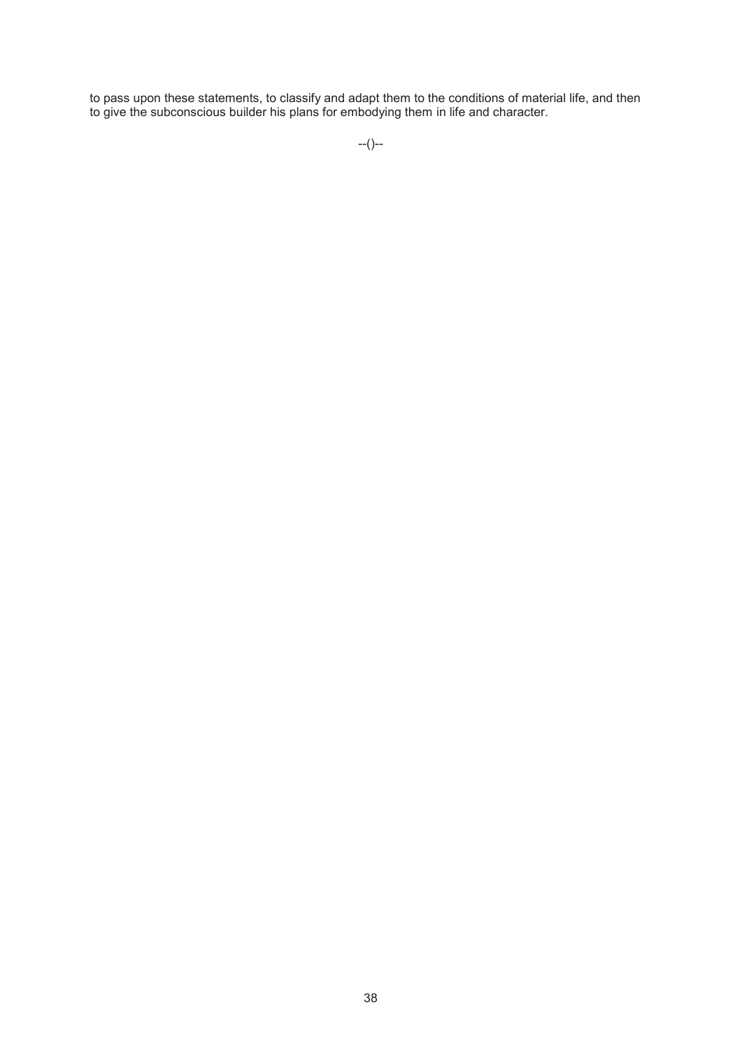to pass upon these statements, to classify and adapt them to the conditions of material life, and then to give the subconscious builder his plans for embodying them in life and character.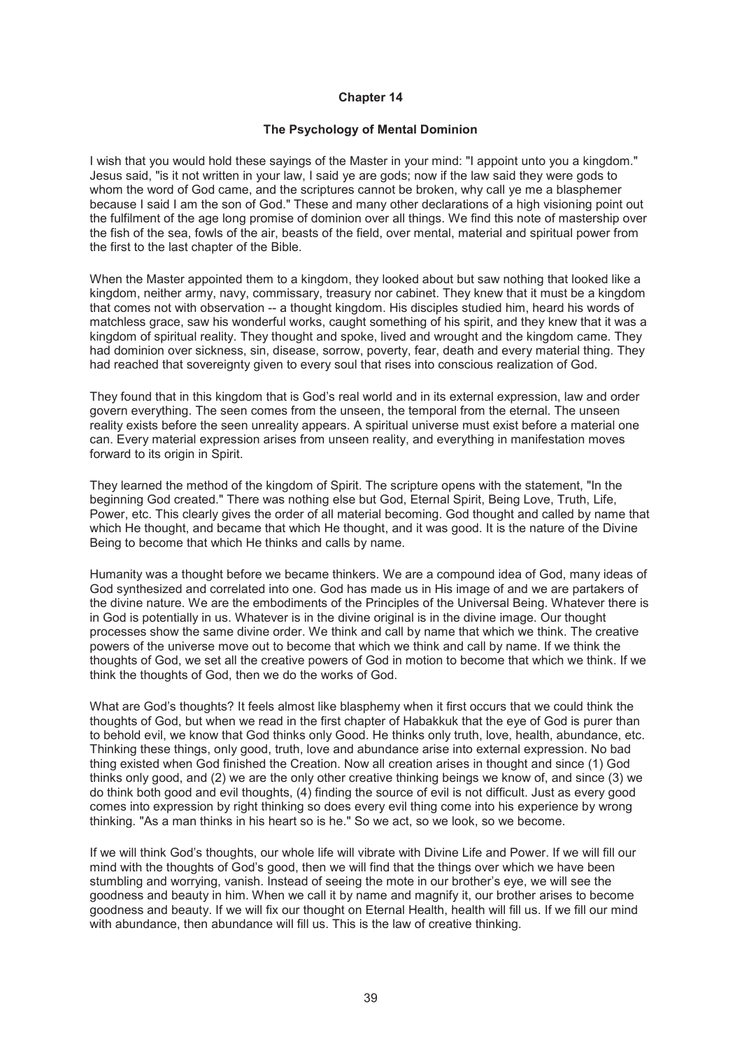# **The Psychology of Mental Dominion**

I wish that you would hold these sayings of the Master in your mind: "I appoint unto you a kingdom." Jesus said, "is it not written in your law, I said ye are gods; now if the law said they were gods to whom the word of God came, and the scriptures cannot be broken, why call ye me a blasphemer because I said I am the son of God." These and many other declarations of a high visioning point out the fulfilment of the age long promise of dominion over all things. We find this note of mastership over the fish of the sea, fowls of the air, beasts of the field, over mental, material and spiritual power from the first to the last chapter of the Bible.

When the Master appointed them to a kingdom, they looked about but saw nothing that looked like a kingdom, neither army, navy, commissary, treasury nor cabinet. They knew that it must be a kingdom that comes not with observation -- a thought kingdom. His disciples studied him, heard his words of matchless grace, saw his wonderful works, caught something of his spirit, and they knew that it was a kingdom of spiritual reality. They thought and spoke, lived and wrought and the kingdom came. They had dominion over sickness, sin, disease, sorrow, poverty, fear, death and every material thing. They had reached that sovereignty given to every soul that rises into conscious realization of God.

They found that in this kingdom that is God's real world and in its external expression, law and order govern everything. The seen comes from the unseen, the temporal from the eternal. The unseen reality exists before the seen unreality appears. A spiritual universe must exist before a material one can. Every material expression arises from unseen reality, and everything in manifestation moves forward to its origin in Spirit.

They learned the method of the kingdom of Spirit. The scripture opens with the statement, "In the beginning God created." There was nothing else but God, Eternal Spirit, Being Love, Truth, Life, Power, etc. This clearly gives the order of all material becoming. God thought and called by name that which He thought, and became that which He thought, and it was good. It is the nature of the Divine Being to become that which He thinks and calls by name.

Humanity was a thought before we became thinkers. We are a compound idea of God, many ideas of God synthesized and correlated into one. God has made us in His image of and we are partakers of the divine nature. We are the embodiments of the Principles of the Universal Being. Whatever there is in God is potentially in us. Whatever is in the divine original is in the divine image. Our thought processes show the same divine order. We think and call by name that which we think. The creative powers of the universe move out to become that which we think and call by name. If we think the thoughts of God, we set all the creative powers of God in motion to become that which we think. If we think the thoughts of God, then we do the works of God.

What are God's thoughts? It feels almost like blasphemy when it first occurs that we could think the thoughts of God, but when we read in the first chapter of Habakkuk that the eye of God is purer than to behold evil, we know that God thinks only Good. He thinks only truth, love, health, abundance, etc. Thinking these things, only good, truth, love and abundance arise into external expression. No bad thing existed when God finished the Creation. Now all creation arises in thought and since (1) God thinks only good, and (2) we are the only other creative thinking beings we know of, and since (3) we do think both good and evil thoughts, (4) finding the source of evil is not difficult. Just as every good comes into expression by right thinking so does every evil thing come into his experience by wrong thinking. "As a man thinks in his heart so is he." So we act, so we look, so we become.

If we will think God's thoughts, our whole life will vibrate with Divine Life and Power. If we will fill our mind with the thoughts of God's good, then we will find that the things over which we have been stumbling and worrying, vanish. Instead of seeing the mote in our brother's eye, we will see the goodness and beauty in him. When we call it by name and magnify it, our brother arises to become goodness and beauty. If we will fix our thought on Eternal Health, health will fill us. If we fill our mind with abundance, then abundance will fill us. This is the law of creative thinking.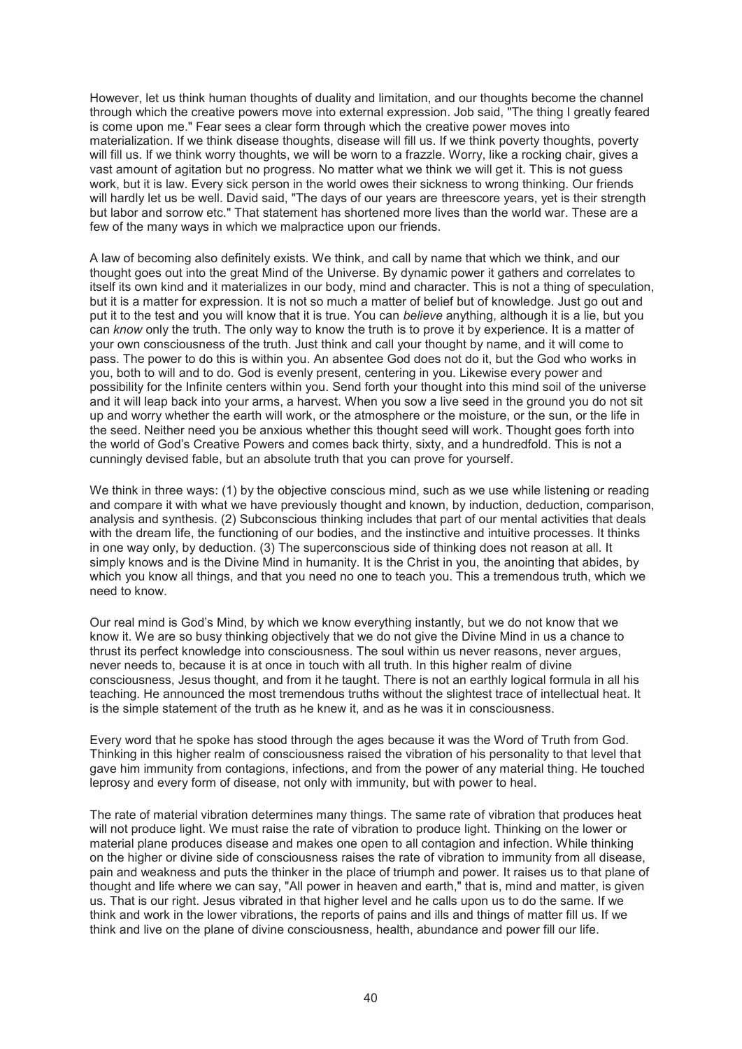However, let us think human thoughts of duality and limitation, and our thoughts become the channel through which the creative powers move into external expression. Job said, "The thing I greatly feared is come upon me." Fear sees a clear form through which the creative power moves into materialization. If we think disease thoughts, disease will fill us. If we think poverty thoughts, poverty will fill us. If we think worry thoughts, we will be worn to a frazzle. Worry, like a rocking chair, gives a vast amount of agitation but no progress. No matter what we think we will get it. This is not guess work, but it is law. Every sick person in the world owes their sickness to wrong thinking. Our friends will hardly let us be well. David said, "The days of our years are threescore years, yet is their strength but labor and sorrow etc." That statement has shortened more lives than the world war. These are a few of the many ways in which we malpractice upon our friends.

A law of becoming also definitely exists. We think, and call by name that which we think, and our thought goes out into the great Mind of the Universe. By dynamic power it gathers and correlates to itself its own kind and it materializes in our body, mind and character. This is not a thing of speculation, but it is a matter for expression. It is not so much a matter of belief but of knowledge. Just go out and put it to the test and you will know that it is true. You can *believe* anything, although it is a lie, but you can *know* only the truth. The only way to know the truth is to prove it by experience. It is a matter of your own consciousness of the truth. Just think and call your thought by name, and it will come to pass. The power to do this is within you. An absentee God does not do it, but the God who works in you, both to will and to do. God is evenly present, centering in you. Likewise every power and possibility for the Infinite centers within you. Send forth your thought into this mind soil of the universe and it will leap back into your arms, a harvest. When you sow a live seed in the ground you do not sit up and worry whether the earth will work, or the atmosphere or the moisture, or the sun, or the life in the seed. Neither need you be anxious whether this thought seed will work. Thought goes forth into the world of God's Creative Powers and comes back thirty, sixty, and a hundredfold. This is not a cunningly devised fable, but an absolute truth that you can prove for yourself.

We think in three ways: (1) by the objective conscious mind, such as we use while listening or reading and compare it with what we have previously thought and known, by induction, deduction, comparison, analysis and synthesis. (2) Subconscious thinking includes that part of our mental activities that deals with the dream life, the functioning of our bodies, and the instinctive and intuitive processes. It thinks in one way only, by deduction. (3) The superconscious side of thinking does not reason at all. It simply knows and is the Divine Mind in humanity. It is the Christ in you, the anointing that abides, by which you know all things, and that you need no one to teach you. This a tremendous truth, which we need to know.

Our real mind is God's Mind, by which we know everything instantly, but we do not know that we know it. We are so busy thinking objectively that we do not give the Divine Mind in us a chance to thrust its perfect knowledge into consciousness. The soul within us never reasons, never argues, never needs to, because it is at once in touch with all truth. In this higher realm of divine consciousness, Jesus thought, and from it he taught. There is not an earthly logical formula in all his teaching. He announced the most tremendous truths without the slightest trace of intellectual heat. It is the simple statement of the truth as he knew it, and as he was it in consciousness.

Every word that he spoke has stood through the ages because it was the Word of Truth from God. Thinking in this higher realm of consciousness raised the vibration of his personality to that level that gave him immunity from contagions, infections, and from the power of any material thing. He touched leprosy and every form of disease, not only with immunity, but with power to heal.

The rate of material vibration determines many things. The same rate of vibration that produces heat will not produce light. We must raise the rate of vibration to produce light. Thinking on the lower or material plane produces disease and makes one open to all contagion and infection. While thinking on the higher or divine side of consciousness raises the rate of vibration to immunity from all disease, pain and weakness and puts the thinker in the place of triumph and power. It raises us to that plane of thought and life where we can say, "All power in heaven and earth," that is, mind and matter, is given us. That is our right. Jesus vibrated in that higher level and he calls upon us to do the same. If we think and work in the lower vibrations, the reports of pains and ills and things of matter fill us. If we think and live on the plane of divine consciousness, health, abundance and power fill our life.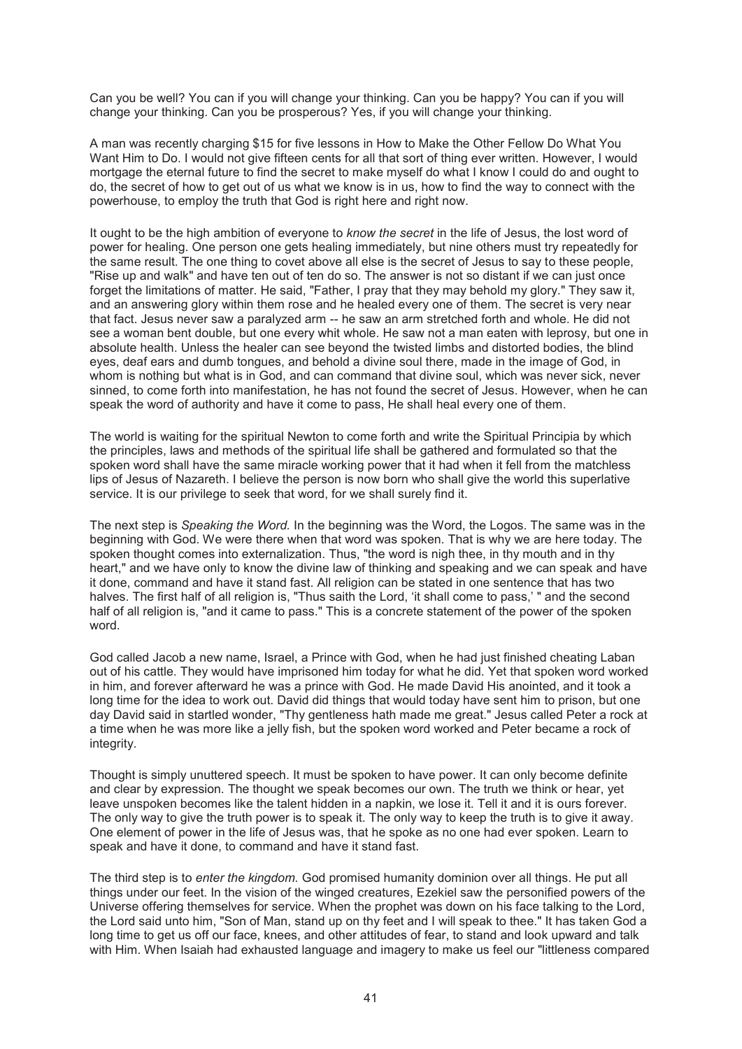Can you be well? You can if you will change your thinking. Can you be happy? You can if you will change your thinking. Can you be prosperous? Yes, if you will change your thinking.

A man was recently charging \$15 for five lessons in How to Make the Other Fellow Do What You Want Him to Do. I would not give fifteen cents for all that sort of thing ever written. However, I would mortgage the eternal future to find the secret to make myself do what I know I could do and ought to do, the secret of how to get out of us what we know is in us, how to find the way to connect with the powerhouse, to employ the truth that God is right here and right now.

It ought to be the high ambition of everyone to *know the secret* in the life of Jesus, the lost word of power for healing. One person one gets healing immediately, but nine others must try repeatedly for the same result. The one thing to covet above all else is the secret of Jesus to say to these people, "Rise up and walk" and have ten out of ten do so. The answer is not so distant if we can just once forget the limitations of matter. He said, "Father, I pray that they may behold my glory." They saw it, and an answering glory within them rose and he healed every one of them. The secret is very near that fact. Jesus never saw a paralyzed arm -- he saw an arm stretched forth and whole. He did not see a woman bent double, but one every whit whole. He saw not a man eaten with leprosy, but one in absolute health. Unless the healer can see beyond the twisted limbs and distorted bodies, the blind eyes, deaf ears and dumb tongues, and behold a divine soul there, made in the image of God, in whom is nothing but what is in God, and can command that divine soul, which was never sick, never sinned, to come forth into manifestation, he has not found the secret of Jesus. However, when he can speak the word of authority and have it come to pass, He shall heal every one of them.

The world is waiting for the spiritual Newton to come forth and write the Spiritual Principia by which the principles, laws and methods of the spiritual life shall be gathered and formulated so that the spoken word shall have the same miracle working power that it had when it fell from the matchless lips of Jesus of Nazareth. I believe the person is now born who shall give the world this superlative service. It is our privilege to seek that word, for we shall surely find it.

The next step is *Speaking the Word.* In the beginning was the Word, the Logos. The same was in the beginning with God. We were there when that word was spoken. That is why we are here today. The spoken thought comes into externalization. Thus, "the word is nigh thee, in thy mouth and in thy heart," and we have only to know the divine law of thinking and speaking and we can speak and have it done, command and have it stand fast. All religion can be stated in one sentence that has two halves. The first half of all religion is, "Thus saith the Lord, 'it shall come to pass,' " and the second half of all religion is, "and it came to pass." This is a concrete statement of the power of the spoken word.

God called Jacob a new name, Israel, a Prince with God, when he had just finished cheating Laban out of his cattle. They would have imprisoned him today for what he did. Yet that spoken word worked in him, and forever afterward he was a prince with God. He made David His anointed, and it took a long time for the idea to work out. David did things that would today have sent him to prison, but one day David said in startled wonder, "Thy gentleness hath made me great." Jesus called Peter a rock at a time when he was more like a jelly fish, but the spoken word worked and Peter became a rock of integrity.

Thought is simply unuttered speech. It must be spoken to have power. It can only become definite and clear by expression. The thought we speak becomes our own. The truth we think or hear, yet leave unspoken becomes like the talent hidden in a napkin, we lose it. Tell it and it is ours forever. The only way to give the truth power is to speak it. The only way to keep the truth is to give it away. One element of power in the life of Jesus was, that he spoke as no one had ever spoken. Learn to speak and have it done, to command and have it stand fast.

The third step is to *enter the kingdom.* God promised humanity dominion over all things. He put all things under our feet. In the vision of the winged creatures, Ezekiel saw the personified powers of the Universe offering themselves for service. When the prophet was down on his face talking to the Lord, the Lord said unto him, "Son of Man, stand up on thy feet and I will speak to thee." It has taken God a long time to get us off our face, knees, and other attitudes of fear, to stand and look upward and talk with Him. When Isaiah had exhausted language and imagery to make us feel our "littleness compared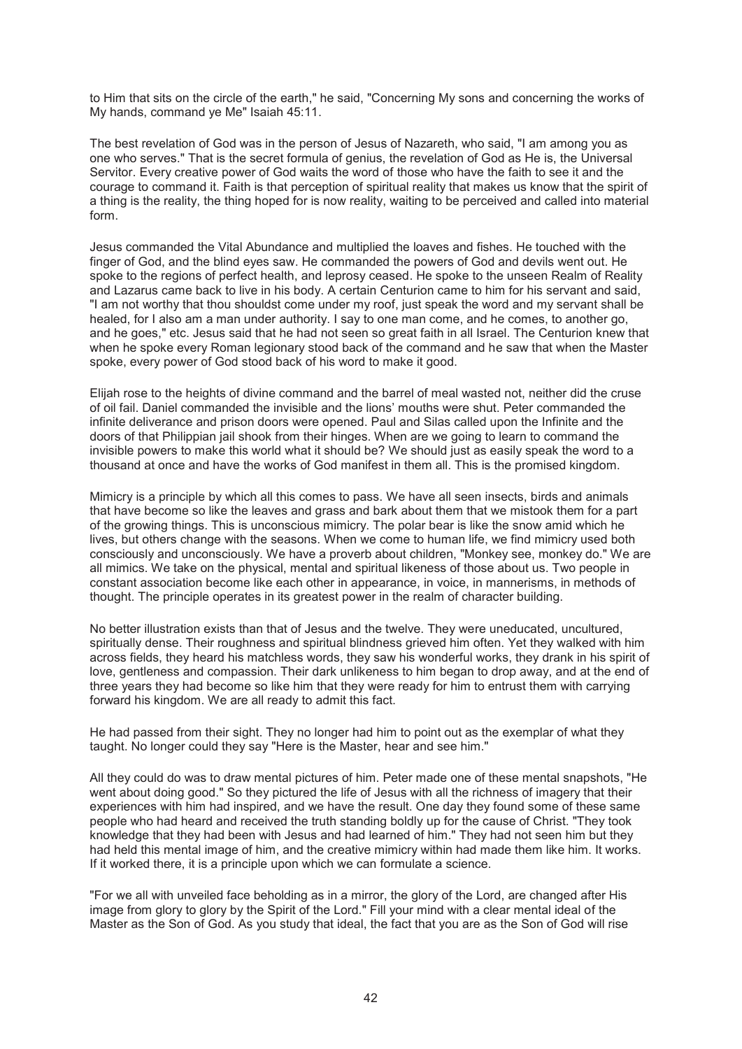to Him that sits on the circle of the earth," he said, "Concerning My sons and concerning the works of My hands, command ye Me" Isaiah 45:11.

The best revelation of God was in the person of Jesus of Nazareth, who said, "I am among you as one who serves." That is the secret formula of genius, the revelation of God as He is, the Universal Servitor. Every creative power of God waits the word of those who have the faith to see it and the courage to command it. Faith is that perception of spiritual reality that makes us know that the spirit of a thing is the reality, the thing hoped for is now reality, waiting to be perceived and called into material form.

Jesus commanded the Vital Abundance and multiplied the loaves and fishes. He touched with the finger of God, and the blind eyes saw. He commanded the powers of God and devils went out. He spoke to the regions of perfect health, and leprosy ceased. He spoke to the unseen Realm of Reality and Lazarus came back to live in his body. A certain Centurion came to him for his servant and said, "I am not worthy that thou shouldst come under my roof, just speak the word and my servant shall be healed, for I also am a man under authority. I say to one man come, and he comes, to another go, and he goes," etc. Jesus said that he had not seen so great faith in all Israel. The Centurion knew that when he spoke every Roman legionary stood back of the command and he saw that when the Master spoke, every power of God stood back of his word to make it good.

Elijah rose to the heights of divine command and the barrel of meal wasted not, neither did the cruse of oil fail. Daniel commanded the invisible and the lions' mouths were shut. Peter commanded the infinite deliverance and prison doors were opened. Paul and Silas called upon the Infinite and the doors of that Philippian jail shook from their hinges. When are we going to learn to command the invisible powers to make this world what it should be? We should just as easily speak the word to a thousand at once and have the works of God manifest in them all. This is the promised kingdom.

Mimicry is a principle by which all this comes to pass. We have all seen insects, birds and animals that have become so like the leaves and grass and bark about them that we mistook them for a part of the growing things. This is unconscious mimicry. The polar bear is like the snow amid which he lives, but others change with the seasons. When we come to human life, we find mimicry used both consciously and unconsciously. We have a proverb about children, "Monkey see, monkey do." We are all mimics. We take on the physical, mental and spiritual likeness of those about us. Two people in constant association become like each other in appearance, in voice, in mannerisms, in methods of thought. The principle operates in its greatest power in the realm of character building.

No better illustration exists than that of Jesus and the twelve. They were uneducated, uncultured, spiritually dense. Their roughness and spiritual blindness grieved him often. Yet they walked with him across fields, they heard his matchless words, they saw his wonderful works, they drank in his spirit of love, gentleness and compassion. Their dark unlikeness to him began to drop away, and at the end of three years they had become so like him that they were ready for him to entrust them with carrying forward his kingdom. We are all ready to admit this fact.

He had passed from their sight. They no longer had him to point out as the exemplar of what they taught. No longer could they say "Here is the Master, hear and see him."

All they could do was to draw mental pictures of him. Peter made one of these mental snapshots, "He went about doing good." So they pictured the life of Jesus with all the richness of imagery that their experiences with him had inspired, and we have the result. One day they found some of these same people who had heard and received the truth standing boldly up for the cause of Christ. "They took knowledge that they had been with Jesus and had learned of him." They had not seen him but they had held this mental image of him, and the creative mimicry within had made them like him. It works. If it worked there, it is a principle upon which we can formulate a science.

"For we all with unveiled face beholding as in a mirror, the glory of the Lord, are changed after His image from glory to glory by the Spirit of the Lord." Fill your mind with a clear mental ideal of the Master as the Son of God. As you study that ideal, the fact that you are as the Son of God will rise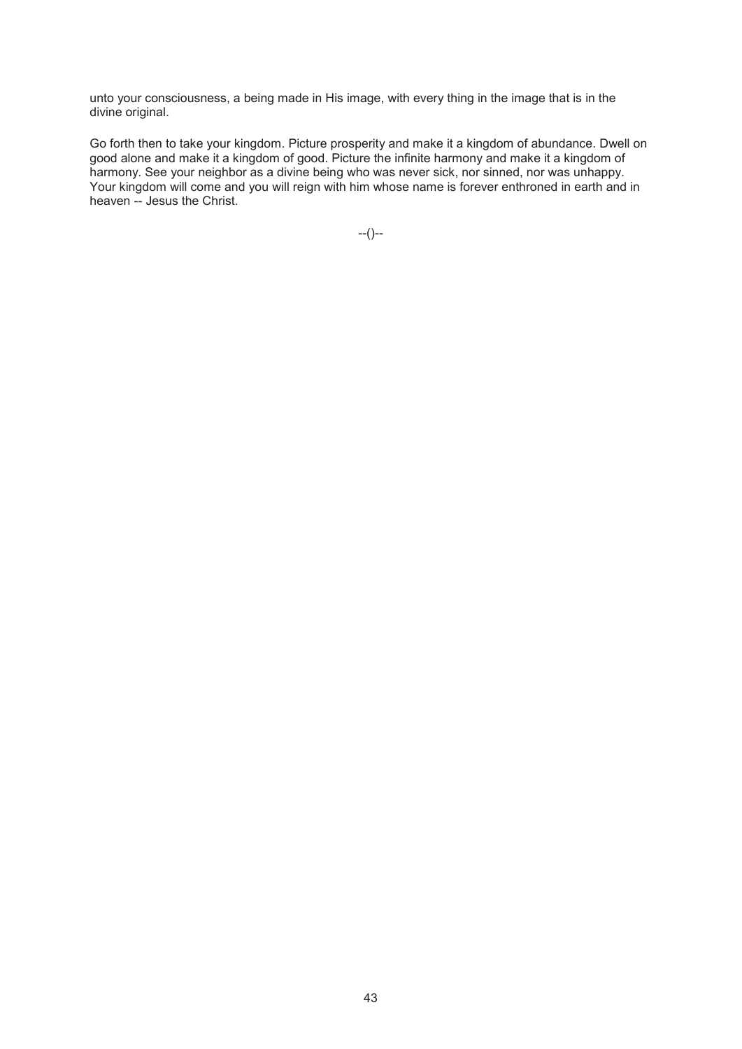unto your consciousness, a being made in His image, with every thing in the image that is in the divine original.

Go forth then to take your kingdom. Picture prosperity and make it a kingdom of abundance. Dwell on good alone and make it a kingdom of good. Picture the infinite harmony and make it a kingdom of harmony. See your neighbor as a divine being who was never sick, nor sinned, nor was unhappy. Your kingdom will come and you will reign with him whose name is forever enthroned in earth and in heaven -- Jesus the Christ.

--()--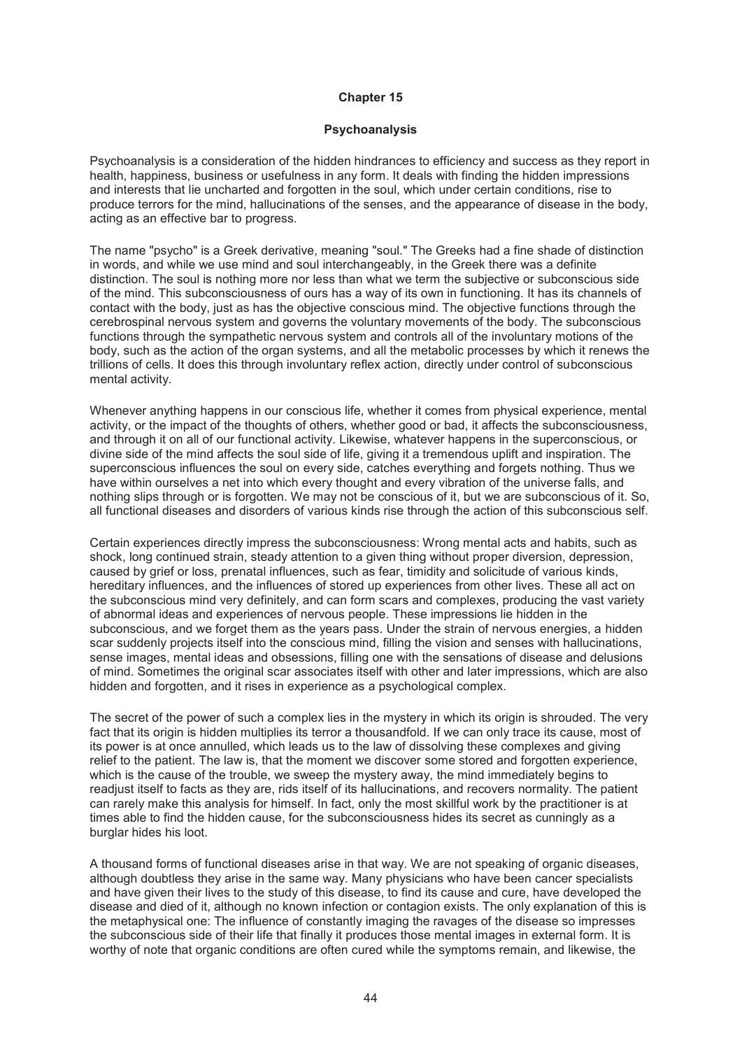#### **Psychoanalysis**

Psychoanalysis is a consideration of the hidden hindrances to efficiency and success as they report in health, happiness, business or usefulness in any form. It deals with finding the hidden impressions and interests that lie uncharted and forgotten in the soul, which under certain conditions, rise to produce terrors for the mind, hallucinations of the senses, and the appearance of disease in the body, acting as an effective bar to progress.

The name "psycho" is a Greek derivative, meaning "soul." The Greeks had a fine shade of distinction in words, and while we use mind and soul interchangeably, in the Greek there was a definite distinction. The soul is nothing more nor less than what we term the subjective or subconscious side of the mind. This subconsciousness of ours has a way of its own in functioning. It has its channels of contact with the body, just as has the objective conscious mind. The objective functions through the cerebrospinal nervous system and governs the voluntary movements of the body. The subconscious functions through the sympathetic nervous system and controls all of the involuntary motions of the body, such as the action of the organ systems, and all the metabolic processes by which it renews the trillions of cells. It does this through involuntary reflex action, directly under control of subconscious mental activity.

Whenever anything happens in our conscious life, whether it comes from physical experience, mental activity, or the impact of the thoughts of others, whether good or bad, it affects the subconsciousness, and through it on all of our functional activity. Likewise, whatever happens in the superconscious, or divine side of the mind affects the soul side of life, giving it a tremendous uplift and inspiration. The superconscious influences the soul on every side, catches everything and forgets nothing. Thus we have within ourselves a net into which every thought and every vibration of the universe falls, and nothing slips through or is forgotten. We may not be conscious of it, but we are subconscious of it. So, all functional diseases and disorders of various kinds rise through the action of this subconscious self.

Certain experiences directly impress the subconsciousness: Wrong mental acts and habits, such as shock, long continued strain, steady attention to a given thing without proper diversion, depression, caused by grief or loss, prenatal influences, such as fear, timidity and solicitude of various kinds, hereditary influences, and the influences of stored up experiences from other lives. These all act on the subconscious mind very definitely, and can form scars and complexes, producing the vast variety of abnormal ideas and experiences of nervous people. These impressions lie hidden in the subconscious, and we forget them as the years pass. Under the strain of nervous energies, a hidden scar suddenly projects itself into the conscious mind, filling the vision and senses with hallucinations, sense images, mental ideas and obsessions, filling one with the sensations of disease and delusions of mind. Sometimes the original scar associates itself with other and later impressions, which are also hidden and forgotten, and it rises in experience as a psychological complex.

The secret of the power of such a complex lies in the mystery in which its origin is shrouded. The very fact that its origin is hidden multiplies its terror a thousandfold. If we can only trace its cause, most of its power is at once annulled, which leads us to the law of dissolving these complexes and giving relief to the patient. The law is, that the moment we discover some stored and forgotten experience, which is the cause of the trouble, we sweep the mystery away, the mind immediately begins to readjust itself to facts as they are, rids itself of its hallucinations, and recovers normality. The patient can rarely make this analysis for himself. In fact, only the most skillful work by the practitioner is at times able to find the hidden cause, for the subconsciousness hides its secret as cunningly as a burglar hides his loot.

A thousand forms of functional diseases arise in that way. We are not speaking of organic diseases, although doubtless they arise in the same way. Many physicians who have been cancer specialists and have given their lives to the study of this disease, to find its cause and cure, have developed the disease and died of it, although no known infection or contagion exists. The only explanation of this is the metaphysical one: The influence of constantly imaging the ravages of the disease so impresses the subconscious side of their life that finally it produces those mental images in external form. It is worthy of note that organic conditions are often cured while the symptoms remain, and likewise, the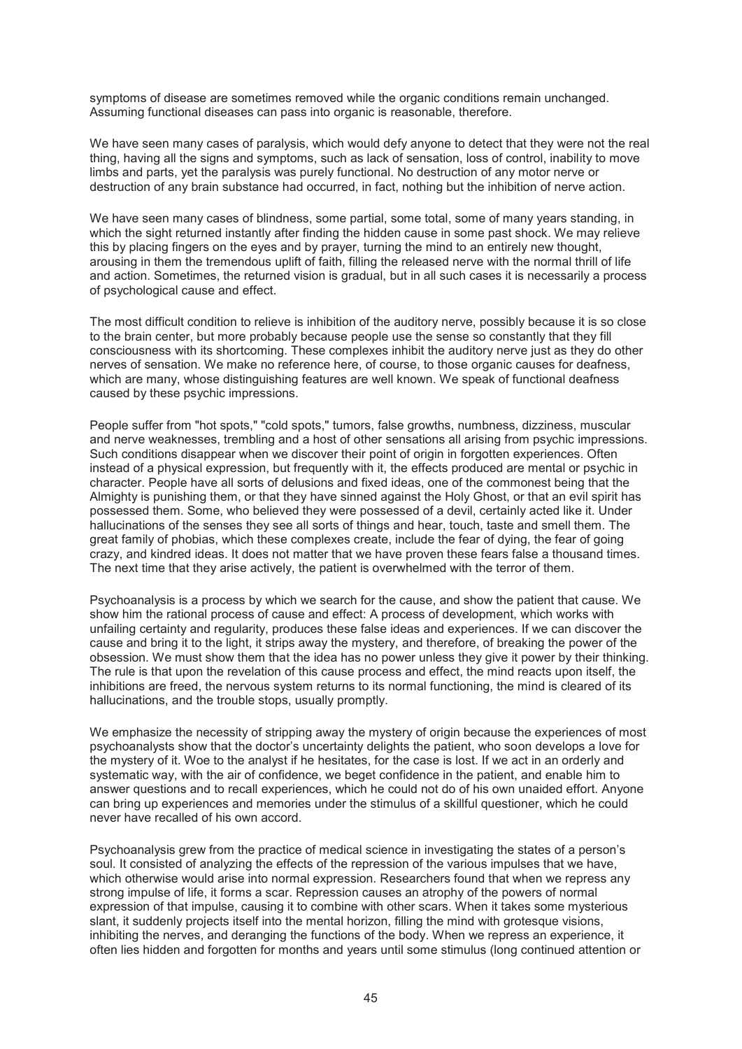symptoms of disease are sometimes removed while the organic conditions remain unchanged. Assuming functional diseases can pass into organic is reasonable, therefore.

We have seen many cases of paralysis, which would defy anyone to detect that they were not the real thing, having all the signs and symptoms, such as lack of sensation, loss of control, inability to move limbs and parts, yet the paralysis was purely functional. No destruction of any motor nerve or destruction of any brain substance had occurred, in fact, nothing but the inhibition of nerve action.

We have seen many cases of blindness, some partial, some total, some of many years standing, in which the sight returned instantly after finding the hidden cause in some past shock. We may relieve this by placing fingers on the eyes and by prayer, turning the mind to an entirely new thought, arousing in them the tremendous uplift of faith, filling the released nerve with the normal thrill of life and action. Sometimes, the returned vision is gradual, but in all such cases it is necessarily a process of psychological cause and effect.

The most difficult condition to relieve is inhibition of the auditory nerve, possibly because it is so close to the brain center, but more probably because people use the sense so constantly that they fill consciousness with its shortcoming. These complexes inhibit the auditory nerve just as they do other nerves of sensation. We make no reference here, of course, to those organic causes for deafness, which are many, whose distinguishing features are well known. We speak of functional deafness caused by these psychic impressions.

People suffer from "hot spots," "cold spots," tumors, false growths, numbness, dizziness, muscular and nerve weaknesses, trembling and a host of other sensations all arising from psychic impressions. Such conditions disappear when we discover their point of origin in forgotten experiences. Often instead of a physical expression, but frequently with it, the effects produced are mental or psychic in character. People have all sorts of delusions and fixed ideas, one of the commonest being that the Almighty is punishing them, or that they have sinned against the Holy Ghost, or that an evil spirit has possessed them. Some, who believed they were possessed of a devil, certainly acted like it. Under hallucinations of the senses they see all sorts of things and hear, touch, taste and smell them. The great family of phobias, which these complexes create, include the fear of dying, the fear of going crazy, and kindred ideas. It does not matter that we have proven these fears false a thousand times. The next time that they arise actively, the patient is overwhelmed with the terror of them.

Psychoanalysis is a process by which we search for the cause, and show the patient that cause. We show him the rational process of cause and effect: A process of development, which works with unfailing certainty and regularity, produces these false ideas and experiences. If we can discover the cause and bring it to the light, it strips away the mystery, and therefore, of breaking the power of the obsession. We must show them that the idea has no power unless they give it power by their thinking. The rule is that upon the revelation of this cause process and effect, the mind reacts upon itself, the inhibitions are freed, the nervous system returns to its normal functioning, the mind is cleared of its hallucinations, and the trouble stops, usually promptly.

We emphasize the necessity of stripping away the mystery of origin because the experiences of most psychoanalysts show that the doctor's uncertainty delights the patient, who soon develops a love for the mystery of it. Woe to the analyst if he hesitates, for the case is lost. If we act in an orderly and systematic way, with the air of confidence, we beget confidence in the patient, and enable him to answer questions and to recall experiences, which he could not do of his own unaided effort. Anyone can bring up experiences and memories under the stimulus of a skillful questioner, which he could never have recalled of his own accord.

Psychoanalysis grew from the practice of medical science in investigating the states of a person's soul. It consisted of analyzing the effects of the repression of the various impulses that we have, which otherwise would arise into normal expression. Researchers found that when we repress any strong impulse of life, it forms a scar. Repression causes an atrophy of the powers of normal expression of that impulse, causing it to combine with other scars. When it takes some mysterious slant, it suddenly projects itself into the mental horizon, filling the mind with grotesque visions, inhibiting the nerves, and deranging the functions of the body. When we repress an experience, it often lies hidden and forgotten for months and years until some stimulus (long continued attention or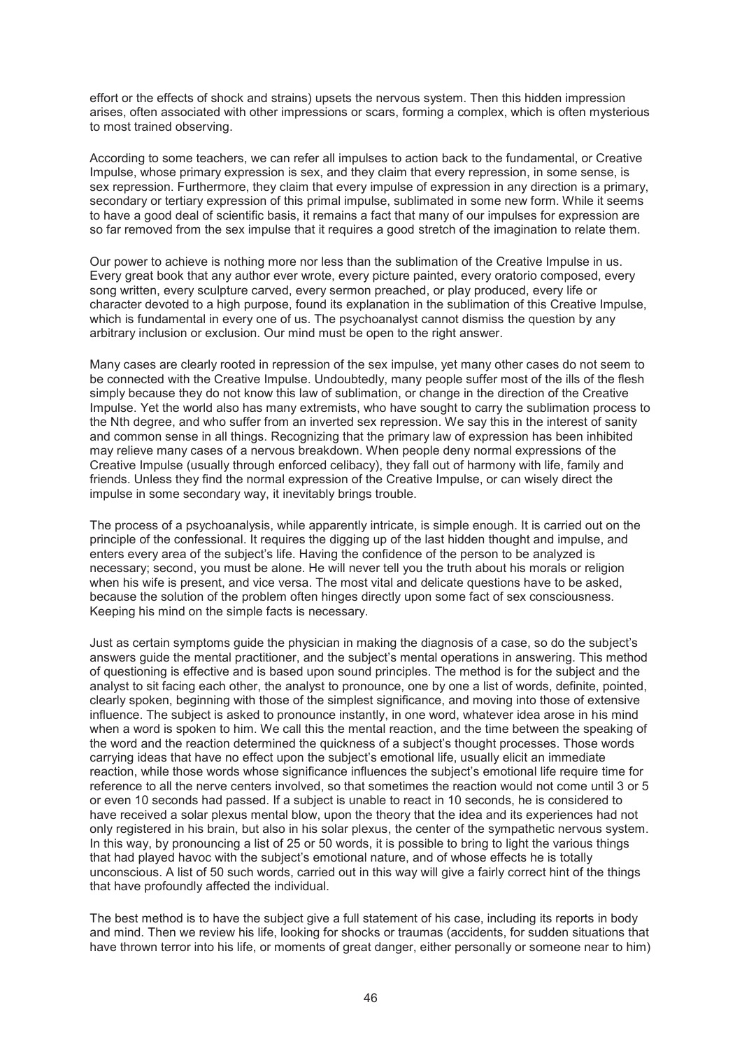effort or the effects of shock and strains) upsets the nervous system. Then this hidden impression arises, often associated with other impressions or scars, forming a complex, which is often mysterious to most trained observing.

According to some teachers, we can refer all impulses to action back to the fundamental, or Creative Impulse, whose primary expression is sex, and they claim that every repression, in some sense, is sex repression. Furthermore, they claim that every impulse of expression in any direction is a primary, secondary or tertiary expression of this primal impulse, sublimated in some new form. While it seems to have a good deal of scientific basis, it remains a fact that many of our impulses for expression are so far removed from the sex impulse that it requires a good stretch of the imagination to relate them.

Our power to achieve is nothing more nor less than the sublimation of the Creative Impulse in us. Every great book that any author ever wrote, every picture painted, every oratorio composed, every song written, every sculpture carved, every sermon preached, or play produced, every life or character devoted to a high purpose, found its explanation in the sublimation of this Creative Impulse, which is fundamental in every one of us. The psychoanalyst cannot dismiss the question by any arbitrary inclusion or exclusion. Our mind must be open to the right answer.

Many cases are clearly rooted in repression of the sex impulse, yet many other cases do not seem to be connected with the Creative Impulse. Undoubtedly, many people suffer most of the ills of the flesh simply because they do not know this law of sublimation, or change in the direction of the Creative Impulse. Yet the world also has many extremists, who have sought to carry the sublimation process to the Nth degree, and who suffer from an inverted sex repression. We say this in the interest of sanity and common sense in all things. Recognizing that the primary law of expression has been inhibited may relieve many cases of a nervous breakdown. When people deny normal expressions of the Creative Impulse (usually through enforced celibacy), they fall out of harmony with life, family and friends. Unless they find the normal expression of the Creative Impulse, or can wisely direct the impulse in some secondary way, it inevitably brings trouble.

The process of a psychoanalysis, while apparently intricate, is simple enough. It is carried out on the principle of the confessional. It requires the digging up of the last hidden thought and impulse, and enters every area of the subject's life. Having the confidence of the person to be analyzed is necessary; second, you must be alone. He will never tell you the truth about his morals or religion when his wife is present, and vice versa. The most vital and delicate questions have to be asked, because the solution of the problem often hinges directly upon some fact of sex consciousness. Keeping his mind on the simple facts is necessary.

Just as certain symptoms guide the physician in making the diagnosis of a case, so do the subject's answers guide the mental practitioner, and the subject's mental operations in answering. This method of questioning is effective and is based upon sound principles. The method is for the subject and the analyst to sit facing each other, the analyst to pronounce, one by one a list of words, definite, pointed, clearly spoken, beginning with those of the simplest significance, and moving into those of extensive influence. The subject is asked to pronounce instantly, in one word, whatever idea arose in his mind when a word is spoken to him. We call this the mental reaction, and the time between the speaking of the word and the reaction determined the quickness of a subject's thought processes. Those words carrying ideas that have no effect upon the subject's emotional life, usually elicit an immediate reaction, while those words whose significance influences the subject's emotional life require time for reference to all the nerve centers involved, so that sometimes the reaction would not come until 3 or 5 or even 10 seconds had passed. If a subject is unable to react in 10 seconds, he is considered to have received a solar plexus mental blow, upon the theory that the idea and its experiences had not only registered in his brain, but also in his solar plexus, the center of the sympathetic nervous system. In this way, by pronouncing a list of 25 or 50 words, it is possible to bring to light the various things that had played havoc with the subject's emotional nature, and of whose effects he is totally unconscious. A list of 50 such words, carried out in this way will give a fairly correct hint of the things that have profoundly affected the individual.

The best method is to have the subject give a full statement of his case, including its reports in body and mind. Then we review his life, looking for shocks or traumas (accidents, for sudden situations that have thrown terror into his life, or moments of great danger, either personally or someone near to him)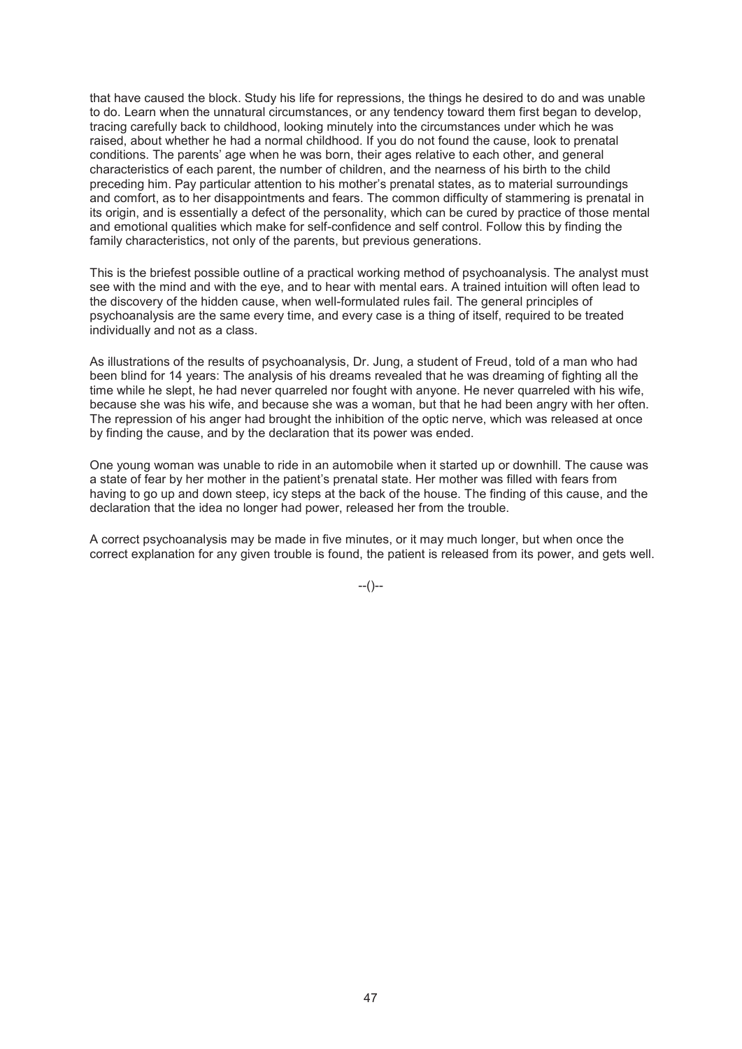that have caused the block. Study his life for repressions, the things he desired to do and was unable to do. Learn when the unnatural circumstances, or any tendency toward them first began to develop, tracing carefully back to childhood, looking minutely into the circumstances under which he was raised, about whether he had a normal childhood. If you do not found the cause, look to prenatal conditions. The parents' age when he was born, their ages relative to each other, and general characteristics of each parent, the number of children, and the nearness of his birth to the child preceding him. Pay particular attention to his mother's prenatal states, as to material surroundings and comfort, as to her disappointments and fears. The common difficulty of stammering is prenatal in its origin, and is essentially a defect of the personality, which can be cured by practice of those mental and emotional qualities which make for self-confidence and self control. Follow this by finding the family characteristics, not only of the parents, but previous generations.

This is the briefest possible outline of a practical working method of psychoanalysis. The analyst must see with the mind and with the eye, and to hear with mental ears. A trained intuition will often lead to the discovery of the hidden cause, when well-formulated rules fail. The general principles of psychoanalysis are the same every time, and every case is a thing of itself, required to be treated individually and not as a class.

As illustrations of the results of psychoanalysis, Dr. Jung, a student of Freud, told of a man who had been blind for 14 years: The analysis of his dreams revealed that he was dreaming of fighting all the time while he slept, he had never quarreled nor fought with anyone. He never quarreled with his wife, because she was his wife, and because she was a woman, but that he had been angry with her often. The repression of his anger had brought the inhibition of the optic nerve, which was released at once by finding the cause, and by the declaration that its power was ended.

One young woman was unable to ride in an automobile when it started up or downhill. The cause was a state of fear by her mother in the patient's prenatal state. Her mother was filled with fears from having to go up and down steep, icy steps at the back of the house. The finding of this cause, and the declaration that the idea no longer had power, released her from the trouble.

A correct psychoanalysis may be made in five minutes, or it may much longer, but when once the correct explanation for any given trouble is found, the patient is released from its power, and gets well.

 $-(-)$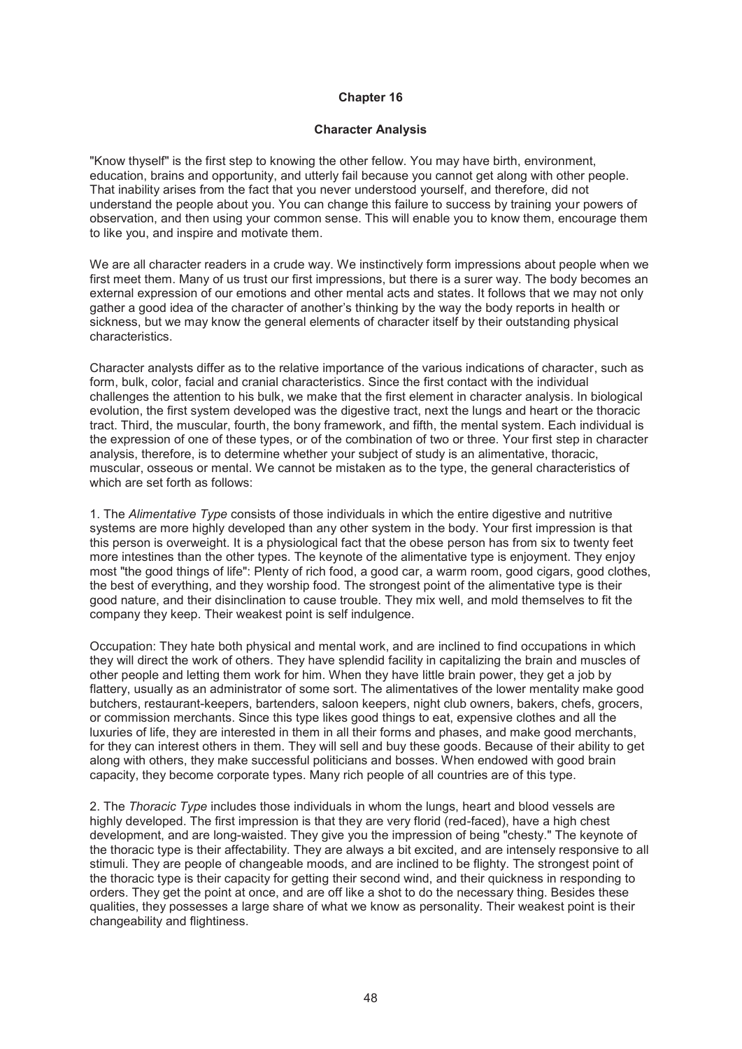#### **Character Analysis**

"Know thyself" is the first step to knowing the other fellow. You may have birth, environment, education, brains and opportunity, and utterly fail because you cannot get along with other people. That inability arises from the fact that you never understood yourself, and therefore, did not understand the people about you. You can change this failure to success by training your powers of observation, and then using your common sense. This will enable you to know them, encourage them to like you, and inspire and motivate them.

We are all character readers in a crude way. We instinctively form impressions about people when we first meet them. Many of us trust our first impressions, but there is a surer way. The body becomes an external expression of our emotions and other mental acts and states. It follows that we may not only gather a good idea of the character of another's thinking by the way the body reports in health or sickness, but we may know the general elements of character itself by their outstanding physical characteristics.

Character analysts differ as to the relative importance of the various indications of character, such as form, bulk, color, facial and cranial characteristics. Since the first contact with the individual challenges the attention to his bulk, we make that the first element in character analysis. In biological evolution, the first system developed was the digestive tract, next the lungs and heart or the thoracic tract. Third, the muscular, fourth, the bony framework, and fifth, the mental system. Each individual is the expression of one of these types, or of the combination of two or three. Your first step in character analysis, therefore, is to determine whether your subject of study is an alimentative, thoracic, muscular, osseous or mental. We cannot be mistaken as to the type, the general characteristics of which are set forth as follows:

1. The *Alimentative Type* consists of those individuals in which the entire digestive and nutritive systems are more highly developed than any other system in the body. Your first impression is that this person is overweight. It is a physiological fact that the obese person has from six to twenty feet more intestines than the other types. The keynote of the alimentative type is enjoyment. They enjoy most "the good things of life": Plenty of rich food, a good car, a warm room, good cigars, good clothes, the best of everything, and they worship food. The strongest point of the alimentative type is their good nature, and their disinclination to cause trouble. They mix well, and mold themselves to fit the company they keep. Their weakest point is self indulgence.

Occupation: They hate both physical and mental work, and are inclined to find occupations in which they will direct the work of others. They have splendid facility in capitalizing the brain and muscles of other people and letting them work for him. When they have little brain power, they get a job by flattery, usually as an administrator of some sort. The alimentatives of the lower mentality make good butchers, restaurant-keepers, bartenders, saloon keepers, night club owners, bakers, chefs, grocers, or commission merchants. Since this type likes good things to eat, expensive clothes and all the luxuries of life, they are interested in them in all their forms and phases, and make good merchants, for they can interest others in them. They will sell and buy these goods. Because of their ability to get along with others, they make successful politicians and bosses. When endowed with good brain capacity, they become corporate types. Many rich people of all countries are of this type.

2. The *Thoracic Type* includes those individuals in whom the lungs, heart and blood vessels are highly developed. The first impression is that they are very florid (red-faced), have a high chest development, and are long-waisted. They give you the impression of being "chesty." The keynote of the thoracic type is their affectability. They are always a bit excited, and are intensely responsive to all stimuli. They are people of changeable moods, and are inclined to be flighty. The strongest point of the thoracic type is their capacity for getting their second wind, and their quickness in responding to orders. They get the point at once, and are off like a shot to do the necessary thing. Besides these qualities, they possesses a large share of what we know as personality. Their weakest point is their changeability and flightiness.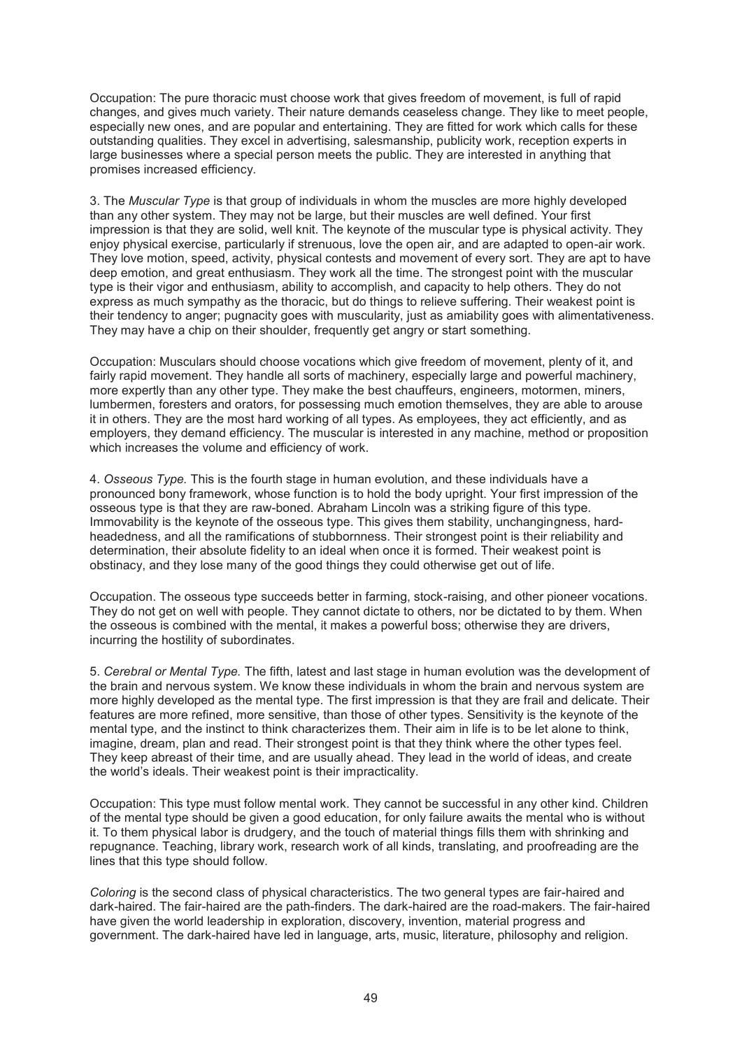Occupation: The pure thoracic must choose work that gives freedom of movement, is full of rapid changes, and gives much variety. Their nature demands ceaseless change. They like to meet people, especially new ones, and are popular and entertaining. They are fitted for work which calls for these outstanding qualities. They excel in advertising, salesmanship, publicity work, reception experts in large businesses where a special person meets the public. They are interested in anything that promises increased efficiency.

3. The *Muscular Type* is that group of individuals in whom the muscles are more highly developed than any other system. They may not be large, but their muscles are well defined. Your first impression is that they are solid, well knit. The keynote of the muscular type is physical activity. They enjoy physical exercise, particularly if strenuous, love the open air, and are adapted to open-air work. They love motion, speed, activity, physical contests and movement of every sort. They are apt to have deep emotion, and great enthusiasm. They work all the time. The strongest point with the muscular type is their vigor and enthusiasm, ability to accomplish, and capacity to help others. They do not express as much sympathy as the thoracic, but do things to relieve suffering. Their weakest point is their tendency to anger; pugnacity goes with muscularity, just as amiability goes with alimentativeness. They may have a chip on their shoulder, frequently get angry or start something.

Occupation: Musculars should choose vocations which give freedom of movement, plenty of it, and fairly rapid movement. They handle all sorts of machinery, especially large and powerful machinery, more expertly than any other type. They make the best chauffeurs, engineers, motormen, miners, lumbermen, foresters and orators, for possessing much emotion themselves, they are able to arouse it in others. They are the most hard working of all types. As employees, they act efficiently, and as employers, they demand efficiency. The muscular is interested in any machine, method or proposition which increases the volume and efficiency of work.

4. *Osseous Type.* This is the fourth stage in human evolution, and these individuals have a pronounced bony framework, whose function is to hold the body upright. Your first impression of the osseous type is that they are raw-boned. Abraham Lincoln was a striking figure of this type. Immovability is the keynote of the osseous type. This gives them stability, unchangingness, hardheadedness, and all the ramifications of stubbornness. Their strongest point is their reliability and determination, their absolute fidelity to an ideal when once it is formed. Their weakest point is obstinacy, and they lose many of the good things they could otherwise get out of life.

Occupation. The osseous type succeeds better in farming, stock-raising, and other pioneer vocations. They do not get on well with people. They cannot dictate to others, nor be dictated to by them. When the osseous is combined with the mental, it makes a powerful boss; otherwise they are drivers, incurring the hostility of subordinates.

5. *Cerebral or Mental Type.* The fifth, latest and last stage in human evolution was the development of the brain and nervous system. We know these individuals in whom the brain and nervous system are more highly developed as the mental type. The first impression is that they are frail and delicate. Their features are more refined, more sensitive, than those of other types. Sensitivity is the keynote of the mental type, and the instinct to think characterizes them. Their aim in life is to be let alone to think, imagine, dream, plan and read. Their strongest point is that they think where the other types feel. They keep abreast of their time, and are usually ahead. They lead in the world of ideas, and create the world's ideals. Their weakest point is their impracticality.

Occupation: This type must follow mental work. They cannot be successful in any other kind. Children of the mental type should be given a good education, for only failure awaits the mental who is without it. To them physical labor is drudgery, and the touch of material things fills them with shrinking and repugnance. Teaching, library work, research work of all kinds, translating, and proofreading are the lines that this type should follow.

*Coloring* is the second class of physical characteristics. The two general types are fair-haired and dark-haired. The fair-haired are the path-finders. The dark-haired are the road-makers. The fair-haired have given the world leadership in exploration, discovery, invention, material progress and government. The dark-haired have led in language, arts, music, literature, philosophy and religion.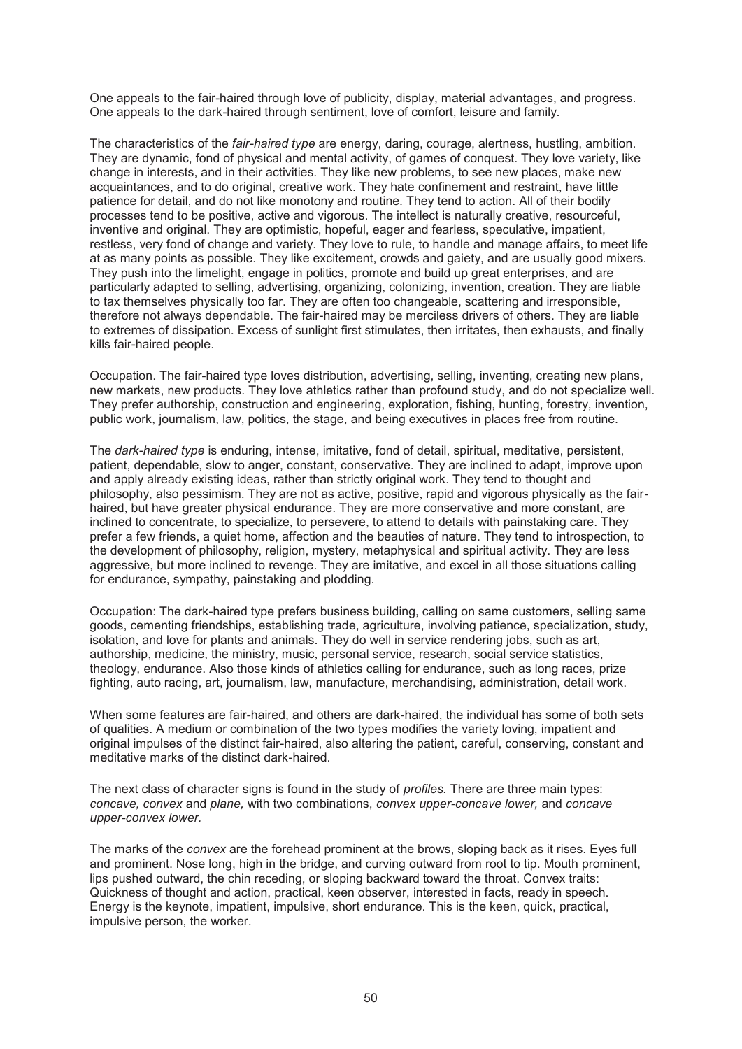One appeals to the fair-haired through love of publicity, display, material advantages, and progress. One appeals to the dark-haired through sentiment, love of comfort, leisure and family.

The characteristics of the *fair-haired type* are energy, daring, courage, alertness, hustling, ambition. They are dynamic, fond of physical and mental activity, of games of conquest. They love variety, like change in interests, and in their activities. They like new problems, to see new places, make new acquaintances, and to do original, creative work. They hate confinement and restraint, have little patience for detail, and do not like monotony and routine. They tend to action. All of their bodily processes tend to be positive, active and vigorous. The intellect is naturally creative, resourceful, inventive and original. They are optimistic, hopeful, eager and fearless, speculative, impatient, restless, very fond of change and variety. They love to rule, to handle and manage affairs, to meet life at as many points as possible. They like excitement, crowds and gaiety, and are usually good mixers. They push into the limelight, engage in politics, promote and build up great enterprises, and are particularly adapted to selling, advertising, organizing, colonizing, invention, creation. They are liable to tax themselves physically too far. They are often too changeable, scattering and irresponsible, therefore not always dependable. The fair-haired may be merciless drivers of others. They are liable to extremes of dissipation. Excess of sunlight first stimulates, then irritates, then exhausts, and finally kills fair-haired people.

Occupation. The fair-haired type loves distribution, advertising, selling, inventing, creating new plans, new markets, new products. They love athletics rather than profound study, and do not specialize well. They prefer authorship, construction and engineering, exploration, fishing, hunting, forestry, invention, public work, journalism, law, politics, the stage, and being executives in places free from routine.

The *dark-haired type* is enduring, intense, imitative, fond of detail, spiritual, meditative, persistent, patient, dependable, slow to anger, constant, conservative. They are inclined to adapt, improve upon and apply already existing ideas, rather than strictly original work. They tend to thought and philosophy, also pessimism. They are not as active, positive, rapid and vigorous physically as the fairhaired, but have greater physical endurance. They are more conservative and more constant, are inclined to concentrate, to specialize, to persevere, to attend to details with painstaking care. They prefer a few friends, a quiet home, affection and the beauties of nature. They tend to introspection, to the development of philosophy, religion, mystery, metaphysical and spiritual activity. They are less aggressive, but more inclined to revenge. They are imitative, and excel in all those situations calling for endurance, sympathy, painstaking and plodding.

Occupation: The dark-haired type prefers business building, calling on same customers, selling same goods, cementing friendships, establishing trade, agriculture, involving patience, specialization, study, isolation, and love for plants and animals. They do well in service rendering jobs, such as art, authorship, medicine, the ministry, music, personal service, research, social service statistics, theology, endurance. Also those kinds of athletics calling for endurance, such as long races, prize fighting, auto racing, art, journalism, law, manufacture, merchandising, administration, detail work.

When some features are fair-haired, and others are dark-haired, the individual has some of both sets of qualities. A medium or combination of the two types modifies the variety loving, impatient and original impulses of the distinct fair-haired, also altering the patient, careful, conserving, constant and meditative marks of the distinct dark-haired.

The next class of character signs is found in the study of *profiles.* There are three main types: *concave, convex* and *plane,* with two combinations, *convex upper-concave lower,* and *concave upper-convex lower.* 

The marks of the *convex* are the forehead prominent at the brows, sloping back as it rises. Eyes full and prominent. Nose long, high in the bridge, and curving outward from root to tip. Mouth prominent, lips pushed outward, the chin receding, or sloping backward toward the throat. Convex traits: Quickness of thought and action, practical, keen observer, interested in facts, ready in speech. Energy is the keynote, impatient, impulsive, short endurance. This is the keen, quick, practical, impulsive person, the worker.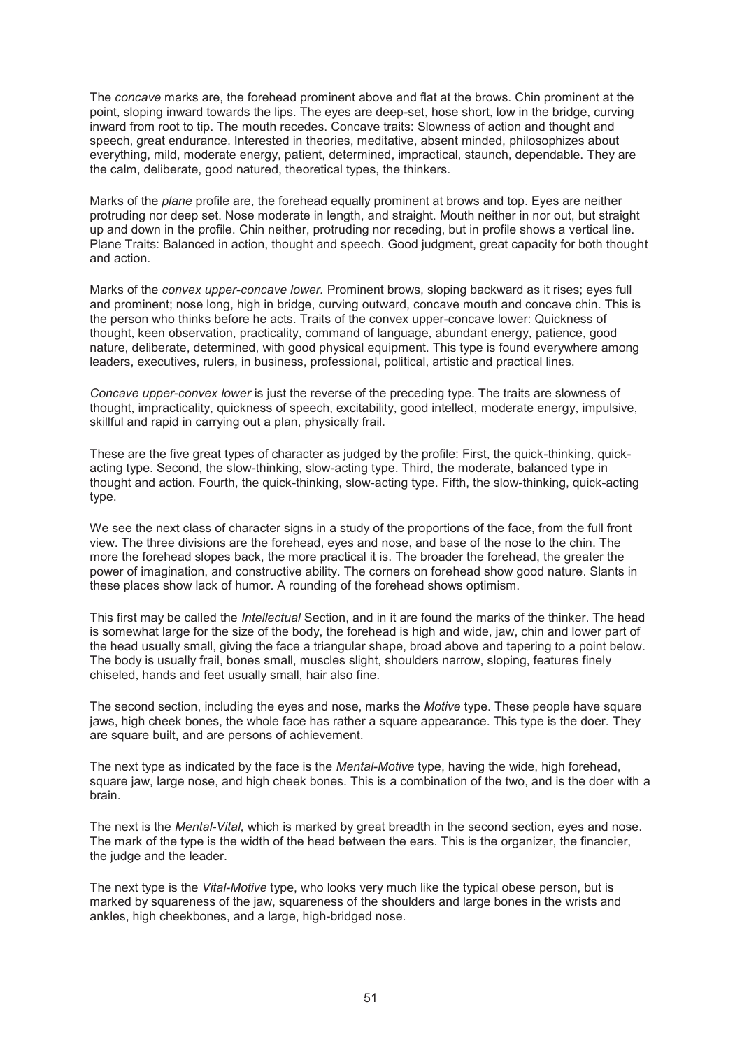The *concave* marks are, the forehead prominent above and flat at the brows. Chin prominent at the point, sloping inward towards the lips. The eyes are deep-set, hose short, low in the bridge, curving inward from root to tip. The mouth recedes. Concave traits: Slowness of action and thought and speech, great endurance. Interested in theories, meditative, absent minded, philosophizes about everything, mild, moderate energy, patient, determined, impractical, staunch, dependable. They are the calm, deliberate, good natured, theoretical types, the thinkers.

Marks of the *plane* profile are, the forehead equally prominent at brows and top. Eyes are neither protruding nor deep set. Nose moderate in length, and straight. Mouth neither in nor out, but straight up and down in the profile. Chin neither, protruding nor receding, but in profile shows a vertical line. Plane Traits: Balanced in action, thought and speech. Good judgment, great capacity for both thought and action.

Marks of the *convex upper-concave lower.* Prominent brows, sloping backward as it rises; eyes full and prominent; nose long, high in bridge, curving outward, concave mouth and concave chin. This is the person who thinks before he acts. Traits of the convex upper-concave lower: Quickness of thought, keen observation, practicality, command of language, abundant energy, patience, good nature, deliberate, determined, with good physical equipment. This type is found everywhere among leaders, executives, rulers, in business, professional, political, artistic and practical lines.

*Concave upper-convex lower* is just the reverse of the preceding type. The traits are slowness of thought, impracticality, quickness of speech, excitability, good intellect, moderate energy, impulsive, skillful and rapid in carrying out a plan, physically frail.

These are the five great types of character as judged by the profile: First, the quick-thinking, quickacting type. Second, the slow-thinking, slow-acting type. Third, the moderate, balanced type in thought and action. Fourth, the quick-thinking, slow-acting type. Fifth, the slow-thinking, quick-acting type.

We see the next class of character signs in a study of the proportions of the face, from the full front view. The three divisions are the forehead, eyes and nose, and base of the nose to the chin. The more the forehead slopes back, the more practical it is. The broader the forehead, the greater the power of imagination, and constructive ability. The corners on forehead show good nature. Slants in these places show lack of humor. A rounding of the forehead shows optimism.

This first may be called the *Intellectual* Section, and in it are found the marks of the thinker. The head is somewhat large for the size of the body, the forehead is high and wide, jaw, chin and lower part of the head usually small, giving the face a triangular shape, broad above and tapering to a point below. The body is usually frail, bones small, muscles slight, shoulders narrow, sloping, features finely chiseled, hands and feet usually small, hair also fine.

The second section, including the eyes and nose, marks the *Motive* type. These people have square jaws, high cheek bones, the whole face has rather a square appearance. This type is the doer. They are square built, and are persons of achievement.

The next type as indicated by the face is the *Mental-Motive* type, having the wide, high forehead, square jaw, large nose, and high cheek bones. This is a combination of the two, and is the doer with a brain.

The next is the *Mental-Vital,* which is marked by great breadth in the second section, eyes and nose. The mark of the type is the width of the head between the ears. This is the organizer, the financier, the judge and the leader.

The next type is the *Vital-Motive* type, who looks very much like the typical obese person, but is marked by squareness of the jaw, squareness of the shoulders and large bones in the wrists and ankles, high cheekbones, and a large, high-bridged nose.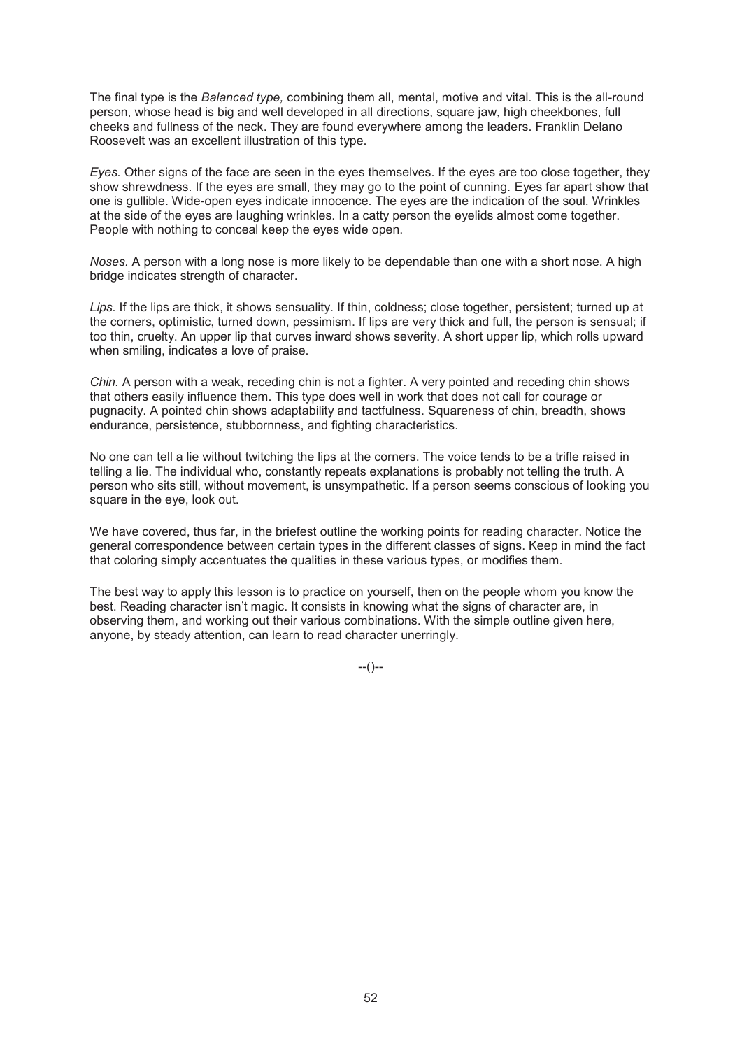The final type is the *Balanced type,* combining them all, mental, motive and vital. This is the all-round person, whose head is big and well developed in all directions, square jaw, high cheekbones, full cheeks and fullness of the neck. They are found everywhere among the leaders. Franklin Delano Roosevelt was an excellent illustration of this type.

*Eyes.* Other signs of the face are seen in the eyes themselves. If the eyes are too close together, they show shrewdness. If the eyes are small, they may go to the point of cunning. Eyes far apart show that one is gullible. Wide-open eyes indicate innocence. The eyes are the indication of the soul. Wrinkles at the side of the eyes are laughing wrinkles. In a catty person the eyelids almost come together. People with nothing to conceal keep the eyes wide open.

*Noses.* A person with a long nose is more likely to be dependable than one with a short nose. A high bridge indicates strength of character.

*Lips.* If the lips are thick, it shows sensuality. If thin, coldness; close together, persistent; turned up at the corners, optimistic, turned down, pessimism. If lips are very thick and full, the person is sensual; if too thin, cruelty. An upper lip that curves inward shows severity. A short upper lip, which rolls upward when smiling, indicates a love of praise.

*Chin.* A person with a weak, receding chin is not a fighter. A very pointed and receding chin shows that others easily influence them. This type does well in work that does not call for courage or pugnacity. A pointed chin shows adaptability and tactfulness. Squareness of chin, breadth, shows endurance, persistence, stubbornness, and fighting characteristics.

No one can tell a lie without twitching the lips at the corners. The voice tends to be a trifle raised in telling a lie. The individual who, constantly repeats explanations is probably not telling the truth. A person who sits still, without movement, is unsympathetic. If a person seems conscious of looking you square in the eye, look out.

We have covered, thus far, in the briefest outline the working points for reading character. Notice the general correspondence between certain types in the different classes of signs. Keep in mind the fact that coloring simply accentuates the qualities in these various types, or modifies them.

The best way to apply this lesson is to practice on yourself, then on the people whom you know the best. Reading character isn't magic. It consists in knowing what the signs of character are, in observing them, and working out their various combinations. With the simple outline given here, anyone, by steady attention, can learn to read character unerringly.

 $-(-)$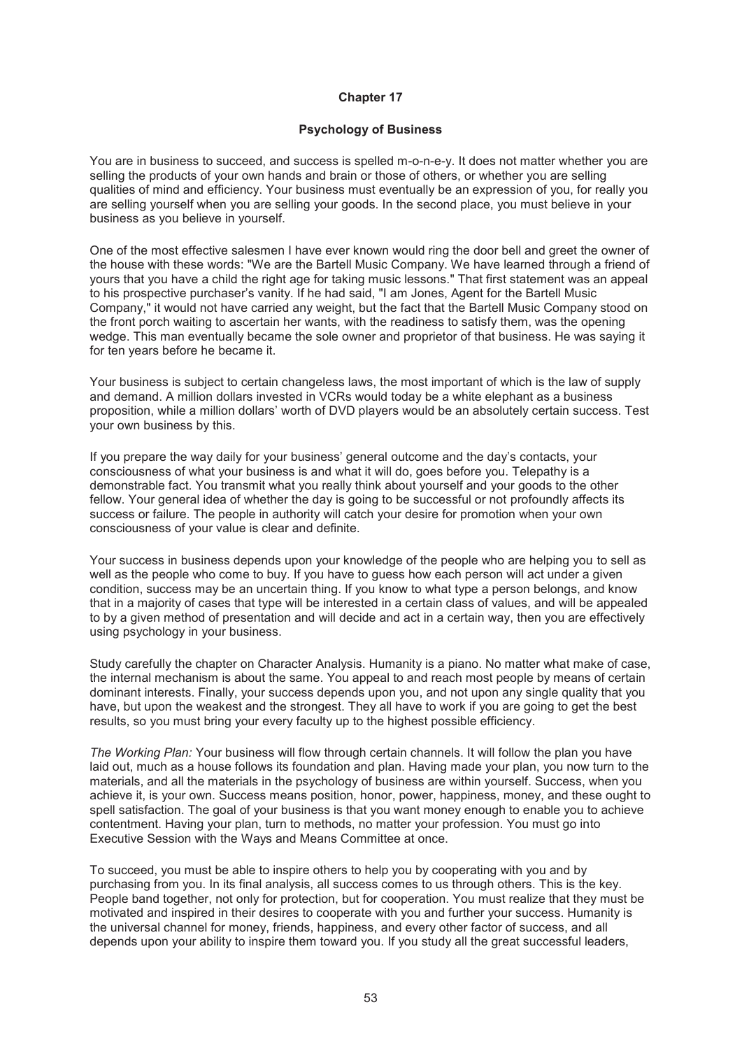#### **Psychology of Business**

You are in business to succeed, and success is spelled m-o-n-e-y. It does not matter whether you are selling the products of your own hands and brain or those of others, or whether you are selling qualities of mind and efficiency. Your business must eventually be an expression of you, for really you are selling yourself when you are selling your goods. In the second place, you must believe in your business as you believe in yourself.

One of the most effective salesmen I have ever known would ring the door bell and greet the owner of the house with these words: "We are the Bartell Music Company. We have learned through a friend of yours that you have a child the right age for taking music lessons." That first statement was an appeal to his prospective purchaser's vanity. If he had said, "I am Jones, Agent for the Bartell Music Company," it would not have carried any weight, but the fact that the Bartell Music Company stood on the front porch waiting to ascertain her wants, with the readiness to satisfy them, was the opening wedge. This man eventually became the sole owner and proprietor of that business. He was saying it for ten years before he became it.

Your business is subject to certain changeless laws, the most important of which is the law of supply and demand. A million dollars invested in VCRs would today be a white elephant as a business proposition, while a million dollars' worth of DVD players would be an absolutely certain success. Test your own business by this.

If you prepare the way daily for your business' general outcome and the day's contacts, your consciousness of what your business is and what it will do, goes before you. Telepathy is a demonstrable fact. You transmit what you really think about yourself and your goods to the other fellow. Your general idea of whether the day is going to be successful or not profoundly affects its success or failure. The people in authority will catch your desire for promotion when your own consciousness of your value is clear and definite.

Your success in business depends upon your knowledge of the people who are helping you to sell as well as the people who come to buy. If you have to guess how each person will act under a given condition, success may be an uncertain thing. If you know to what type a person belongs, and know that in a majority of cases that type will be interested in a certain class of values, and will be appealed to by a given method of presentation and will decide and act in a certain way, then you are effectively using psychology in your business.

Study carefully the chapter on Character Analysis. Humanity is a piano. No matter what make of case, the internal mechanism is about the same. You appeal to and reach most people by means of certain dominant interests. Finally, your success depends upon you, and not upon any single quality that you have, but upon the weakest and the strongest. They all have to work if you are going to get the best results, so you must bring your every faculty up to the highest possible efficiency.

*The Working Plan:* Your business will flow through certain channels. It will follow the plan you have laid out, much as a house follows its foundation and plan. Having made your plan, you now turn to the materials, and all the materials in the psychology of business are within yourself. Success, when you achieve it, is your own. Success means position, honor, power, happiness, money, and these ought to spell satisfaction. The goal of your business is that you want money enough to enable you to achieve contentment. Having your plan, turn to methods, no matter your profession. You must go into Executive Session with the Ways and Means Committee at once.

To succeed, you must be able to inspire others to help you by cooperating with you and by purchasing from you. In its final analysis, all success comes to us through others. This is the key. People band together, not only for protection, but for cooperation. You must realize that they must be motivated and inspired in their desires to cooperate with you and further your success. Humanity is the universal channel for money, friends, happiness, and every other factor of success, and all depends upon your ability to inspire them toward you. If you study all the great successful leaders,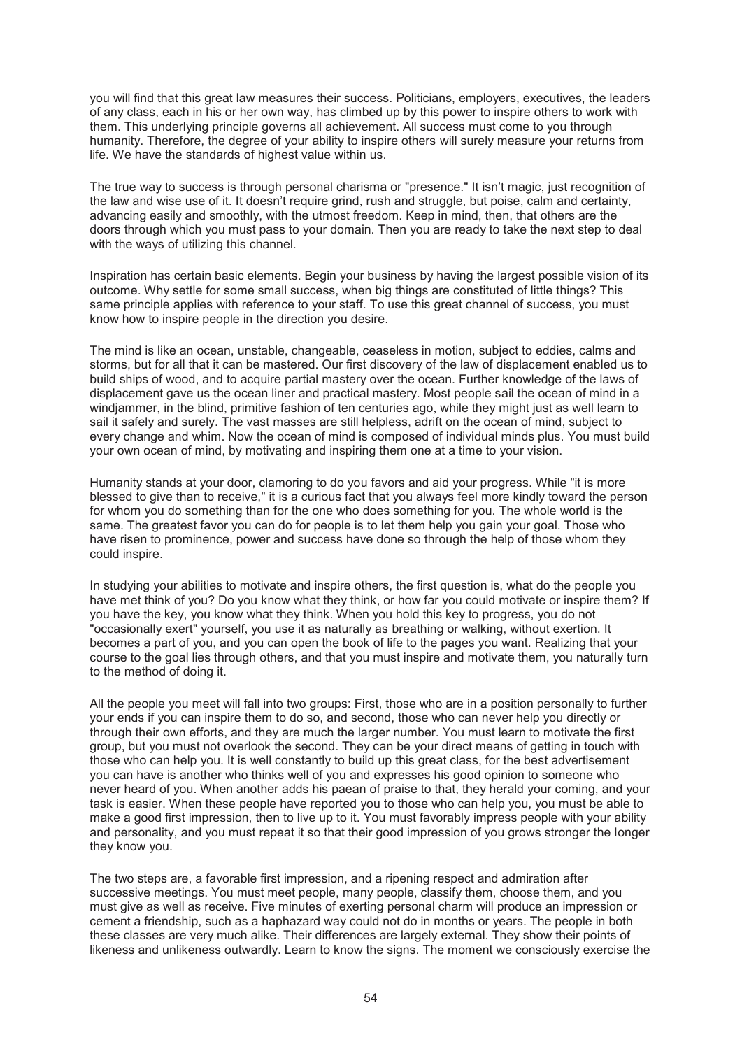you will find that this great law measures their success. Politicians, employers, executives, the leaders of any class, each in his or her own way, has climbed up by this power to inspire others to work with them. This underlying principle governs all achievement. All success must come to you through humanity. Therefore, the degree of your ability to inspire others will surely measure your returns from life. We have the standards of highest value within us.

The true way to success is through personal charisma or "presence." It isn't magic, just recognition of the law and wise use of it. It doesn't require grind, rush and struggle, but poise, calm and certainty, advancing easily and smoothly, with the utmost freedom. Keep in mind, then, that others are the doors through which you must pass to your domain. Then you are ready to take the next step to deal with the ways of utilizing this channel.

Inspiration has certain basic elements. Begin your business by having the largest possible vision of its outcome. Why settle for some small success, when big things are constituted of little things? This same principle applies with reference to your staff. To use this great channel of success, you must know how to inspire people in the direction you desire.

The mind is like an ocean, unstable, changeable, ceaseless in motion, subject to eddies, calms and storms, but for all that it can be mastered. Our first discovery of the law of displacement enabled us to build ships of wood, and to acquire partial mastery over the ocean. Further knowledge of the laws of displacement gave us the ocean liner and practical mastery. Most people sail the ocean of mind in a windjammer, in the blind, primitive fashion of ten centuries ago, while they might just as well learn to sail it safely and surely. The vast masses are still helpless, adrift on the ocean of mind, subject to every change and whim. Now the ocean of mind is composed of individual minds plus. You must build your own ocean of mind, by motivating and inspiring them one at a time to your vision.

Humanity stands at your door, clamoring to do you favors and aid your progress. While "it is more blessed to give than to receive," it is a curious fact that you always feel more kindly toward the person for whom you do something than for the one who does something for you. The whole world is the same. The greatest favor you can do for people is to let them help you gain your goal. Those who have risen to prominence, power and success have done so through the help of those whom they could inspire.

In studying your abilities to motivate and inspire others, the first question is, what do the people you have met think of you? Do you know what they think, or how far you could motivate or inspire them? If you have the key, you know what they think. When you hold this key to progress, you do not "occasionally exert" yourself, you use it as naturally as breathing or walking, without exertion. It becomes a part of you, and you can open the book of life to the pages you want. Realizing that your course to the goal lies through others, and that you must inspire and motivate them, you naturally turn to the method of doing it.

All the people you meet will fall into two groups: First, those who are in a position personally to further your ends if you can inspire them to do so, and second, those who can never help you directly or through their own efforts, and they are much the larger number. You must learn to motivate the first group, but you must not overlook the second. They can be your direct means of getting in touch with those who can help you. It is well constantly to build up this great class, for the best advertisement you can have is another who thinks well of you and expresses his good opinion to someone who never heard of you. When another adds his paean of praise to that, they herald your coming, and your task is easier. When these people have reported you to those who can help you, you must be able to make a good first impression, then to live up to it. You must favorably impress people with your ability and personality, and you must repeat it so that their good impression of you grows stronger the longer they know you.

The two steps are, a favorable first impression, and a ripening respect and admiration after successive meetings. You must meet people, many people, classify them, choose them, and you must give as well as receive. Five minutes of exerting personal charm will produce an impression or cement a friendship, such as a haphazard way could not do in months or years. The people in both these classes are very much alike. Their differences are largely external. They show their points of likeness and unlikeness outwardly. Learn to know the signs. The moment we consciously exercise the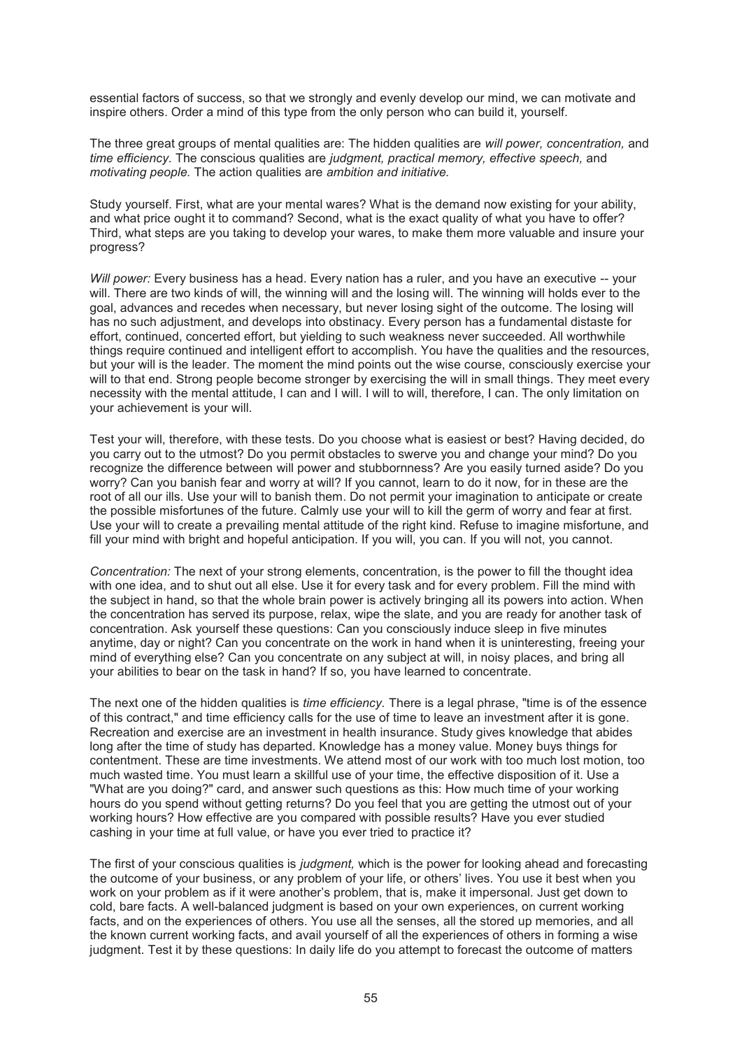essential factors of success, so that we strongly and evenly develop our mind, we can motivate and inspire others. Order a mind of this type from the only person who can build it, yourself.

The three great groups of mental qualities are: The hidden qualities are *will power, concentration,* and *time efficiency.* The conscious qualities are *judgment, practical memory, effective speech,* and *motivating people.* The action qualities are *ambition and initiative.* 

Study yourself. First, what are your mental wares? What is the demand now existing for your ability, and what price ought it to command? Second, what is the exact quality of what you have to offer? Third, what steps are you taking to develop your wares, to make them more valuable and insure your progress?

*Will power:* Every business has a head. Every nation has a ruler, and you have an executive -- your will. There are two kinds of will, the winning will and the losing will. The winning will holds ever to the goal, advances and recedes when necessary, but never losing sight of the outcome. The losing will has no such adjustment, and develops into obstinacy. Every person has a fundamental distaste for effort, continued, concerted effort, but yielding to such weakness never succeeded. All worthwhile things require continued and intelligent effort to accomplish. You have the qualities and the resources, but your will is the leader. The moment the mind points out the wise course, consciously exercise your will to that end. Strong people become stronger by exercising the will in small things. They meet every necessity with the mental attitude, I can and I will. I will to will, therefore, I can. The only limitation on your achievement is your will.

Test your will, therefore, with these tests. Do you choose what is easiest or best? Having decided, do you carry out to the utmost? Do you permit obstacles to swerve you and change your mind? Do you recognize the difference between will power and stubbornness? Are you easily turned aside? Do you worry? Can you banish fear and worry at will? If you cannot, learn to do it now, for in these are the root of all our ills. Use your will to banish them. Do not permit your imagination to anticipate or create the possible misfortunes of the future. Calmly use your will to kill the germ of worry and fear at first. Use your will to create a prevailing mental attitude of the right kind. Refuse to imagine misfortune, and fill your mind with bright and hopeful anticipation. If you will, you can. If you will not, you cannot.

*Concentration:* The next of your strong elements, concentration, is the power to fill the thought idea with one idea, and to shut out all else. Use it for every task and for every problem. Fill the mind with the subject in hand, so that the whole brain power is actively bringing all its powers into action. When the concentration has served its purpose, relax, wipe the slate, and you are ready for another task of concentration. Ask yourself these questions: Can you consciously induce sleep in five minutes anytime, day or night? Can you concentrate on the work in hand when it is uninteresting, freeing your mind of everything else? Can you concentrate on any subject at will, in noisy places, and bring all your abilities to bear on the task in hand? If so, you have learned to concentrate.

The next one of the hidden qualities is *time efficiency.* There is a legal phrase, "time is of the essence of this contract," and time efficiency calls for the use of time to leave an investment after it is gone. Recreation and exercise are an investment in health insurance. Study gives knowledge that abides long after the time of study has departed. Knowledge has a money value. Money buys things for contentment. These are time investments. We attend most of our work with too much lost motion, too much wasted time. You must learn a skillful use of your time, the effective disposition of it. Use a "What are you doing?" card, and answer such questions as this: How much time of your working hours do you spend without getting returns? Do you feel that you are getting the utmost out of your working hours? How effective are you compared with possible results? Have you ever studied cashing in your time at full value, or have you ever tried to practice it?

The first of your conscious qualities is *judgment,* which is the power for looking ahead and forecasting the outcome of your business, or any problem of your life, or others' lives. You use it best when you work on your problem as if it were another's problem, that is, make it impersonal. Just get down to cold, bare facts. A well-balanced judgment is based on your own experiences, on current working facts, and on the experiences of others. You use all the senses, all the stored up memories, and all the known current working facts, and avail yourself of all the experiences of others in forming a wise judgment. Test it by these questions: In daily life do you attempt to forecast the outcome of matters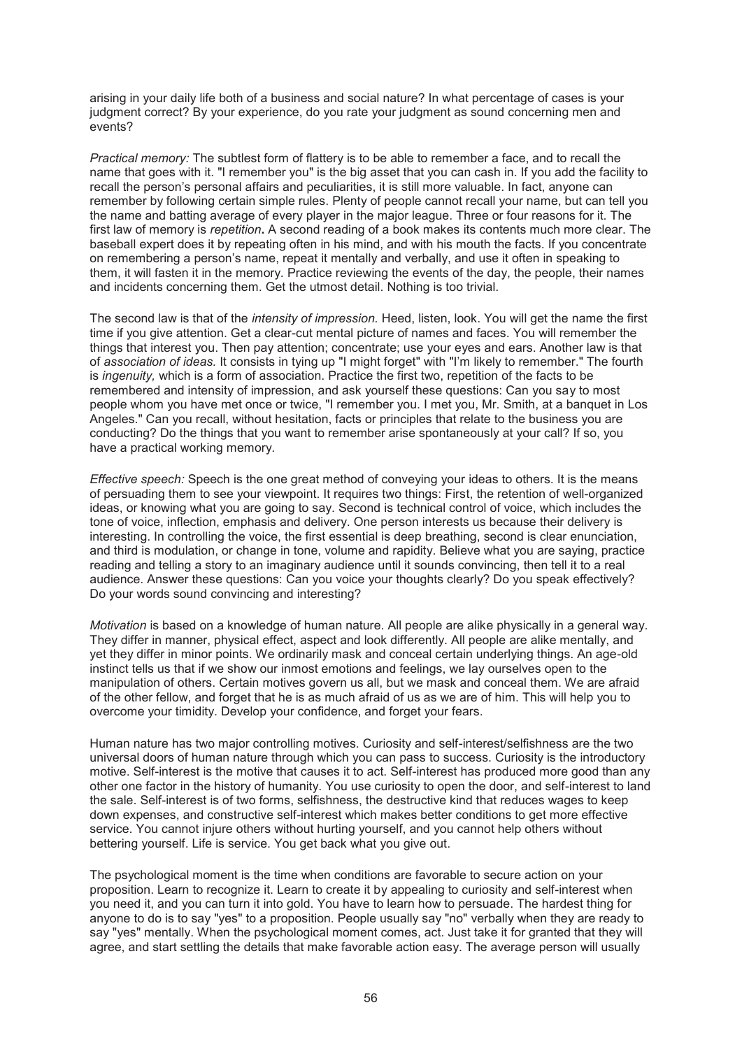arising in your daily life both of a business and social nature? In what percentage of cases is your judgment correct? By your experience, do you rate your judgment as sound concerning men and events?

*Practical memory:* The subtlest form of flattery is to be able to remember a face, and to recall the name that goes with it. "I remember you" is the big asset that you can cash in. If you add the facility to recall the person's personal affairs and peculiarities, it is still more valuable. In fact, anyone can remember by following certain simple rules. Plenty of people cannot recall your name, but can tell you the name and batting average of every player in the major league. Three or four reasons for it. The first law of memory is *repetition***.** A second reading of a book makes its contents much more clear. The baseball expert does it by repeating often in his mind, and with his mouth the facts. If you concentrate on remembering a person's name, repeat it mentally and verbally, and use it often in speaking to them, it will fasten it in the memory. Practice reviewing the events of the day, the people, their names and incidents concerning them. Get the utmost detail. Nothing is too trivial.

The second law is that of the *intensity of impression.* Heed, listen, look. You will get the name the first time if you give attention. Get a clear-cut mental picture of names and faces. You will remember the things that interest you. Then pay attention; concentrate; use your eyes and ears. Another law is that of *association of ideas.* It consists in tying up "I might forget" with "I'm likely to remember." The fourth is *ingenuity,* which is a form of association. Practice the first two, repetition of the facts to be remembered and intensity of impression, and ask yourself these questions: Can you say to most people whom you have met once or twice, "I remember you. I met you, Mr. Smith, at a banquet in Los Angeles." Can you recall, without hesitation, facts or principles that relate to the business you are conducting? Do the things that you want to remember arise spontaneously at your call? If so, you have a practical working memory.

*Effective speech:* Speech is the one great method of conveying your ideas to others. It is the means of persuading them to see your viewpoint. It requires two things: First, the retention of well-organized ideas, or knowing what you are going to say. Second is technical control of voice, which includes the tone of voice, inflection, emphasis and delivery. One person interests us because their delivery is interesting. In controlling the voice, the first essential is deep breathing, second is clear enunciation, and third is modulation, or change in tone, volume and rapidity. Believe what you are saying, practice reading and telling a story to an imaginary audience until it sounds convincing, then tell it to a real audience. Answer these questions: Can you voice your thoughts clearly? Do you speak effectively? Do your words sound convincing and interesting?

*Motivation* is based on a knowledge of human nature. All people are alike physically in a general way. They differ in manner, physical effect, aspect and look differently. All people are alike mentally, and yet they differ in minor points. We ordinarily mask and conceal certain underlying things. An age-old instinct tells us that if we show our inmost emotions and feelings, we lay ourselves open to the manipulation of others. Certain motives govern us all, but we mask and conceal them. We are afraid of the other fellow, and forget that he is as much afraid of us as we are of him. This will help you to overcome your timidity. Develop your confidence, and forget your fears.

Human nature has two major controlling motives. Curiosity and self-interest/selfishness are the two universal doors of human nature through which you can pass to success. Curiosity is the introductory motive. Self-interest is the motive that causes it to act. Self-interest has produced more good than any other one factor in the history of humanity. You use curiosity to open the door, and self-interest to land the sale. Self-interest is of two forms, selfishness, the destructive kind that reduces wages to keep down expenses, and constructive self-interest which makes better conditions to get more effective service. You cannot injure others without hurting yourself, and you cannot help others without bettering yourself. Life is service. You get back what you give out.

The psychological moment is the time when conditions are favorable to secure action on your proposition. Learn to recognize it. Learn to create it by appealing to curiosity and self-interest when you need it, and you can turn it into gold. You have to learn how to persuade. The hardest thing for anyone to do is to say "yes" to a proposition. People usually say "no" verbally when they are ready to say "yes" mentally. When the psychological moment comes, act. Just take it for granted that they will agree, and start settling the details that make favorable action easy. The average person will usually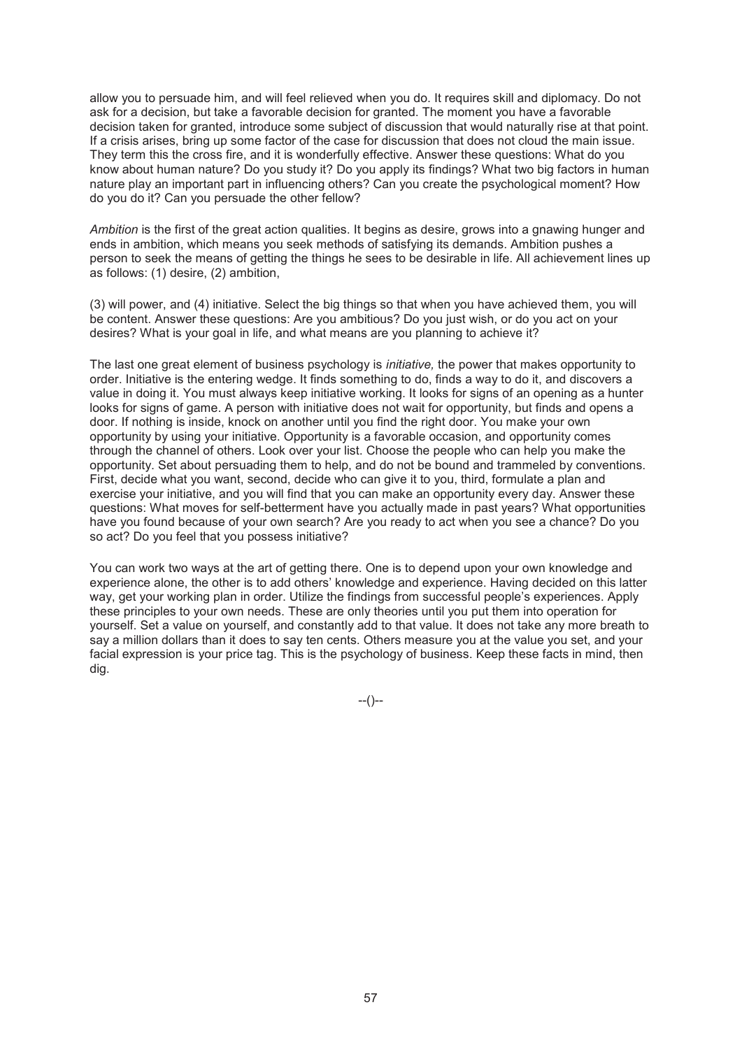allow you to persuade him, and will feel relieved when you do. It requires skill and diplomacy. Do not ask for a decision, but take a favorable decision for granted. The moment you have a favorable decision taken for granted, introduce some subject of discussion that would naturally rise at that point. If a crisis arises, bring up some factor of the case for discussion that does not cloud the main issue. They term this the cross fire, and it is wonderfully effective. Answer these questions: What do you know about human nature? Do you study it? Do you apply its findings? What two big factors in human nature play an important part in influencing others? Can you create the psychological moment? How do you do it? Can you persuade the other fellow?

*Ambition* is the first of the great action qualities. It begins as desire, grows into a gnawing hunger and ends in ambition, which means you seek methods of satisfying its demands. Ambition pushes a person to seek the means of getting the things he sees to be desirable in life. All achievement lines up as follows: (1) desire, (2) ambition,

(3) will power, and (4) initiative. Select the big things so that when you have achieved them, you will be content. Answer these questions: Are you ambitious? Do you just wish, or do you act on your desires? What is your goal in life, and what means are you planning to achieve it?

The last one great element of business psychology is *initiative,* the power that makes opportunity to order. Initiative is the entering wedge. It finds something to do, finds a way to do it, and discovers a value in doing it. You must always keep initiative working. It looks for signs of an opening as a hunter looks for signs of game. A person with initiative does not wait for opportunity, but finds and opens a door. If nothing is inside, knock on another until you find the right door. You make your own opportunity by using your initiative. Opportunity is a favorable occasion, and opportunity comes through the channel of others. Look over your list. Choose the people who can help you make the opportunity. Set about persuading them to help, and do not be bound and trammeled by conventions. First, decide what you want, second, decide who can give it to you, third, formulate a plan and exercise your initiative, and you will find that you can make an opportunity every day. Answer these questions: What moves for self-betterment have you actually made in past years? What opportunities have you found because of your own search? Are you ready to act when you see a chance? Do you so act? Do you feel that you possess initiative?

You can work two ways at the art of getting there. One is to depend upon your own knowledge and experience alone, the other is to add others' knowledge and experience. Having decided on this latter way, get your working plan in order. Utilize the findings from successful people's experiences. Apply these principles to your own needs. These are only theories until you put them into operation for yourself. Set a value on yourself, and constantly add to that value. It does not take any more breath to say a million dollars than it does to say ten cents. Others measure you at the value you set, and your facial expression is your price tag. This is the psychology of business. Keep these facts in mind, then dig.

--()--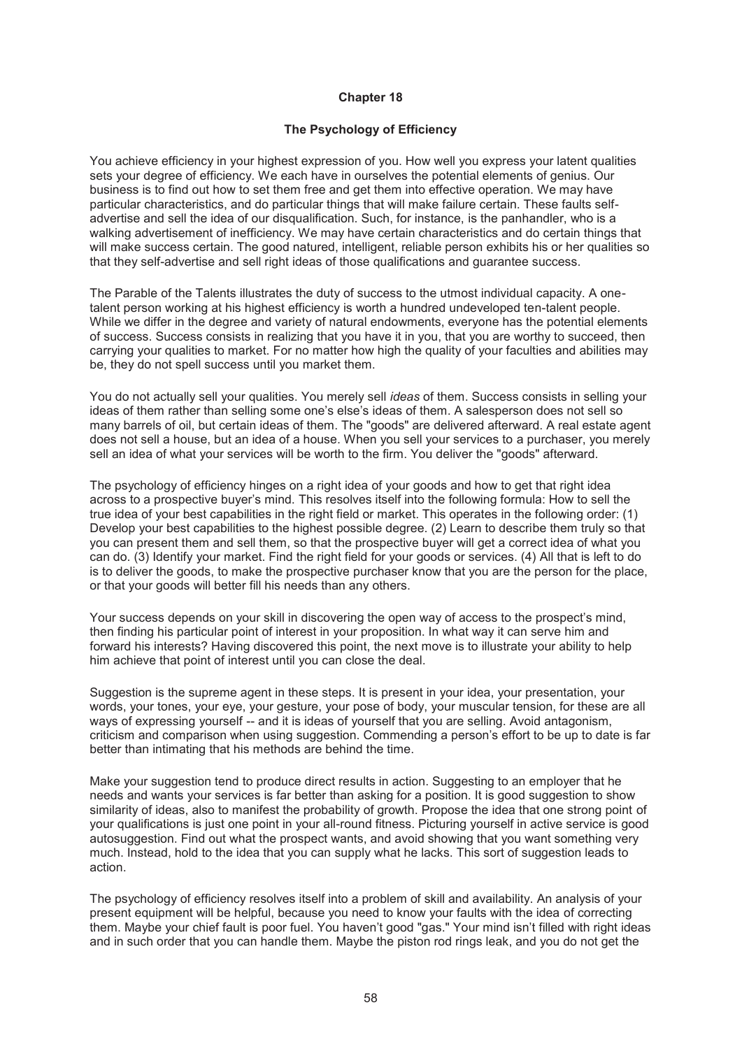# **The Psychology of Efficiency**

You achieve efficiency in your highest expression of you. How well you express your latent qualities sets your degree of efficiency. We each have in ourselves the potential elements of genius. Our business is to find out how to set them free and get them into effective operation. We may have particular characteristics, and do particular things that will make failure certain. These faults selfadvertise and sell the idea of our disqualification. Such, for instance, is the panhandler, who is a walking advertisement of inefficiency. We may have certain characteristics and do certain things that will make success certain. The good natured, intelligent, reliable person exhibits his or her qualities so that they self-advertise and sell right ideas of those qualifications and guarantee success.

The Parable of the Talents illustrates the duty of success to the utmost individual capacity. A onetalent person working at his highest efficiency is worth a hundred undeveloped ten-talent people. While we differ in the degree and variety of natural endowments, everyone has the potential elements of success. Success consists in realizing that you have it in you, that you are worthy to succeed, then carrying your qualities to market. For no matter how high the quality of your faculties and abilities may be, they do not spell success until you market them.

You do not actually sell your qualities. You merely sell *ideas* of them. Success consists in selling your ideas of them rather than selling some one's else's ideas of them. A salesperson does not sell so many barrels of oil, but certain ideas of them. The "goods" are delivered afterward. A real estate agent does not sell a house, but an idea of a house. When you sell your services to a purchaser, you merely sell an idea of what your services will be worth to the firm. You deliver the "goods" afterward.

The psychology of efficiency hinges on a right idea of your goods and how to get that right idea across to a prospective buyer's mind. This resolves itself into the following formula: How to sell the true idea of your best capabilities in the right field or market. This operates in the following order: (1) Develop your best capabilities to the highest possible degree. (2) Learn to describe them truly so that you can present them and sell them, so that the prospective buyer will get a correct idea of what you can do. (3) Identify your market. Find the right field for your goods or services. (4) All that is left to do is to deliver the goods, to make the prospective purchaser know that you are the person for the place, or that your goods will better fill his needs than any others.

Your success depends on your skill in discovering the open way of access to the prospect's mind, then finding his particular point of interest in your proposition. In what way it can serve him and forward his interests? Having discovered this point, the next move is to illustrate your ability to help him achieve that point of interest until you can close the deal.

Suggestion is the supreme agent in these steps. It is present in your idea, your presentation, your words, your tones, your eye, your gesture, your pose of body, your muscular tension, for these are all ways of expressing yourself -- and it is ideas of yourself that you are selling. Avoid antagonism, criticism and comparison when using suggestion. Commending a person's effort to be up to date is far better than intimating that his methods are behind the time.

Make your suggestion tend to produce direct results in action. Suggesting to an employer that he needs and wants your services is far better than asking for a position. It is good suggestion to show similarity of ideas, also to manifest the probability of growth. Propose the idea that one strong point of your qualifications is just one point in your all-round fitness. Picturing yourself in active service is good autosuggestion. Find out what the prospect wants, and avoid showing that you want something very much. Instead, hold to the idea that you can supply what he lacks. This sort of suggestion leads to action.

The psychology of efficiency resolves itself into a problem of skill and availability. An analysis of your present equipment will be helpful, because you need to know your faults with the idea of correcting them. Maybe your chief fault is poor fuel. You haven't good "gas." Your mind isn't filled with right ideas and in such order that you can handle them. Maybe the piston rod rings leak, and you do not get the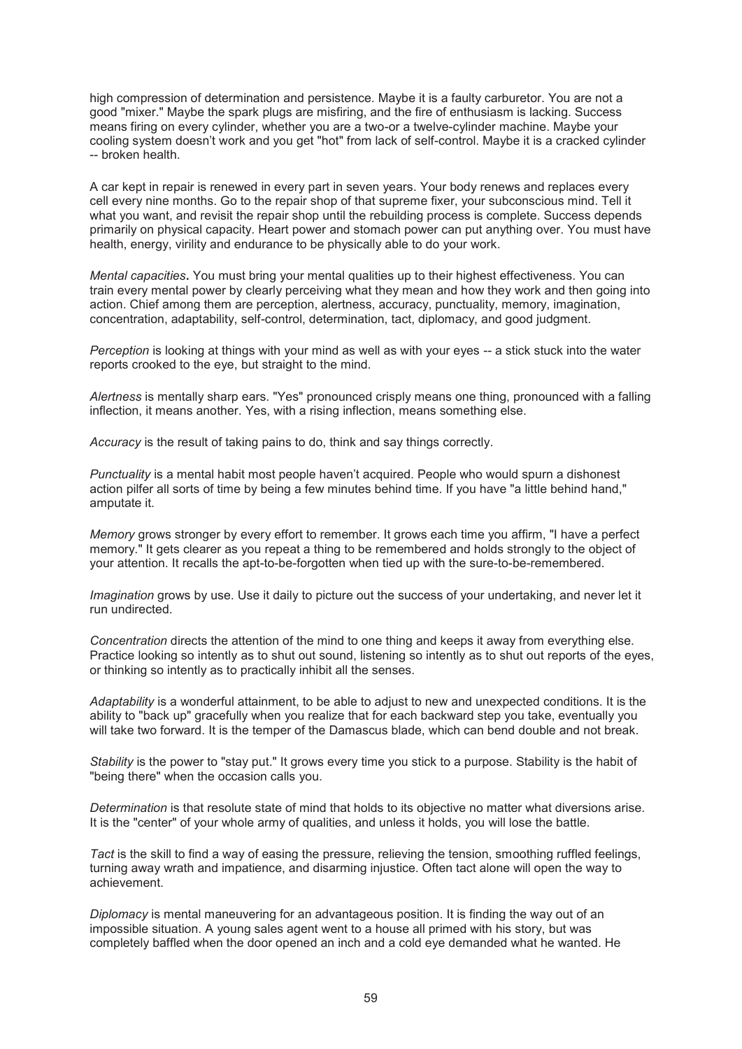high compression of determination and persistence. Maybe it is a faulty carburetor. You are not a good "mixer." Maybe the spark plugs are misfiring, and the fire of enthusiasm is lacking. Success means firing on every cylinder, whether you are a two-or a twelve-cylinder machine. Maybe your cooling system doesn't work and you get "hot" from lack of self-control. Maybe it is a cracked cylinder -- broken health.

A car kept in repair is renewed in every part in seven years. Your body renews and replaces every cell every nine months. Go to the repair shop of that supreme fixer, your subconscious mind. Tell it what you want, and revisit the repair shop until the rebuilding process is complete. Success depends primarily on physical capacity. Heart power and stomach power can put anything over. You must have health, energy, virility and endurance to be physically able to do your work.

*Mental capacities***.** You must bring your mental qualities up to their highest effectiveness. You can train every mental power by clearly perceiving what they mean and how they work and then going into action. Chief among them are perception, alertness, accuracy, punctuality, memory, imagination, concentration, adaptability, self-control, determination, tact, diplomacy, and good judgment.

*Perception* is looking at things with your mind as well as with your eyes -- a stick stuck into the water reports crooked to the eye, but straight to the mind.

*Alertness* is mentally sharp ears. "Yes" pronounced crisply means one thing, pronounced with a falling inflection, it means another. Yes, with a rising inflection, means something else.

*Accuracy* is the result of taking pains to do, think and say things correctly.

*Punctuality* is a mental habit most people haven't acquired. People who would spurn a dishonest action pilfer all sorts of time by being a few minutes behind time. If you have "a little behind hand," amputate it.

*Memory* grows stronger by every effort to remember. It grows each time you affirm, "I have a perfect memory." It gets clearer as you repeat a thing to be remembered and holds strongly to the object of your attention. It recalls the apt-to-be-forgotten when tied up with the sure-to-be-remembered.

*Imagination* grows by use. Use it daily to picture out the success of your undertaking, and never let it run undirected.

*Concentration* directs the attention of the mind to one thing and keeps it away from everything else. Practice looking so intently as to shut out sound, listening so intently as to shut out reports of the eyes, or thinking so intently as to practically inhibit all the senses.

*Adaptability* is a wonderful attainment, to be able to adjust to new and unexpected conditions. It is the ability to "back up" gracefully when you realize that for each backward step you take, eventually you will take two forward. It is the temper of the Damascus blade, which can bend double and not break.

*Stability* is the power to "stay put." It grows every time you stick to a purpose. Stability is the habit of "being there" when the occasion calls you.

*Determination* is that resolute state of mind that holds to its objective no matter what diversions arise. It is the "center" of your whole army of qualities, and unless it holds, you will lose the battle.

*Tact* is the skill to find a way of easing the pressure, relieving the tension, smoothing ruffled feelings, turning away wrath and impatience, and disarming injustice. Often tact alone will open the way to achievement.

*Diplomacy* is mental maneuvering for an advantageous position. It is finding the way out of an impossible situation. A young sales agent went to a house all primed with his story, but was completely baffled when the door opened an inch and a cold eye demanded what he wanted. He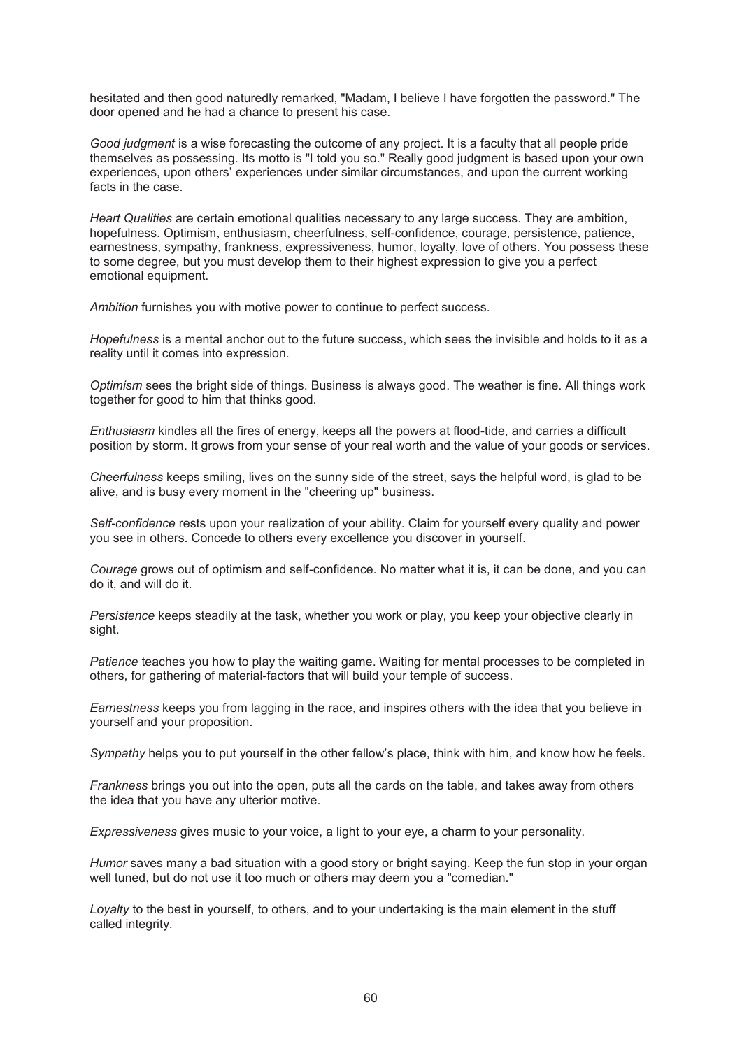hesitated and then good naturedly remarked, "Madam, I believe I have forgotten the password." The door opened and he had a chance to present his case.

*Good judgment* is a wise forecasting the outcome of any project. It is a faculty that all people pride themselves as possessing. Its motto is "I told you so." Really good judgment is based upon your own experiences, upon others' experiences under similar circumstances, and upon the current working facts in the case.

*Heart Qualities* are certain emotional qualities necessary to any large success. They are ambition, hopefulness. Optimism, enthusiasm, cheerfulness, self-confidence, courage, persistence, patience, earnestness, sympathy, frankness, expressiveness, humor, loyalty, love of others. You possess these to some degree, but you must develop them to their highest expression to give you a perfect emotional equipment.

*Ambition* furnishes you with motive power to continue to perfect success.

*Hopefulness* is a mental anchor out to the future success, which sees the invisible and holds to it as a reality until it comes into expression.

*Optimism* sees the bright side of things. Business is always good. The weather is fine. All things work together for good to him that thinks good.

*Enthusiasm* kindles all the fires of energy, keeps all the powers at flood-tide, and carries a difficult position by storm. It grows from your sense of your real worth and the value of your goods or services.

*Cheerfulness* keeps smiling, lives on the sunny side of the street, says the helpful word, is glad to be alive, and is busy every moment in the "cheering up" business.

*Self-confidence* rests upon your realization of your ability. Claim for yourself every quality and power you see in others. Concede to others every excellence you discover in yourself.

*Courage* grows out of optimism and self-confidence. No matter what it is, it can be done, and you can do it, and will do it.

*Persistence* keeps steadily at the task, whether you work or play, you keep your objective clearly in sight.

*Patience* teaches you how to play the waiting game. Waiting for mental processes to be completed in others, for gathering of material-factors that will build your temple of success.

*Earnestness* keeps you from lagging in the race, and inspires others with the idea that you believe in yourself and your proposition.

*Sympathy* helps you to put yourself in the other fellow's place, think with him, and know how he feels.

*Frankness* brings you out into the open, puts all the cards on the table, and takes away from others the idea that you have any ulterior motive.

*Expressiveness* gives music to your voice, a light to your eye, a charm to your personality.

*Humor* saves many a bad situation with a good story or bright saying. Keep the fun stop in your organ well tuned, but do not use it too much or others may deem you a "comedian."

*Loyalty* to the best in yourself, to others, and to your undertaking is the main element in the stuff called integrity.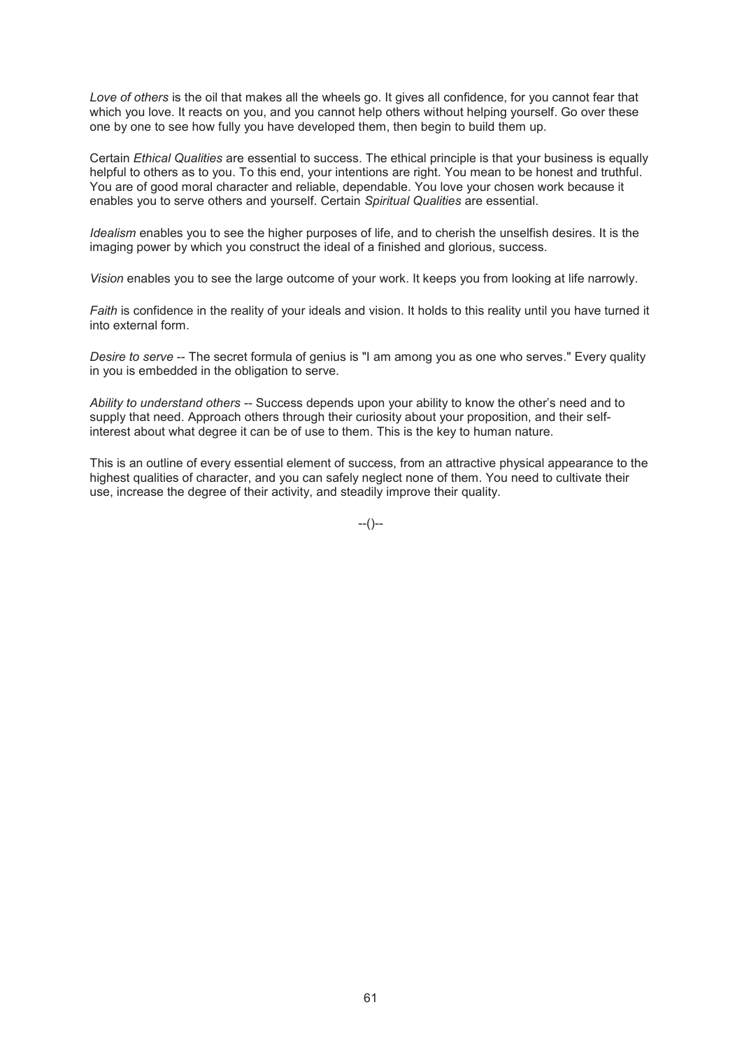Love of others is the oil that makes all the wheels go. It gives all confidence, for you cannot fear that which you love. It reacts on you, and you cannot help others without helping yourself. Go over these one by one to see how fully you have developed them, then begin to build them up.

Certain *Ethical Qualities* are essential to success. The ethical principle is that your business is equally helpful to others as to you. To this end, your intentions are right. You mean to be honest and truthful. You are of good moral character and reliable, dependable. You love your chosen work because it enables you to serve others and yourself. Certain *Spiritual Qualities* are essential.

*Idealism* enables you to see the higher purposes of life, and to cherish the unselfish desires. It is the imaging power by which you construct the ideal of a finished and glorious, success.

*Vision* enables you to see the large outcome of your work. It keeps you from looking at life narrowly.

*Faith* is confidence in the reality of your ideals and vision. It holds to this reality until you have turned it into external form.

*Desire to serve* -- The secret formula of genius is "I am among you as one who serves." Every quality in you is embedded in the obligation to serve.

*Ability to understand others* -- Success depends upon your ability to know the other's need and to supply that need. Approach others through their curiosity about your proposition, and their selfinterest about what degree it can be of use to them. This is the key to human nature.

This is an outline of every essential element of success, from an attractive physical appearance to the highest qualities of character, and you can safely neglect none of them. You need to cultivate their use, increase the degree of their activity, and steadily improve their quality.

--()--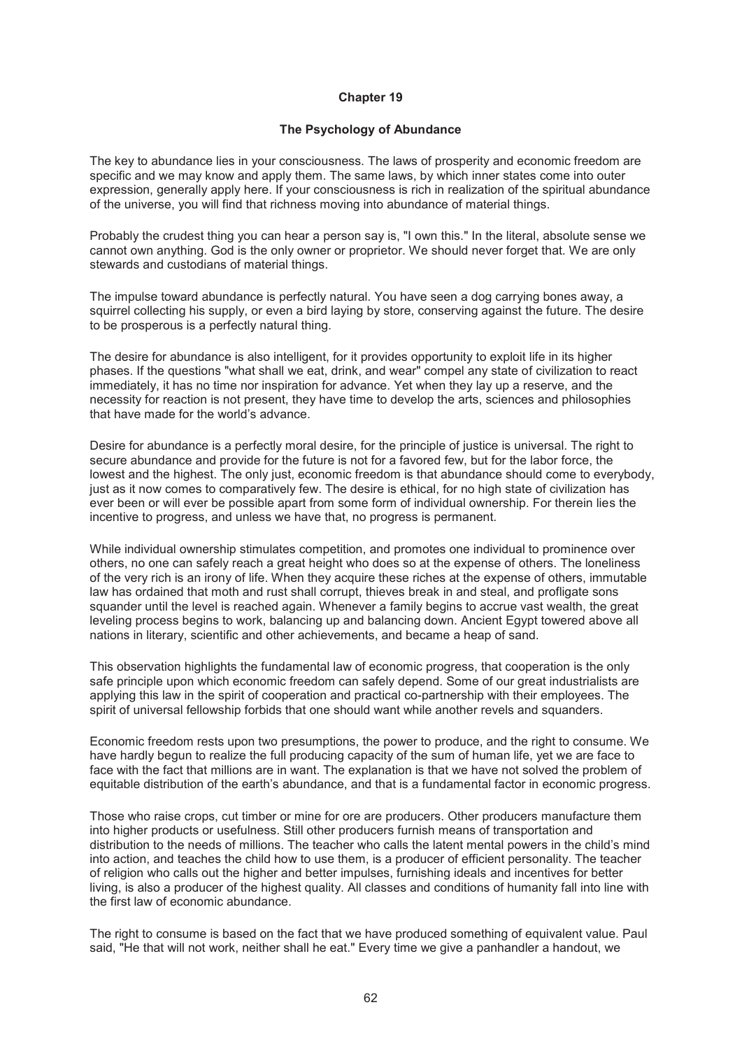#### **The Psychology of Abundance**

The key to abundance lies in your consciousness. The laws of prosperity and economic freedom are specific and we may know and apply them. The same laws, by which inner states come into outer expression, generally apply here. If your consciousness is rich in realization of the spiritual abundance of the universe, you will find that richness moving into abundance of material things.

Probably the crudest thing you can hear a person say is, "I own this." In the literal, absolute sense we cannot own anything. God is the only owner or proprietor. We should never forget that. We are only stewards and custodians of material things.

The impulse toward abundance is perfectly natural. You have seen a dog carrying bones away, a squirrel collecting his supply, or even a bird laying by store, conserving against the future. The desire to be prosperous is a perfectly natural thing.

The desire for abundance is also intelligent, for it provides opportunity to exploit life in its higher phases. If the questions "what shall we eat, drink, and wear" compel any state of civilization to react immediately, it has no time nor inspiration for advance. Yet when they lay up a reserve, and the necessity for reaction is not present, they have time to develop the arts, sciences and philosophies that have made for the world's advance.

Desire for abundance is a perfectly moral desire, for the principle of justice is universal. The right to secure abundance and provide for the future is not for a favored few, but for the labor force, the lowest and the highest. The only just, economic freedom is that abundance should come to everybody, just as it now comes to comparatively few. The desire is ethical, for no high state of civilization has ever been or will ever be possible apart from some form of individual ownership. For therein lies the incentive to progress, and unless we have that, no progress is permanent.

While individual ownership stimulates competition, and promotes one individual to prominence over others, no one can safely reach a great height who does so at the expense of others. The loneliness of the very rich is an irony of life. When they acquire these riches at the expense of others, immutable law has ordained that moth and rust shall corrupt, thieves break in and steal, and profligate sons squander until the level is reached again. Whenever a family begins to accrue vast wealth, the great leveling process begins to work, balancing up and balancing down. Ancient Egypt towered above all nations in literary, scientific and other achievements, and became a heap of sand.

This observation highlights the fundamental law of economic progress, that cooperation is the only safe principle upon which economic freedom can safely depend. Some of our great industrialists are applying this law in the spirit of cooperation and practical co-partnership with their employees. The spirit of universal fellowship forbids that one should want while another revels and squanders.

Economic freedom rests upon two presumptions, the power to produce, and the right to consume. We have hardly begun to realize the full producing capacity of the sum of human life, yet we are face to face with the fact that millions are in want. The explanation is that we have not solved the problem of equitable distribution of the earth's abundance, and that is a fundamental factor in economic progress.

Those who raise crops, cut timber or mine for ore are producers. Other producers manufacture them into higher products or usefulness. Still other producers furnish means of transportation and distribution to the needs of millions. The teacher who calls the latent mental powers in the child's mind into action, and teaches the child how to use them, is a producer of efficient personality. The teacher of religion who calls out the higher and better impulses, furnishing ideals and incentives for better living, is also a producer of the highest quality. All classes and conditions of humanity fall into line with the first law of economic abundance.

The right to consume is based on the fact that we have produced something of equivalent value. Paul said, "He that will not work, neither shall he eat." Every time we give a panhandler a handout, we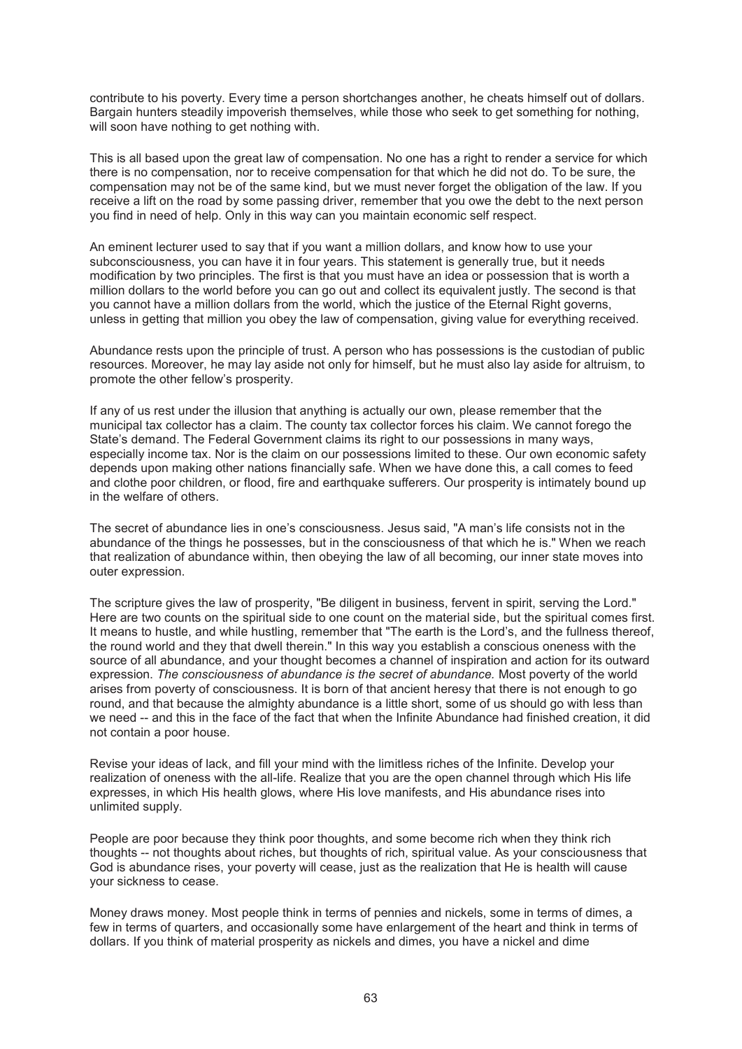contribute to his poverty. Every time a person shortchanges another, he cheats himself out of dollars. Bargain hunters steadily impoverish themselves, while those who seek to get something for nothing, will soon have nothing to get nothing with.

This is all based upon the great law of compensation. No one has a right to render a service for which there is no compensation, nor to receive compensation for that which he did not do. To be sure, the compensation may not be of the same kind, but we must never forget the obligation of the law. If you receive a lift on the road by some passing driver, remember that you owe the debt to the next person you find in need of help. Only in this way can you maintain economic self respect.

An eminent lecturer used to say that if you want a million dollars, and know how to use your subconsciousness, you can have it in four years. This statement is generally true, but it needs modification by two principles. The first is that you must have an idea or possession that is worth a million dollars to the world before you can go out and collect its equivalent justly. The second is that you cannot have a million dollars from the world, which the justice of the Eternal Right governs, unless in getting that million you obey the law of compensation, giving value for everything received.

Abundance rests upon the principle of trust. A person who has possessions is the custodian of public resources. Moreover, he may lay aside not only for himself, but he must also lay aside for altruism, to promote the other fellow's prosperity.

If any of us rest under the illusion that anything is actually our own, please remember that the municipal tax collector has a claim. The county tax collector forces his claim. We cannot forego the State's demand. The Federal Government claims its right to our possessions in many ways, especially income tax. Nor is the claim on our possessions limited to these. Our own economic safety depends upon making other nations financially safe. When we have done this, a call comes to feed and clothe poor children, or flood, fire and earthquake sufferers. Our prosperity is intimately bound up in the welfare of others.

The secret of abundance lies in one's consciousness. Jesus said, "A man's life consists not in the abundance of the things he possesses, but in the consciousness of that which he is." When we reach that realization of abundance within, then obeying the law of all becoming, our inner state moves into outer expression.

The scripture gives the law of prosperity, "Be diligent in business, fervent in spirit, serving the Lord." Here are two counts on the spiritual side to one count on the material side, but the spiritual comes first. It means to hustle, and while hustling, remember that "The earth is the Lord's, and the fullness thereof, the round world and they that dwell therein." In this way you establish a conscious oneness with the source of all abundance, and your thought becomes a channel of inspiration and action for its outward expression. *The consciousness of abundance is the secret of abundance.* Most poverty of the world arises from poverty of consciousness. It is born of that ancient heresy that there is not enough to go round, and that because the almighty abundance is a little short, some of us should go with less than we need -- and this in the face of the fact that when the Infinite Abundance had finished creation, it did not contain a poor house.

Revise your ideas of lack, and fill your mind with the limitless riches of the Infinite. Develop your realization of oneness with the all-life. Realize that you are the open channel through which His life expresses, in which His health glows, where His love manifests, and His abundance rises into unlimited supply.

People are poor because they think poor thoughts, and some become rich when they think rich thoughts -- not thoughts about riches, but thoughts of rich, spiritual value. As your consciousness that God is abundance rises, your poverty will cease, just as the realization that He is health will cause your sickness to cease.

Money draws money. Most people think in terms of pennies and nickels, some in terms of dimes, a few in terms of quarters, and occasionally some have enlargement of the heart and think in terms of dollars. If you think of material prosperity as nickels and dimes, you have a nickel and dime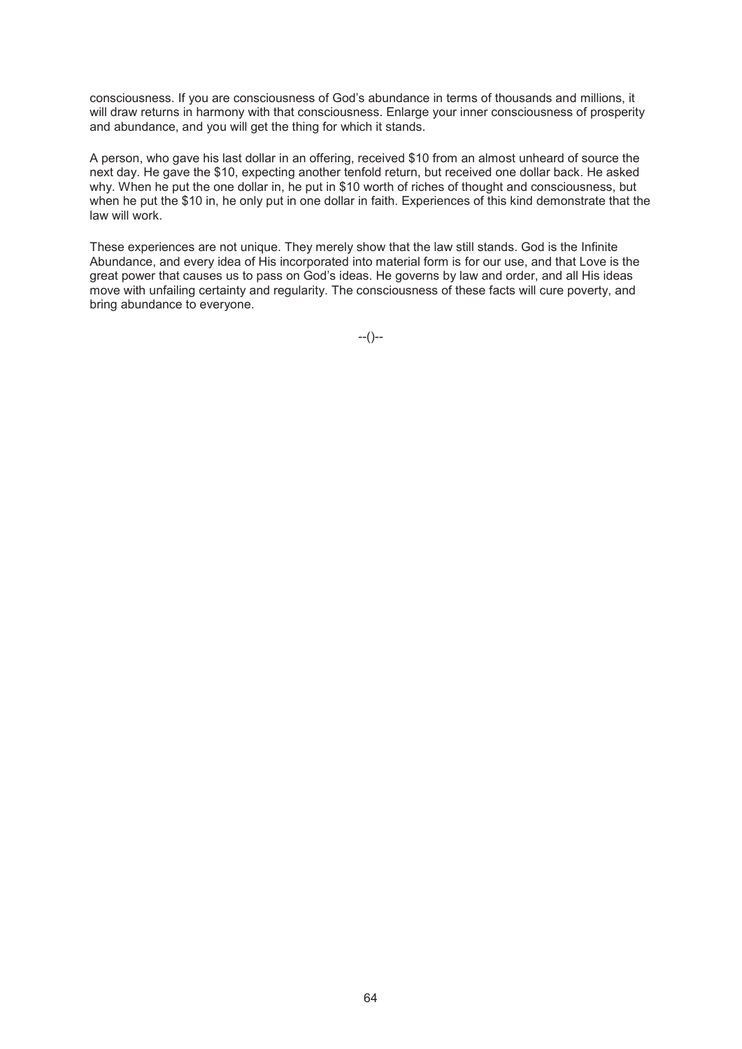consciousness. If you are consciousness of God's abundance in terms of thousands and millions, it will draw returns in harmony with that consciousness. Enlarge your inner consciousness of prosperity and abundance, and you will get the thing for which it stands.

A person, who gave his last dollar in an offering, received \$10 from an almost unheard of source the next day. He gave the \$10, expecting another tenfold return, but received one dollar back. He asked why. When he put the one dollar in, he put in \$10 worth of riches of thought and consciousness, but when he put the \$10 in, he only put in one dollar in faith. Experiences of this kind demonstrate that the law will work.

These experiences are not unique. They merely show that the law still stands. God is the Infinite Abundance, and every idea of His incorporated into material form is for our use, and that Love is the great power that causes us to pass on God's ideas. He governs by law and order, and all His ideas move with unfailing certainty and regularity. The consciousness of these facts will cure poverty, and bring abundance to everyone.

--()--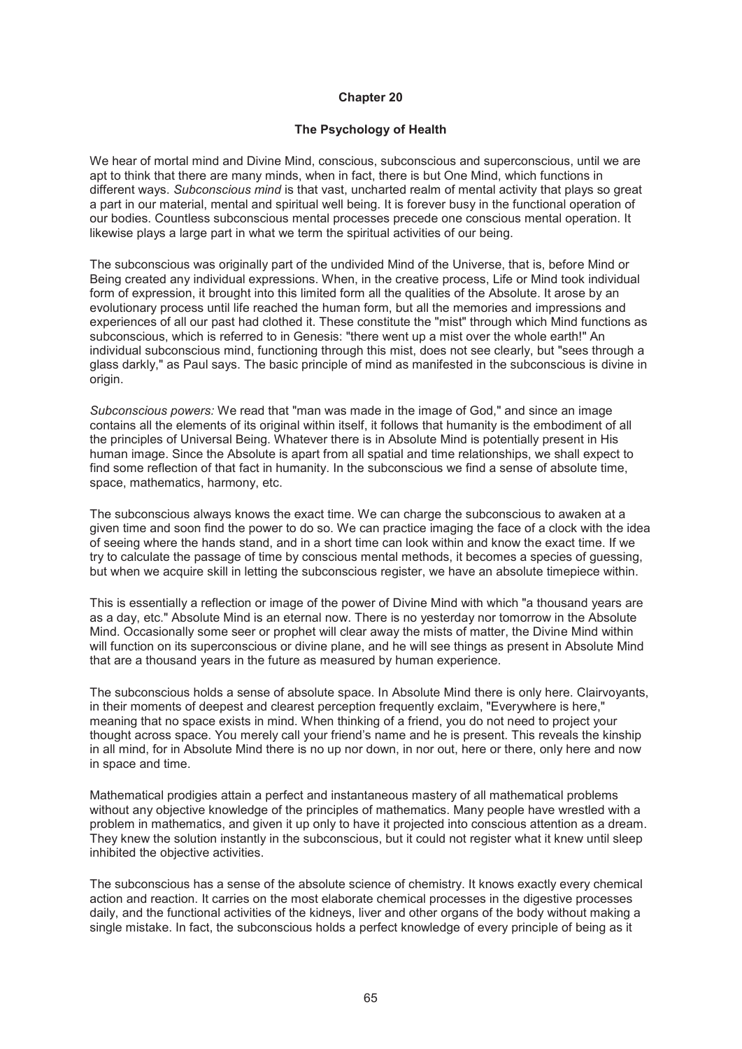# **The Psychology of Health**

We hear of mortal mind and Divine Mind, conscious, subconscious and superconscious, until we are apt to think that there are many minds, when in fact, there is but One Mind, which functions in different ways. *Subconscious mind* is that vast, uncharted realm of mental activity that plays so great a part in our material, mental and spiritual well being. It is forever busy in the functional operation of our bodies. Countless subconscious mental processes precede one conscious mental operation. It likewise plays a large part in what we term the spiritual activities of our being.

The subconscious was originally part of the undivided Mind of the Universe, that is, before Mind or Being created any individual expressions. When, in the creative process, Life or Mind took individual form of expression, it brought into this limited form all the qualities of the Absolute. It arose by an evolutionary process until life reached the human form, but all the memories and impressions and experiences of all our past had clothed it. These constitute the "mist" through which Mind functions as subconscious, which is referred to in Genesis: "there went up a mist over the whole earth!" An individual subconscious mind, functioning through this mist, does not see clearly, but "sees through a glass darkly," as Paul says. The basic principle of mind as manifested in the subconscious is divine in origin.

*Subconscious powers:* We read that "man was made in the image of God," and since an image contains all the elements of its original within itself, it follows that humanity is the embodiment of all the principles of Universal Being. Whatever there is in Absolute Mind is potentially present in His human image. Since the Absolute is apart from all spatial and time relationships, we shall expect to find some reflection of that fact in humanity. In the subconscious we find a sense of absolute time, space, mathematics, harmony, etc.

The subconscious always knows the exact time. We can charge the subconscious to awaken at a given time and soon find the power to do so. We can practice imaging the face of a clock with the idea of seeing where the hands stand, and in a short time can look within and know the exact time. If we try to calculate the passage of time by conscious mental methods, it becomes a species of guessing, but when we acquire skill in letting the subconscious register, we have an absolute timepiece within.

This is essentially a reflection or image of the power of Divine Mind with which "a thousand years are as a day, etc." Absolute Mind is an eternal now. There is no yesterday nor tomorrow in the Absolute Mind. Occasionally some seer or prophet will clear away the mists of matter, the Divine Mind within will function on its superconscious or divine plane, and he will see things as present in Absolute Mind that are a thousand years in the future as measured by human experience.

The subconscious holds a sense of absolute space. In Absolute Mind there is only here. Clairvoyants, in their moments of deepest and clearest perception frequently exclaim, "Everywhere is here," meaning that no space exists in mind. When thinking of a friend, you do not need to project your thought across space. You merely call your friend's name and he is present. This reveals the kinship in all mind, for in Absolute Mind there is no up nor down, in nor out, here or there, only here and now in space and time.

Mathematical prodigies attain a perfect and instantaneous mastery of all mathematical problems without any objective knowledge of the principles of mathematics. Many people have wrestled with a problem in mathematics, and given it up only to have it projected into conscious attention as a dream. They knew the solution instantly in the subconscious, but it could not register what it knew until sleep inhibited the objective activities.

The subconscious has a sense of the absolute science of chemistry. It knows exactly every chemical action and reaction. It carries on the most elaborate chemical processes in the digestive processes daily, and the functional activities of the kidneys, liver and other organs of the body without making a single mistake. In fact, the subconscious holds a perfect knowledge of every principle of being as it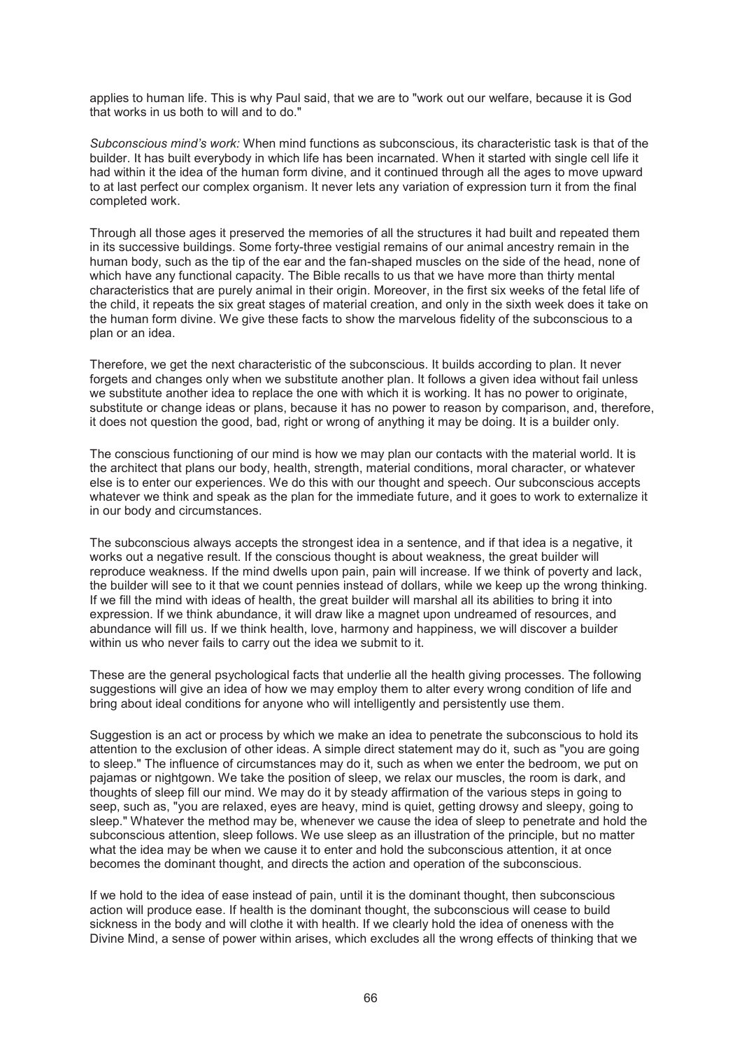applies to human life. This is why Paul said, that we are to "work out our welfare, because it is God that works in us both to will and to do."

*Subconscious mind's work:* When mind functions as subconscious, its characteristic task is that of the builder. It has built everybody in which life has been incarnated. When it started with single cell life it had within it the idea of the human form divine, and it continued through all the ages to move upward to at last perfect our complex organism. It never lets any variation of expression turn it from the final completed work.

Through all those ages it preserved the memories of all the structures it had built and repeated them in its successive buildings. Some forty-three vestigial remains of our animal ancestry remain in the human body, such as the tip of the ear and the fan-shaped muscles on the side of the head, none of which have any functional capacity. The Bible recalls to us that we have more than thirty mental characteristics that are purely animal in their origin. Moreover, in the first six weeks of the fetal life of the child, it repeats the six great stages of material creation, and only in the sixth week does it take on the human form divine. We give these facts to show the marvelous fidelity of the subconscious to a plan or an idea.

Therefore, we get the next characteristic of the subconscious. It builds according to plan. It never forgets and changes only when we substitute another plan. It follows a given idea without fail unless we substitute another idea to replace the one with which it is working. It has no power to originate, substitute or change ideas or plans, because it has no power to reason by comparison, and, therefore, it does not question the good, bad, right or wrong of anything it may be doing. It is a builder only.

The conscious functioning of our mind is how we may plan our contacts with the material world. It is the architect that plans our body, health, strength, material conditions, moral character, or whatever else is to enter our experiences. We do this with our thought and speech. Our subconscious accepts whatever we think and speak as the plan for the immediate future, and it goes to work to externalize it in our body and circumstances.

The subconscious always accepts the strongest idea in a sentence, and if that idea is a negative, it works out a negative result. If the conscious thought is about weakness, the great builder will reproduce weakness. If the mind dwells upon pain, pain will increase. If we think of poverty and lack, the builder will see to it that we count pennies instead of dollars, while we keep up the wrong thinking. If we fill the mind with ideas of health, the great builder will marshal all its abilities to bring it into expression. If we think abundance, it will draw like a magnet upon undreamed of resources, and abundance will fill us. If we think health, love, harmony and happiness, we will discover a builder within us who never fails to carry out the idea we submit to it.

These are the general psychological facts that underlie all the health giving processes. The following suggestions will give an idea of how we may employ them to alter every wrong condition of life and bring about ideal conditions for anyone who will intelligently and persistently use them.

Suggestion is an act or process by which we make an idea to penetrate the subconscious to hold its attention to the exclusion of other ideas. A simple direct statement may do it, such as "you are going to sleep." The influence of circumstances may do it, such as when we enter the bedroom, we put on pajamas or nightgown. We take the position of sleep, we relax our muscles, the room is dark, and thoughts of sleep fill our mind. We may do it by steady affirmation of the various steps in going to seep, such as, "you are relaxed, eyes are heavy, mind is quiet, getting drowsy and sleepy, going to sleep." Whatever the method may be, whenever we cause the idea of sleep to penetrate and hold the subconscious attention, sleep follows. We use sleep as an illustration of the principle, but no matter what the idea may be when we cause it to enter and hold the subconscious attention, it at once becomes the dominant thought, and directs the action and operation of the subconscious.

If we hold to the idea of ease instead of pain, until it is the dominant thought, then subconscious action will produce ease. If health is the dominant thought, the subconscious will cease to build sickness in the body and will clothe it with health. If we clearly hold the idea of oneness with the Divine Mind, a sense of power within arises, which excludes all the wrong effects of thinking that we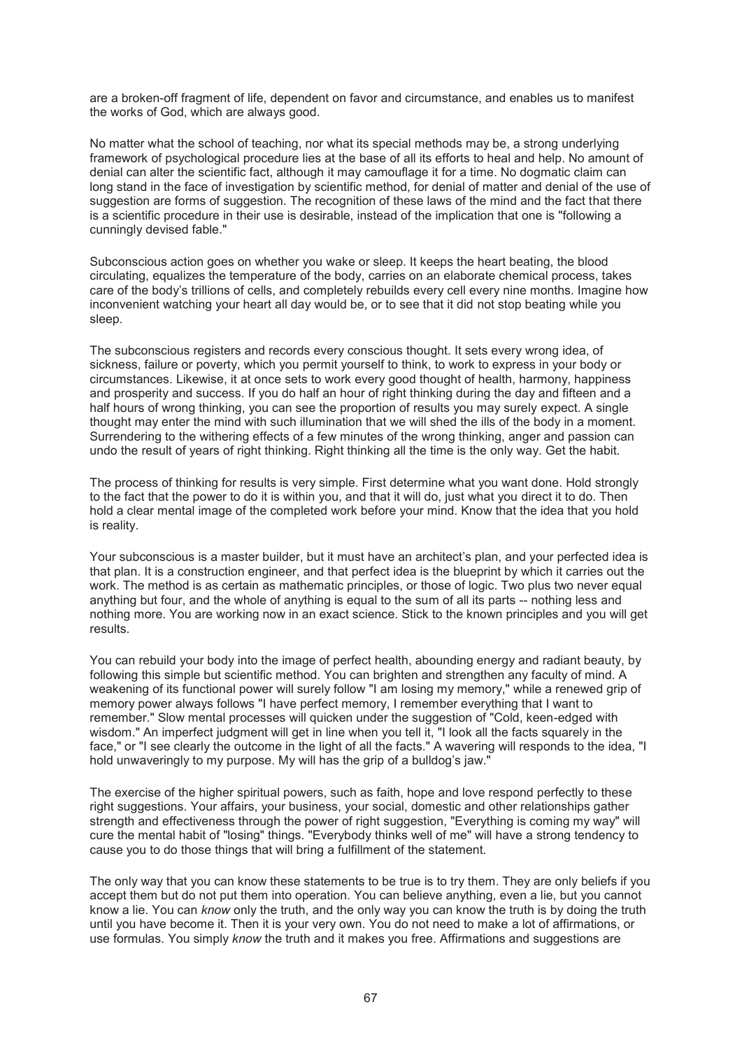are a broken-off fragment of life, dependent on favor and circumstance, and enables us to manifest the works of God, which are always good.

No matter what the school of teaching, nor what its special methods may be, a strong underlying framework of psychological procedure lies at the base of all its efforts to heal and help. No amount of denial can alter the scientific fact, although it may camouflage it for a time. No dogmatic claim can long stand in the face of investigation by scientific method, for denial of matter and denial of the use of suggestion are forms of suggestion. The recognition of these laws of the mind and the fact that there is a scientific procedure in their use is desirable, instead of the implication that one is "following a cunningly devised fable."

Subconscious action goes on whether you wake or sleep. It keeps the heart beating, the blood circulating, equalizes the temperature of the body, carries on an elaborate chemical process, takes care of the body's trillions of cells, and completely rebuilds every cell every nine months. Imagine how inconvenient watching your heart all day would be, or to see that it did not stop beating while you sleep.

The subconscious registers and records every conscious thought. It sets every wrong idea, of sickness, failure or poverty, which you permit yourself to think, to work to express in your body or circumstances. Likewise, it at once sets to work every good thought of health, harmony, happiness and prosperity and success. If you do half an hour of right thinking during the day and fifteen and a half hours of wrong thinking, you can see the proportion of results you may surely expect. A single thought may enter the mind with such illumination that we will shed the ills of the body in a moment. Surrendering to the withering effects of a few minutes of the wrong thinking, anger and passion can undo the result of years of right thinking. Right thinking all the time is the only way. Get the habit.

The process of thinking for results is very simple. First determine what you want done. Hold strongly to the fact that the power to do it is within you, and that it will do, just what you direct it to do. Then hold a clear mental image of the completed work before your mind. Know that the idea that you hold is reality.

Your subconscious is a master builder, but it must have an architect's plan, and your perfected idea is that plan. It is a construction engineer, and that perfect idea is the blueprint by which it carries out the work. The method is as certain as mathematic principles, or those of logic. Two plus two never equal anything but four, and the whole of anything is equal to the sum of all its parts -- nothing less and nothing more. You are working now in an exact science. Stick to the known principles and you will get results.

You can rebuild your body into the image of perfect health, abounding energy and radiant beauty, by following this simple but scientific method. You can brighten and strengthen any faculty of mind. A weakening of its functional power will surely follow "I am losing my memory," while a renewed grip of memory power always follows "I have perfect memory, I remember everything that I want to remember." Slow mental processes will quicken under the suggestion of "Cold, keen-edged with wisdom." An imperfect judgment will get in line when you tell it, "I look all the facts squarely in the face," or "I see clearly the outcome in the light of all the facts." A wavering will responds to the idea, "I hold unwaveringly to my purpose. My will has the grip of a bulldog's jaw."

The exercise of the higher spiritual powers, such as faith, hope and love respond perfectly to these right suggestions. Your affairs, your business, your social, domestic and other relationships gather strength and effectiveness through the power of right suggestion, "Everything is coming my way" will cure the mental habit of "losing" things. "Everybody thinks well of me" will have a strong tendency to cause you to do those things that will bring a fulfillment of the statement.

The only way that you can know these statements to be true is to try them. They are only beliefs if you accept them but do not put them into operation. You can believe anything, even a lie, but you cannot know a lie. You can *know* only the truth, and the only way you can know the truth is by doing the truth until you have become it. Then it is your very own. You do not need to make a lot of affirmations, or use formulas. You simply *know* the truth and it makes you free. Affirmations and suggestions are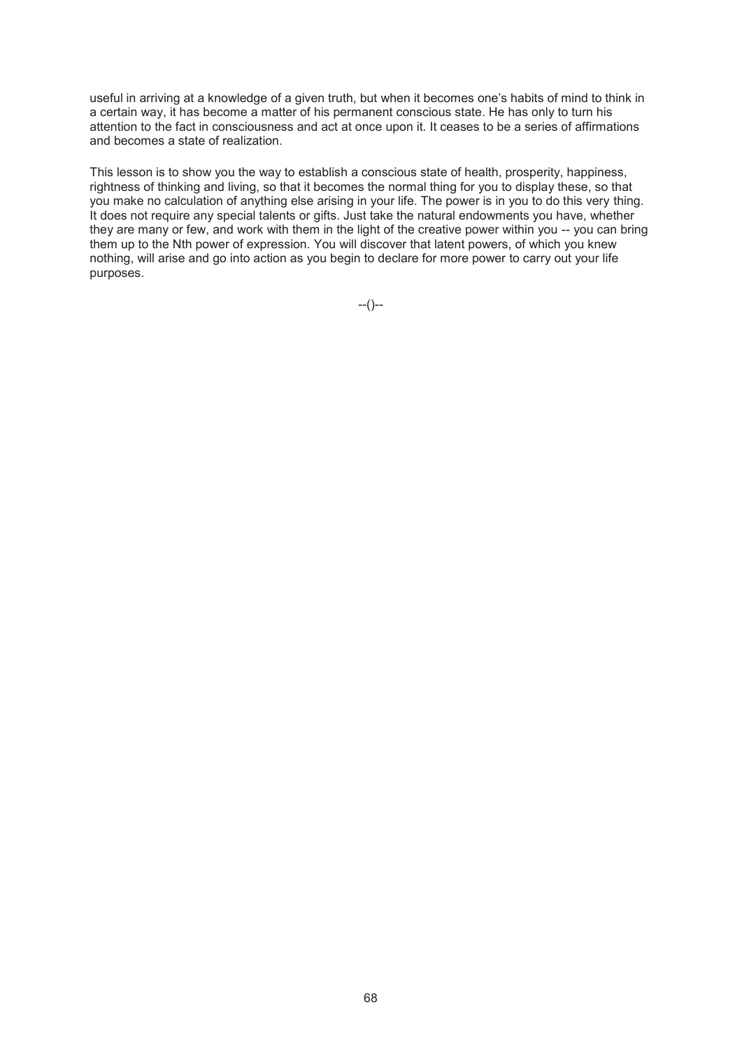useful in arriving at a knowledge of a given truth, but when it becomes one's habits of mind to think in a certain way, it has become a matter of his permanent conscious state. He has only to turn his attention to the fact in consciousness and act at once upon it. It ceases to be a series of affirmations and becomes a state of realization.

This lesson is to show you the way to establish a conscious state of health, prosperity, happiness, rightness of thinking and living, so that it becomes the normal thing for you to display these, so that you make no calculation of anything else arising in your life. The power is in you to do this very thing. It does not require any special talents or gifts. Just take the natural endowments you have, whether they are many or few, and work with them in the light of the creative power within you -- you can bring them up to the Nth power of expression. You will discover that latent powers, of which you knew nothing, will arise and go into action as you begin to declare for more power to carry out your life purposes.

--()--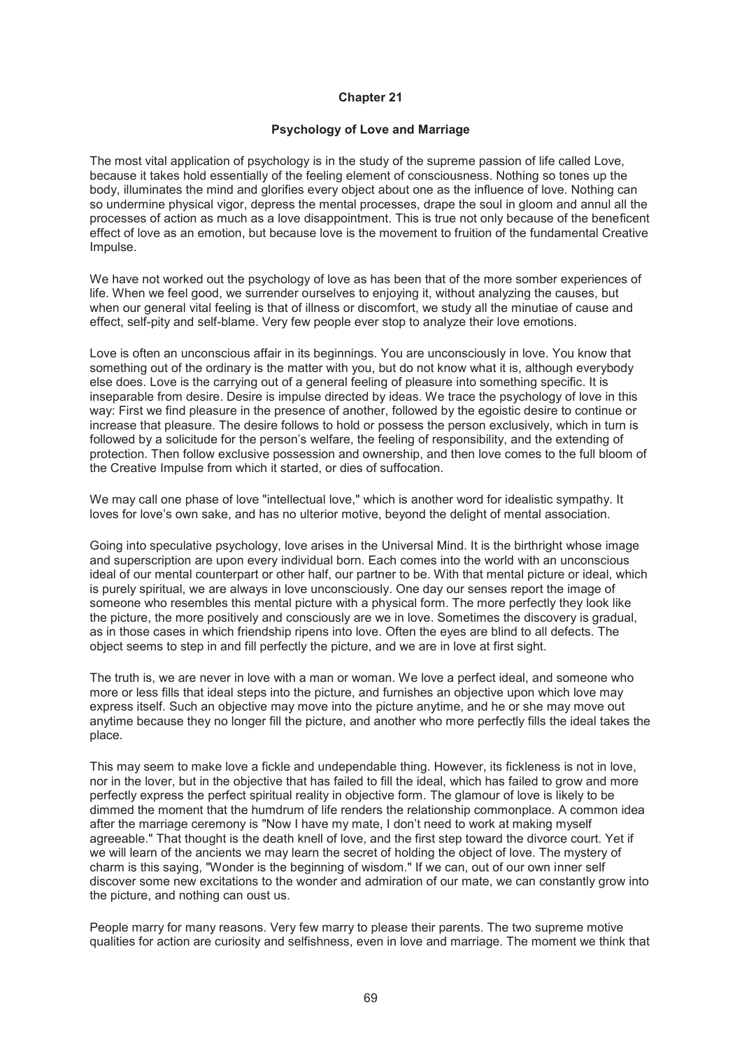# **Psychology of Love and Marriage**

The most vital application of psychology is in the study of the supreme passion of life called Love, because it takes hold essentially of the feeling element of consciousness. Nothing so tones up the body, illuminates the mind and glorifies every object about one as the influence of love. Nothing can so undermine physical vigor, depress the mental processes, drape the soul in gloom and annul all the processes of action as much as a love disappointment. This is true not only because of the beneficent effect of love as an emotion, but because love is the movement to fruition of the fundamental Creative Impulse.

We have not worked out the psychology of love as has been that of the more somber experiences of life. When we feel good, we surrender ourselves to enjoying it, without analyzing the causes, but when our general vital feeling is that of illness or discomfort, we study all the minutiae of cause and effect, self-pity and self-blame. Very few people ever stop to analyze their love emotions.

Love is often an unconscious affair in its beginnings. You are unconsciously in love. You know that something out of the ordinary is the matter with you, but do not know what it is, although everybody else does. Love is the carrying out of a general feeling of pleasure into something specific. It is inseparable from desire. Desire is impulse directed by ideas. We trace the psychology of love in this way: First we find pleasure in the presence of another, followed by the egoistic desire to continue or increase that pleasure. The desire follows to hold or possess the person exclusively, which in turn is followed by a solicitude for the person's welfare, the feeling of responsibility, and the extending of protection. Then follow exclusive possession and ownership, and then love comes to the full bloom of the Creative Impulse from which it started, or dies of suffocation.

We may call one phase of love "intellectual love," which is another word for idealistic sympathy. It loves for love's own sake, and has no ulterior motive, beyond the delight of mental association.

Going into speculative psychology, love arises in the Universal Mind. It is the birthright whose image and superscription are upon every individual born. Each comes into the world with an unconscious ideal of our mental counterpart or other half, our partner to be. With that mental picture or ideal, which is purely spiritual, we are always in love unconsciously. One day our senses report the image of someone who resembles this mental picture with a physical form. The more perfectly they look like the picture, the more positively and consciously are we in love. Sometimes the discovery is gradual, as in those cases in which friendship ripens into love. Often the eyes are blind to all defects. The object seems to step in and fill perfectly the picture, and we are in love at first sight.

The truth is, we are never in love with a man or woman. We love a perfect ideal, and someone who more or less fills that ideal steps into the picture, and furnishes an objective upon which love may express itself. Such an objective may move into the picture anytime, and he or she may move out anytime because they no longer fill the picture, and another who more perfectly fills the ideal takes the place.

This may seem to make love a fickle and undependable thing. However, its fickleness is not in love, nor in the lover, but in the objective that has failed to fill the ideal, which has failed to grow and more perfectly express the perfect spiritual reality in objective form. The glamour of love is likely to be dimmed the moment that the humdrum of life renders the relationship commonplace. A common idea after the marriage ceremony is "Now I have my mate, I don't need to work at making myself agreeable." That thought is the death knell of love, and the first step toward the divorce court. Yet if we will learn of the ancients we may learn the secret of holding the object of love. The mystery of charm is this saying, "Wonder is the beginning of wisdom." If we can, out of our own inner self discover some new excitations to the wonder and admiration of our mate, we can constantly grow into the picture, and nothing can oust us.

People marry for many reasons. Very few marry to please their parents. The two supreme motive qualities for action are curiosity and selfishness, even in love and marriage. The moment we think that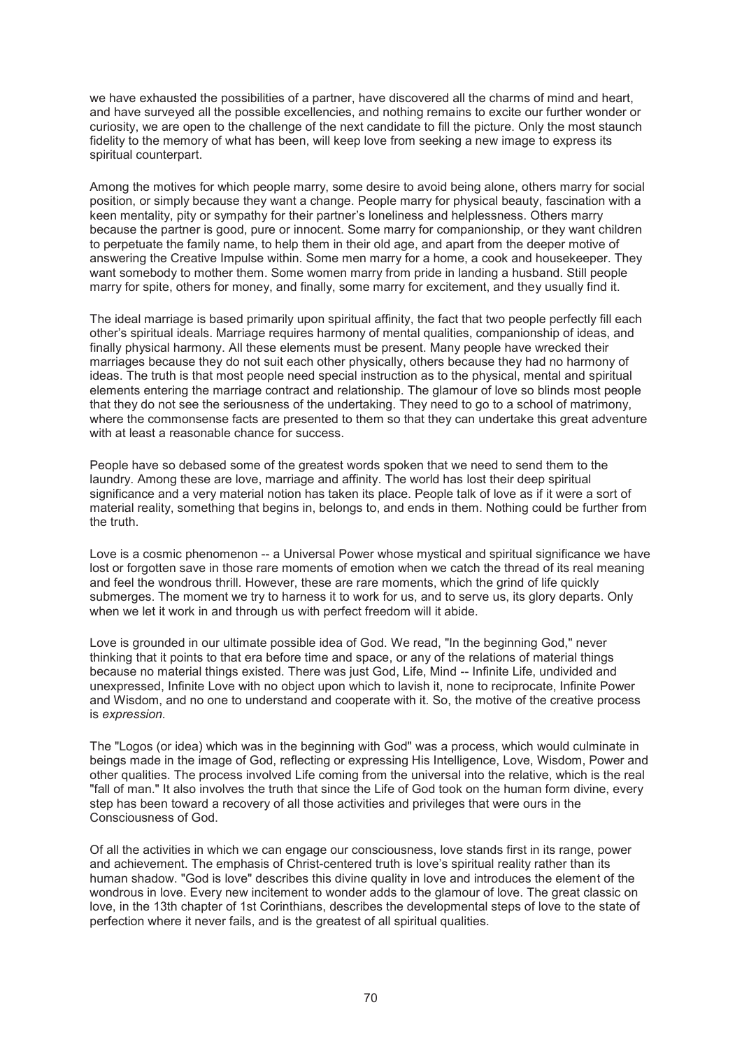we have exhausted the possibilities of a partner, have discovered all the charms of mind and heart, and have surveyed all the possible excellencies, and nothing remains to excite our further wonder or curiosity, we are open to the challenge of the next candidate to fill the picture. Only the most staunch fidelity to the memory of what has been, will keep love from seeking a new image to express its spiritual counterpart.

Among the motives for which people marry, some desire to avoid being alone, others marry for social position, or simply because they want a change. People marry for physical beauty, fascination with a keen mentality, pity or sympathy for their partner's loneliness and helplessness. Others marry because the partner is good, pure or innocent. Some marry for companionship, or they want children to perpetuate the family name, to help them in their old age, and apart from the deeper motive of answering the Creative Impulse within. Some men marry for a home, a cook and housekeeper. They want somebody to mother them. Some women marry from pride in landing a husband. Still people marry for spite, others for money, and finally, some marry for excitement, and they usually find it.

The ideal marriage is based primarily upon spiritual affinity, the fact that two people perfectly fill each other's spiritual ideals. Marriage requires harmony of mental qualities, companionship of ideas, and finally physical harmony. All these elements must be present. Many people have wrecked their marriages because they do not suit each other physically, others because they had no harmony of ideas. The truth is that most people need special instruction as to the physical, mental and spiritual elements entering the marriage contract and relationship. The glamour of love so blinds most people that they do not see the seriousness of the undertaking. They need to go to a school of matrimony, where the commonsense facts are presented to them so that they can undertake this great adventure with at least a reasonable chance for success.

People have so debased some of the greatest words spoken that we need to send them to the laundry. Among these are love, marriage and affinity. The world has lost their deep spiritual significance and a very material notion has taken its place. People talk of love as if it were a sort of material reality, something that begins in, belongs to, and ends in them. Nothing could be further from the truth.

Love is a cosmic phenomenon -- a Universal Power whose mystical and spiritual significance we have lost or forgotten save in those rare moments of emotion when we catch the thread of its real meaning and feel the wondrous thrill. However, these are rare moments, which the grind of life quickly submerges. The moment we try to harness it to work for us, and to serve us, its glory departs. Only when we let it work in and through us with perfect freedom will it abide.

Love is grounded in our ultimate possible idea of God. We read, "In the beginning God," never thinking that it points to that era before time and space, or any of the relations of material things because no material things existed. There was just God, Life, Mind -- Infinite Life, undivided and unexpressed, Infinite Love with no object upon which to lavish it, none to reciprocate, Infinite Power and Wisdom, and no one to understand and cooperate with it. So, the motive of the creative process is *expression.* 

The "Logos (or idea) which was in the beginning with God" was a process, which would culminate in beings made in the image of God, reflecting or expressing His Intelligence, Love, Wisdom, Power and other qualities. The process involved Life coming from the universal into the relative, which is the real "fall of man." It also involves the truth that since the Life of God took on the human form divine, every step has been toward a recovery of all those activities and privileges that were ours in the Consciousness of God.

Of all the activities in which we can engage our consciousness, love stands first in its range, power and achievement. The emphasis of Christ-centered truth is love's spiritual reality rather than its human shadow. "God is love" describes this divine quality in love and introduces the element of the wondrous in love. Every new incitement to wonder adds to the glamour of love. The great classic on love, in the 13th chapter of 1st Corinthians, describes the developmental steps of love to the state of perfection where it never fails, and is the greatest of all spiritual qualities.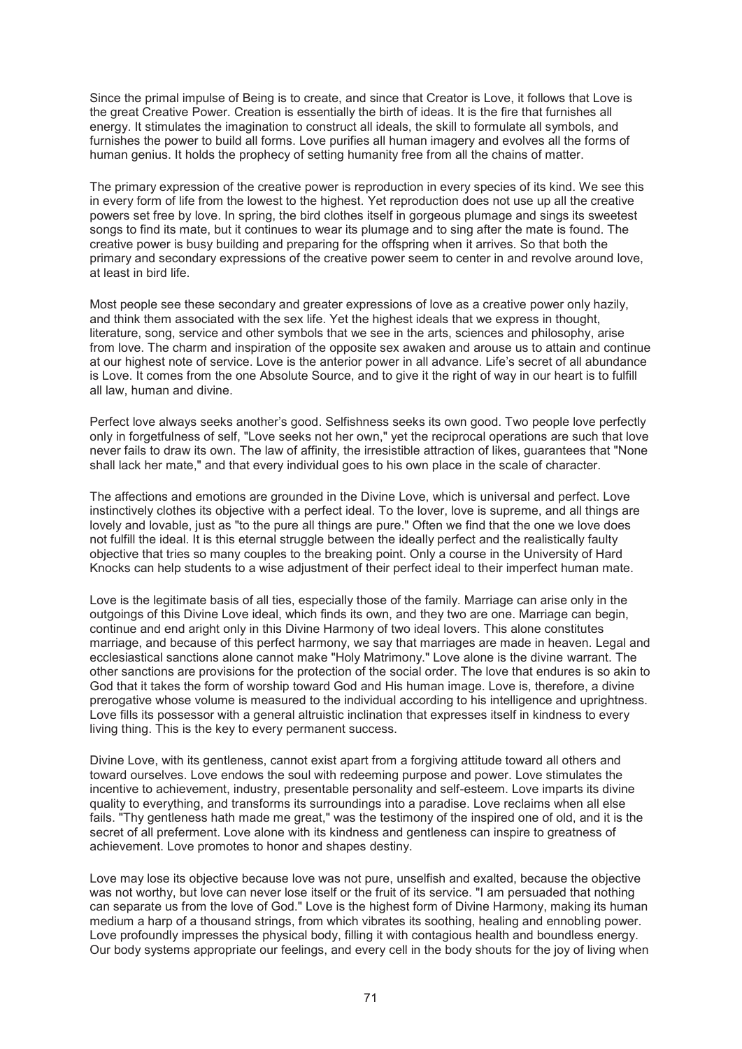Since the primal impulse of Being is to create, and since that Creator is Love, it follows that Love is the great Creative Power. Creation is essentially the birth of ideas. It is the fire that furnishes all energy. It stimulates the imagination to construct all ideals, the skill to formulate all symbols, and furnishes the power to build all forms. Love purifies all human imagery and evolves all the forms of human genius. It holds the prophecy of setting humanity free from all the chains of matter.

The primary expression of the creative power is reproduction in every species of its kind. We see this in every form of life from the lowest to the highest. Yet reproduction does not use up all the creative powers set free by love. In spring, the bird clothes itself in gorgeous plumage and sings its sweetest songs to find its mate, but it continues to wear its plumage and to sing after the mate is found. The creative power is busy building and preparing for the offspring when it arrives. So that both the primary and secondary expressions of the creative power seem to center in and revolve around love, at least in bird life.

Most people see these secondary and greater expressions of love as a creative power only hazily, and think them associated with the sex life. Yet the highest ideals that we express in thought, literature, song, service and other symbols that we see in the arts, sciences and philosophy, arise from love. The charm and inspiration of the opposite sex awaken and arouse us to attain and continue at our highest note of service. Love is the anterior power in all advance. Life's secret of all abundance is Love. It comes from the one Absolute Source, and to give it the right of way in our heart is to fulfill all law, human and divine.

Perfect love always seeks another's good. Selfishness seeks its own good. Two people love perfectly only in forgetfulness of self, "Love seeks not her own," yet the reciprocal operations are such that love never fails to draw its own. The law of affinity, the irresistible attraction of likes, guarantees that "None shall lack her mate," and that every individual goes to his own place in the scale of character.

The affections and emotions are grounded in the Divine Love, which is universal and perfect. Love instinctively clothes its objective with a perfect ideal. To the lover, love is supreme, and all things are lovely and lovable, just as "to the pure all things are pure." Often we find that the one we love does not fulfill the ideal. It is this eternal struggle between the ideally perfect and the realistically faulty objective that tries so many couples to the breaking point. Only a course in the University of Hard Knocks can help students to a wise adjustment of their perfect ideal to their imperfect human mate.

Love is the legitimate basis of all ties, especially those of the family. Marriage can arise only in the outgoings of this Divine Love ideal, which finds its own, and they two are one. Marriage can begin, continue and end aright only in this Divine Harmony of two ideal lovers. This alone constitutes marriage, and because of this perfect harmony, we say that marriages are made in heaven. Legal and ecclesiastical sanctions alone cannot make "Holy Matrimony." Love alone is the divine warrant. The other sanctions are provisions for the protection of the social order. The love that endures is so akin to God that it takes the form of worship toward God and His human image. Love is, therefore, a divine prerogative whose volume is measured to the individual according to his intelligence and uprightness. Love fills its possessor with a general altruistic inclination that expresses itself in kindness to every living thing. This is the key to every permanent success.

Divine Love, with its gentleness, cannot exist apart from a forgiving attitude toward all others and toward ourselves. Love endows the soul with redeeming purpose and power. Love stimulates the incentive to achievement, industry, presentable personality and self-esteem. Love imparts its divine quality to everything, and transforms its surroundings into a paradise. Love reclaims when all else fails. "Thy gentleness hath made me great," was the testimony of the inspired one of old, and it is the secret of all preferment. Love alone with its kindness and gentleness can inspire to greatness of achievement. Love promotes to honor and shapes destiny.

Love may lose its objective because love was not pure, unselfish and exalted, because the objective was not worthy, but love can never lose itself or the fruit of its service. "I am persuaded that nothing can separate us from the love of God." Love is the highest form of Divine Harmony, making its human medium a harp of a thousand strings, from which vibrates its soothing, healing and ennobling power. Love profoundly impresses the physical body, filling it with contagious health and boundless energy. Our body systems appropriate our feelings, and every cell in the body shouts for the joy of living when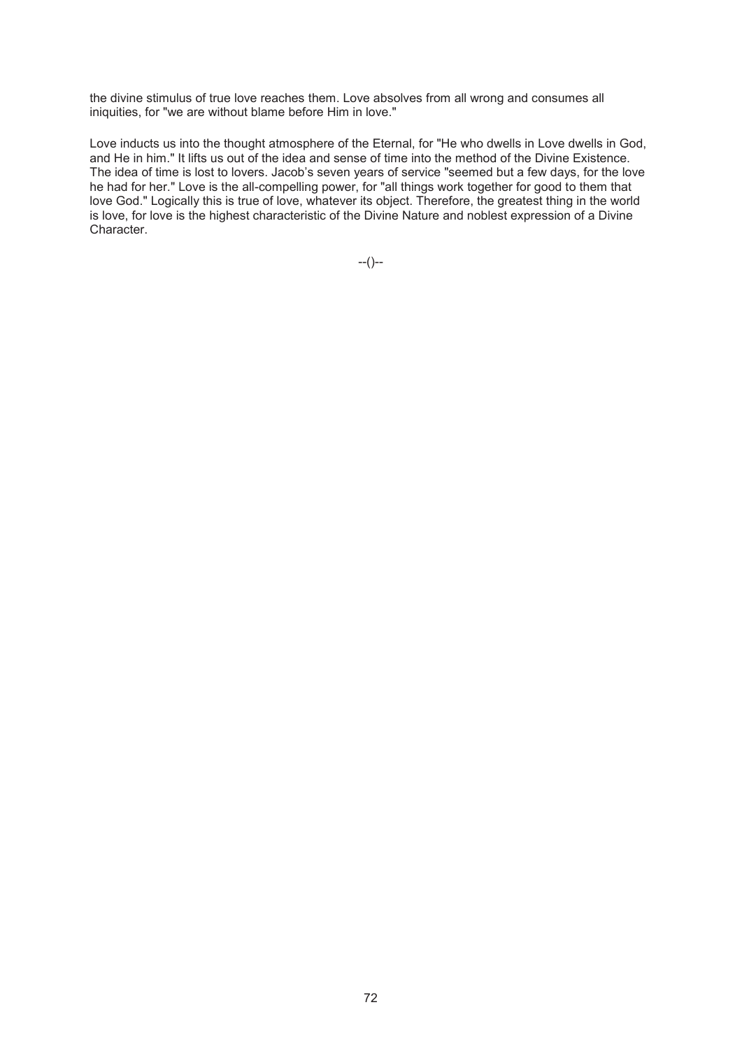the divine stimulus of true love reaches them. Love absolves from all wrong and consumes all iniquities, for "we are without blame before Him in love."

Love inducts us into the thought atmosphere of the Eternal, for "He who dwells in Love dwells in God, and He in him." It lifts us out of the idea and sense of time into the method of the Divine Existence. The idea of time is lost to lovers. Jacob's seven years of service "seemed but a few days, for the love he had for her." Love is the all-compelling power, for "all things work together for good to them that love God." Logically this is true of love, whatever its object. Therefore, the greatest thing in the world is love, for love is the highest characteristic of the Divine Nature and noblest expression of a Divine Character.

--()--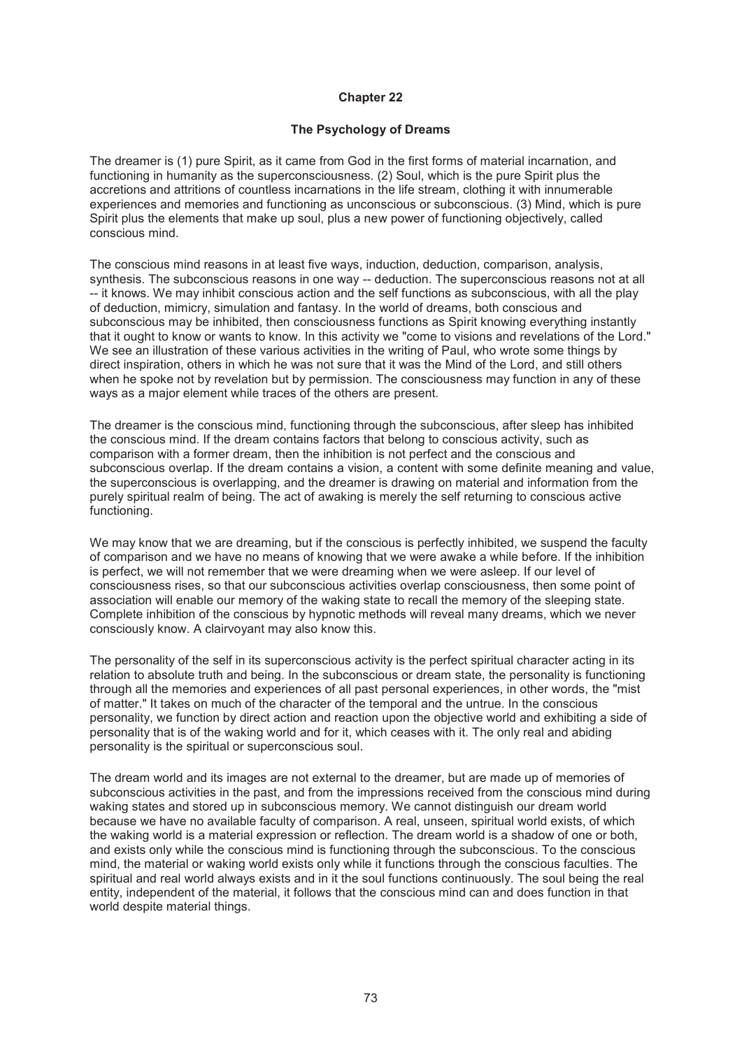# **Chapter 22**

# **The Psychology of Dreams**

The dreamer is (1) pure Spirit, as it came from God in the first forms of material incarnation, and functioning in humanity as the superconsciousness. (2) Soul, which is the pure Spirit plus the accretions and attritions of countless incarnations in the life stream, clothing it with innumerable experiences and memories and functioning as unconscious or subconscious. (3) Mind, which is pure Spirit plus the elements that make up soul, plus a new power of functioning objectively, called conscious mind.

The conscious mind reasons in at least five ways, induction, deduction, comparison, analysis, synthesis. The subconscious reasons in one way -- deduction. The superconscious reasons not at all -- it knows. We may inhibit conscious action and the self functions as subconscious, with all the play of deduction, mimicry, simulation and fantasy. In the world of dreams, both conscious and subconscious may be inhibited, then consciousness functions as Spirit knowing everything instantly that it ought to know or wants to know. In this activity we "come to visions and revelations of the Lord." We see an illustration of these various activities in the writing of Paul, who wrote some things by direct inspiration, others in which he was not sure that it was the Mind of the Lord, and still others when he spoke not by revelation but by permission. The consciousness may function in any of these ways as a major element while traces of the others are present.

The dreamer is the conscious mind, functioning through the subconscious, after sleep has inhibited the conscious mind. If the dream contains factors that belong to conscious activity, such as comparison with a former dream, then the inhibition is not perfect and the conscious and subconscious overlap. If the dream contains a vision, a content with some definite meaning and value, the superconscious is overlapping, and the dreamer is drawing on material and information from the purely spiritual realm of being. The act of awaking is merely the self returning to conscious active functioning.

We may know that we are dreaming, but if the conscious is perfectly inhibited, we suspend the faculty of comparison and we have no means of knowing that we were awake a while before. If the inhibition is perfect, we will not remember that we were dreaming when we were asleep. If our level of consciousness rises, so that our subconscious activities overlap consciousness, then some point of association will enable our memory of the waking state to recall the memory of the sleeping state. Complete inhibition of the conscious by hypnotic methods will reveal many dreams, which we never consciously know. A clairvoyant may also know this.

The personality of the self in its superconscious activity is the perfect spiritual character acting in its relation to absolute truth and being. In the subconscious or dream state, the personality is functioning through all the memories and experiences of all past personal experiences, in other words, the "mist of matter." It takes on much of the character of the temporal and the untrue. In the conscious personality, we function by direct action and reaction upon the objective world and exhibiting a side of personality that is of the waking world and for it, which ceases with it. The only real and abiding personality is the spiritual or superconscious soul.

The dream world and its images are not external to the dreamer, but are made up of memories of subconscious activities in the past, and from the impressions received from the conscious mind during waking states and stored up in subconscious memory. We cannot distinguish our dream world because we have no available faculty of comparison. A real, unseen, spiritual world exists, of which the waking world is a material expression or reflection. The dream world is a shadow of one or both, and exists only while the conscious mind is functioning through the subconscious. To the conscious mind, the material or waking world exists only while it functions through the conscious faculties. The spiritual and real world always exists and in it the soul functions continuously. The soul being the real entity, independent of the material, it follows that the conscious mind can and does function in that world despite material things.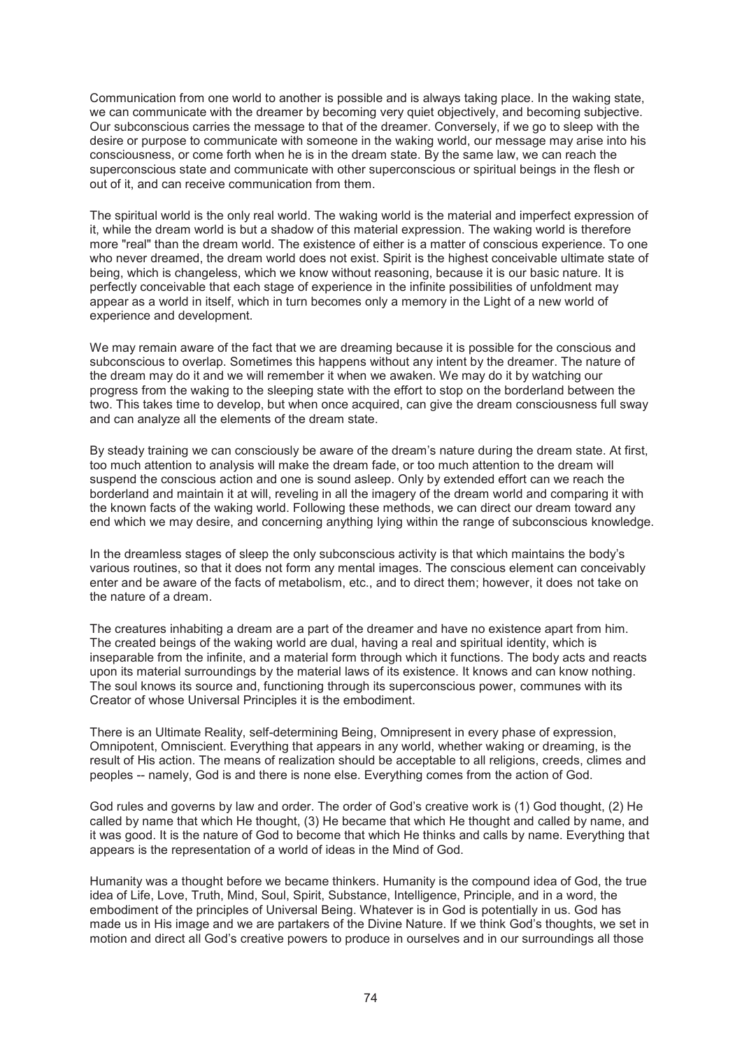Communication from one world to another is possible and is always taking place. In the waking state, we can communicate with the dreamer by becoming very quiet objectively, and becoming subjective. Our subconscious carries the message to that of the dreamer. Conversely, if we go to sleep with the desire or purpose to communicate with someone in the waking world, our message may arise into his consciousness, or come forth when he is in the dream state. By the same law, we can reach the superconscious state and communicate with other superconscious or spiritual beings in the flesh or out of it, and can receive communication from them.

The spiritual world is the only real world. The waking world is the material and imperfect expression of it, while the dream world is but a shadow of this material expression. The waking world is therefore more "real" than the dream world. The existence of either is a matter of conscious experience. To one who never dreamed, the dream world does not exist. Spirit is the highest conceivable ultimate state of being, which is changeless, which we know without reasoning, because it is our basic nature. It is perfectly conceivable that each stage of experience in the infinite possibilities of unfoldment may appear as a world in itself, which in turn becomes only a memory in the Light of a new world of experience and development.

We may remain aware of the fact that we are dreaming because it is possible for the conscious and subconscious to overlap. Sometimes this happens without any intent by the dreamer. The nature of the dream may do it and we will remember it when we awaken. We may do it by watching our progress from the waking to the sleeping state with the effort to stop on the borderland between the two. This takes time to develop, but when once acquired, can give the dream consciousness full sway and can analyze all the elements of the dream state.

By steady training we can consciously be aware of the dream's nature during the dream state. At first, too much attention to analysis will make the dream fade, or too much attention to the dream will suspend the conscious action and one is sound asleep. Only by extended effort can we reach the borderland and maintain it at will, reveling in all the imagery of the dream world and comparing it with the known facts of the waking world. Following these methods, we can direct our dream toward any end which we may desire, and concerning anything lying within the range of subconscious knowledge.

In the dreamless stages of sleep the only subconscious activity is that which maintains the body's various routines, so that it does not form any mental images. The conscious element can conceivably enter and be aware of the facts of metabolism, etc., and to direct them; however, it does not take on the nature of a dream.

The creatures inhabiting a dream are a part of the dreamer and have no existence apart from him. The created beings of the waking world are dual, having a real and spiritual identity, which is inseparable from the infinite, and a material form through which it functions. The body acts and reacts upon its material surroundings by the material laws of its existence. It knows and can know nothing. The soul knows its source and, functioning through its superconscious power, communes with its Creator of whose Universal Principles it is the embodiment.

There is an Ultimate Reality, self-determining Being, Omnipresent in every phase of expression, Omnipotent, Omniscient. Everything that appears in any world, whether waking or dreaming, is the result of His action. The means of realization should be acceptable to all religions, creeds, climes and peoples -- namely, God is and there is none else. Everything comes from the action of God.

God rules and governs by law and order. The order of God's creative work is (1) God thought, (2) He called by name that which He thought, (3) He became that which He thought and called by name, and it was good. It is the nature of God to become that which He thinks and calls by name. Everything that appears is the representation of a world of ideas in the Mind of God.

Humanity was a thought before we became thinkers. Humanity is the compound idea of God, the true idea of Life, Love, Truth, Mind, Soul, Spirit, Substance, Intelligence, Principle, and in a word, the embodiment of the principles of Universal Being. Whatever is in God is potentially in us. God has made us in His image and we are partakers of the Divine Nature. If we think God's thoughts, we set in motion and direct all God's creative powers to produce in ourselves and in our surroundings all those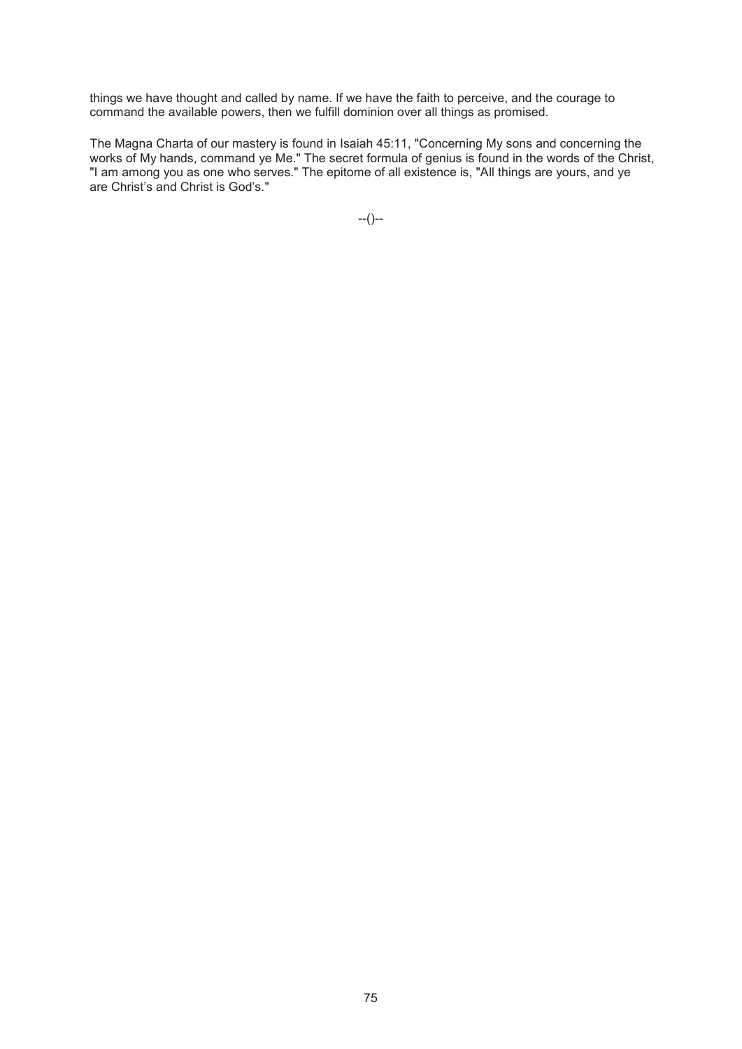things we have thought and called by name. If we have the faith to perceive, and the courage to command the available powers, then we fulfill dominion over all things as promised.

The Magna Charta of our mastery is found in Isaiah 45:11, "Concerning My sons and concerning the works of My hands, command ye Me." The secret formula of genius is found in the words of the Christ, "I am among you as one who serves." The epitome of all existence is, "All things are yours, and ye are Christ's and Christ is God's."

--()--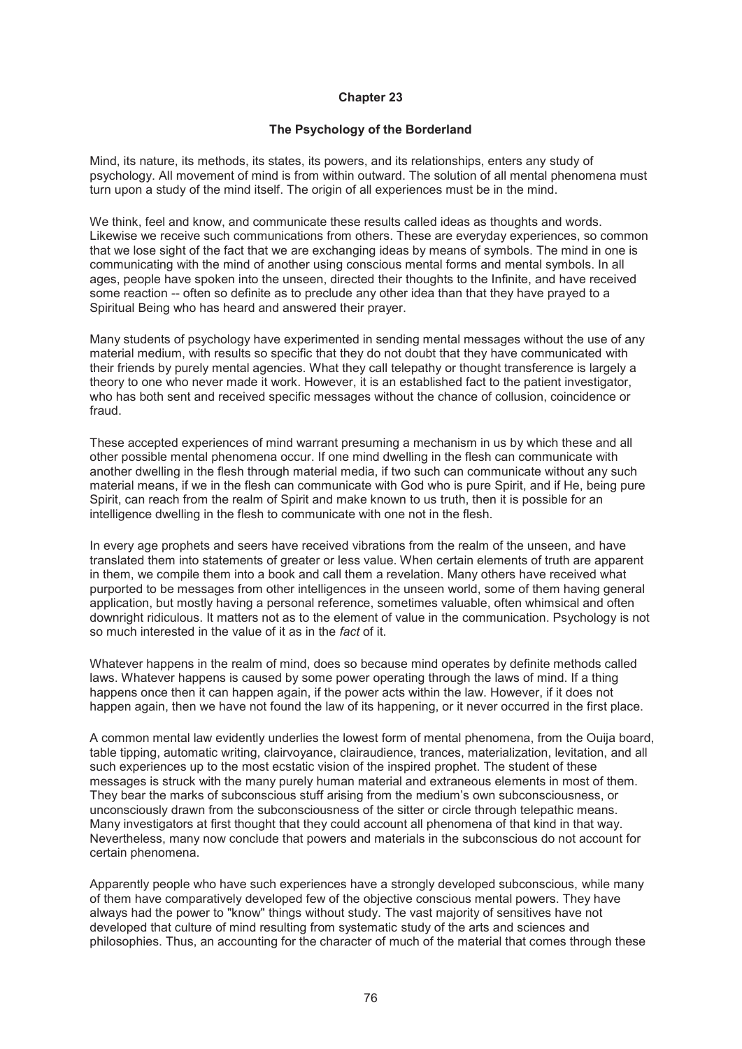# **Chapter 23**

# **The Psychology of the Borderland**

Mind, its nature, its methods, its states, its powers, and its relationships, enters any study of psychology. All movement of mind is from within outward. The solution of all mental phenomena must turn upon a study of the mind itself. The origin of all experiences must be in the mind.

We think, feel and know, and communicate these results called ideas as thoughts and words. Likewise we receive such communications from others. These are everyday experiences, so common that we lose sight of the fact that we are exchanging ideas by means of symbols. The mind in one is communicating with the mind of another using conscious mental forms and mental symbols. In all ages, people have spoken into the unseen, directed their thoughts to the Infinite, and have received some reaction -- often so definite as to preclude any other idea than that they have prayed to a Spiritual Being who has heard and answered their prayer.

Many students of psychology have experimented in sending mental messages without the use of any material medium, with results so specific that they do not doubt that they have communicated with their friends by purely mental agencies. What they call telepathy or thought transference is largely a theory to one who never made it work. However, it is an established fact to the patient investigator, who has both sent and received specific messages without the chance of collusion, coincidence or fraud.

These accepted experiences of mind warrant presuming a mechanism in us by which these and all other possible mental phenomena occur. If one mind dwelling in the flesh can communicate with another dwelling in the flesh through material media, if two such can communicate without any such material means, if we in the flesh can communicate with God who is pure Spirit, and if He, being pure Spirit, can reach from the realm of Spirit and make known to us truth, then it is possible for an intelligence dwelling in the flesh to communicate with one not in the flesh.

In every age prophets and seers have received vibrations from the realm of the unseen, and have translated them into statements of greater or less value. When certain elements of truth are apparent in them, we compile them into a book and call them a revelation. Many others have received what purported to be messages from other intelligences in the unseen world, some of them having general application, but mostly having a personal reference, sometimes valuable, often whimsical and often downright ridiculous. It matters not as to the element of value in the communication. Psychology is not so much interested in the value of it as in the *fact* of it.

Whatever happens in the realm of mind, does so because mind operates by definite methods called laws. Whatever happens is caused by some power operating through the laws of mind. If a thing happens once then it can happen again, if the power acts within the law. However, if it does not happen again, then we have not found the law of its happening, or it never occurred in the first place.

A common mental law evidently underlies the lowest form of mental phenomena, from the Ouija board, table tipping, automatic writing, clairvoyance, clairaudience, trances, materialization, levitation, and all such experiences up to the most ecstatic vision of the inspired prophet. The student of these messages is struck with the many purely human material and extraneous elements in most of them. They bear the marks of subconscious stuff arising from the medium's own subconsciousness, or unconsciously drawn from the subconsciousness of the sitter or circle through telepathic means. Many investigators at first thought that they could account all phenomena of that kind in that way. Nevertheless, many now conclude that powers and materials in the subconscious do not account for certain phenomena.

Apparently people who have such experiences have a strongly developed subconscious, while many of them have comparatively developed few of the objective conscious mental powers. They have always had the power to "know" things without study. The vast majority of sensitives have not developed that culture of mind resulting from systematic study of the arts and sciences and philosophies. Thus, an accounting for the character of much of the material that comes through these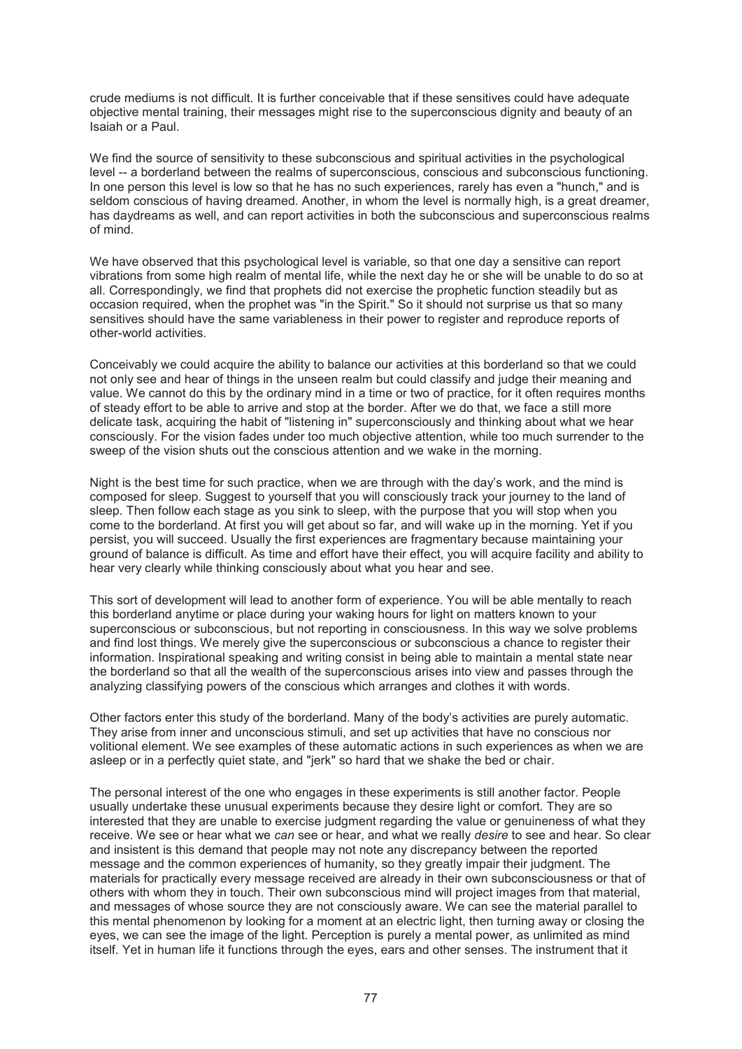crude mediums is not difficult. It is further conceivable that if these sensitives could have adequate objective mental training, their messages might rise to the superconscious dignity and beauty of an Isaiah or a Paul.

We find the source of sensitivity to these subconscious and spiritual activities in the psychological level -- a borderland between the realms of superconscious, conscious and subconscious functioning. In one person this level is low so that he has no such experiences, rarely has even a "hunch," and is seldom conscious of having dreamed. Another, in whom the level is normally high, is a great dreamer, has daydreams as well, and can report activities in both the subconscious and superconscious realms of mind.

We have observed that this psychological level is variable, so that one day a sensitive can report vibrations from some high realm of mental life, while the next day he or she will be unable to do so at all. Correspondingly, we find that prophets did not exercise the prophetic function steadily but as occasion required, when the prophet was "in the Spirit." So it should not surprise us that so many sensitives should have the same variableness in their power to register and reproduce reports of other-world activities.

Conceivably we could acquire the ability to balance our activities at this borderland so that we could not only see and hear of things in the unseen realm but could classify and judge their meaning and value. We cannot do this by the ordinary mind in a time or two of practice, for it often requires months of steady effort to be able to arrive and stop at the border. After we do that, we face a still more delicate task, acquiring the habit of "listening in" superconsciously and thinking about what we hear consciously. For the vision fades under too much objective attention, while too much surrender to the sweep of the vision shuts out the conscious attention and we wake in the morning.

Night is the best time for such practice, when we are through with the day's work, and the mind is composed for sleep. Suggest to yourself that you will consciously track your journey to the land of sleep. Then follow each stage as you sink to sleep, with the purpose that you will stop when you come to the borderland. At first you will get about so far, and will wake up in the morning. Yet if you persist, you will succeed. Usually the first experiences are fragmentary because maintaining your ground of balance is difficult. As time and effort have their effect, you will acquire facility and ability to hear very clearly while thinking consciously about what you hear and see.

This sort of development will lead to another form of experience. You will be able mentally to reach this borderland anytime or place during your waking hours for light on matters known to your superconscious or subconscious, but not reporting in consciousness. In this way we solve problems and find lost things. We merely give the superconscious or subconscious a chance to register their information. Inspirational speaking and writing consist in being able to maintain a mental state near the borderland so that all the wealth of the superconscious arises into view and passes through the analyzing classifying powers of the conscious which arranges and clothes it with words.

Other factors enter this study of the borderland. Many of the body's activities are purely automatic. They arise from inner and unconscious stimuli, and set up activities that have no conscious nor volitional element. We see examples of these automatic actions in such experiences as when we are asleep or in a perfectly quiet state, and "jerk" so hard that we shake the bed or chair.

The personal interest of the one who engages in these experiments is still another factor. People usually undertake these unusual experiments because they desire light or comfort. They are so interested that they are unable to exercise judgment regarding the value or genuineness of what they receive. We see or hear what we *can* see or hear, and what we really *desire* to see and hear. So clear and insistent is this demand that people may not note any discrepancy between the reported message and the common experiences of humanity, so they greatly impair their judgment. The materials for practically every message received are already in their own subconsciousness or that of others with whom they in touch. Their own subconscious mind will project images from that material, and messages of whose source they are not consciously aware. We can see the material parallel to this mental phenomenon by looking for a moment at an electric light, then turning away or closing the eyes, we can see the image of the light. Perception is purely a mental power, as unlimited as mind itself. Yet in human life it functions through the eyes, ears and other senses. The instrument that it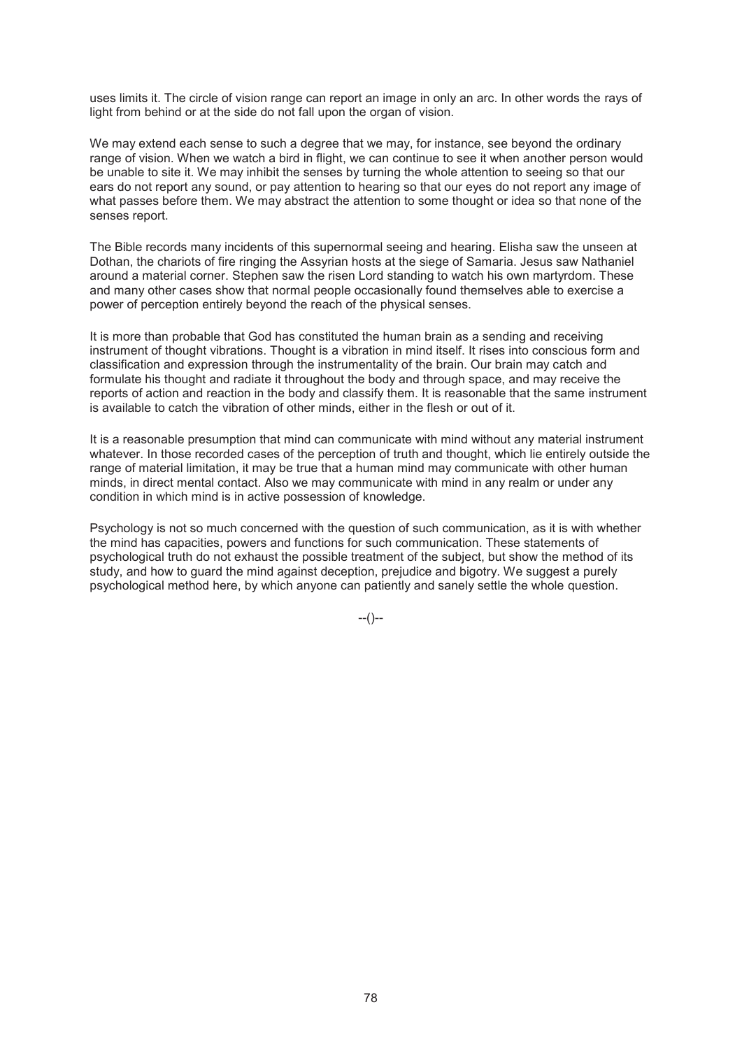uses limits it. The circle of vision range can report an image in only an arc. In other words the rays of light from behind or at the side do not fall upon the organ of vision.

We may extend each sense to such a degree that we may, for instance, see beyond the ordinary range of vision. When we watch a bird in flight, we can continue to see it when another person would be unable to site it. We may inhibit the senses by turning the whole attention to seeing so that our ears do not report any sound, or pay attention to hearing so that our eyes do not report any image of what passes before them. We may abstract the attention to some thought or idea so that none of the senses report.

The Bible records many incidents of this supernormal seeing and hearing. Elisha saw the unseen at Dothan, the chariots of fire ringing the Assyrian hosts at the siege of Samaria. Jesus saw Nathaniel around a material corner. Stephen saw the risen Lord standing to watch his own martyrdom. These and many other cases show that normal people occasionally found themselves able to exercise a power of perception entirely beyond the reach of the physical senses.

It is more than probable that God has constituted the human brain as a sending and receiving instrument of thought vibrations. Thought is a vibration in mind itself. It rises into conscious form and classification and expression through the instrumentality of the brain. Our brain may catch and formulate his thought and radiate it throughout the body and through space, and may receive the reports of action and reaction in the body and classify them. It is reasonable that the same instrument is available to catch the vibration of other minds, either in the flesh or out of it.

It is a reasonable presumption that mind can communicate with mind without any material instrument whatever. In those recorded cases of the perception of truth and thought, which lie entirely outside the range of material limitation, it may be true that a human mind may communicate with other human minds, in direct mental contact. Also we may communicate with mind in any realm or under any condition in which mind is in active possession of knowledge.

Psychology is not so much concerned with the question of such communication, as it is with whether the mind has capacities, powers and functions for such communication. These statements of psychological truth do not exhaust the possible treatment of the subject, but show the method of its study, and how to guard the mind against deception, prejudice and bigotry. We suggest a purely psychological method here, by which anyone can patiently and sanely settle the whole question.

 $-(-)$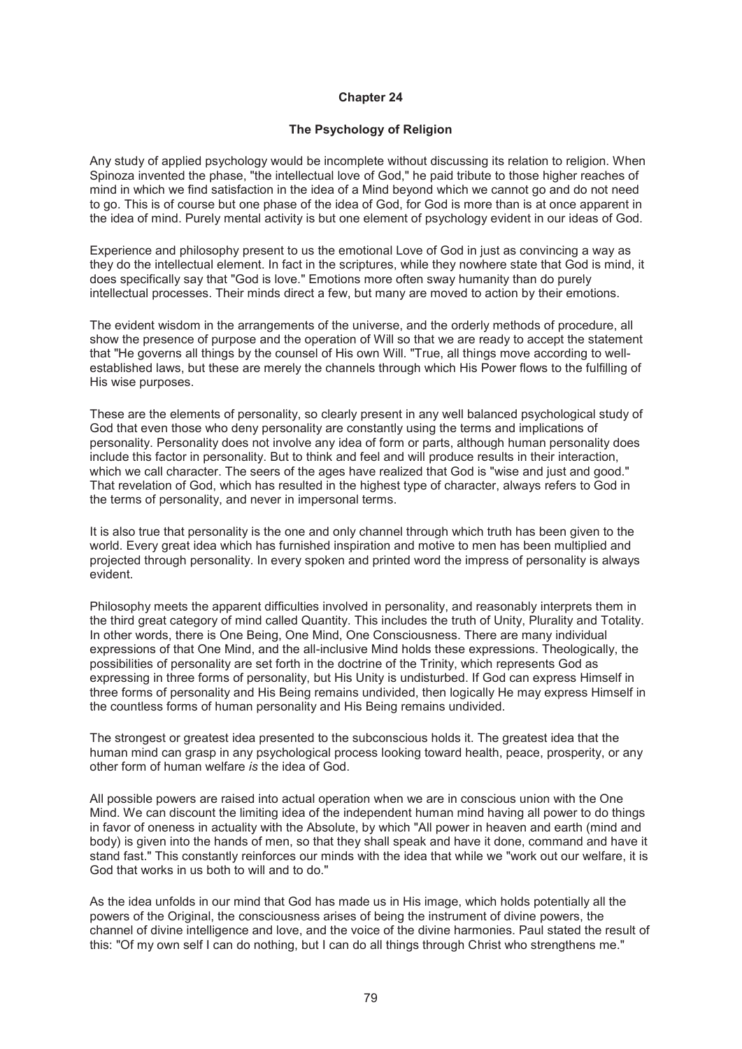### **Chapter 24**

# **The Psychology of Religion**

Any study of applied psychology would be incomplete without discussing its relation to religion. When Spinoza invented the phase, "the intellectual love of God," he paid tribute to those higher reaches of mind in which we find satisfaction in the idea of a Mind beyond which we cannot go and do not need to go. This is of course but one phase of the idea of God, for God is more than is at once apparent in the idea of mind. Purely mental activity is but one element of psychology evident in our ideas of God.

Experience and philosophy present to us the emotional Love of God in just as convincing a way as they do the intellectual element. In fact in the scriptures, while they nowhere state that God is mind, it does specifically say that "God is love." Emotions more often sway humanity than do purely intellectual processes. Their minds direct a few, but many are moved to action by their emotions.

The evident wisdom in the arrangements of the universe, and the orderly methods of procedure, all show the presence of purpose and the operation of Will so that we are ready to accept the statement that "He governs all things by the counsel of His own Will. "True, all things move according to wellestablished laws, but these are merely the channels through which His Power flows to the fulfilling of His wise purposes.

These are the elements of personality, so clearly present in any well balanced psychological study of God that even those who deny personality are constantly using the terms and implications of personality. Personality does not involve any idea of form or parts, although human personality does include this factor in personality. But to think and feel and will produce results in their interaction, which we call character. The seers of the ages have realized that God is "wise and just and good." That revelation of God, which has resulted in the highest type of character, always refers to God in the terms of personality, and never in impersonal terms.

It is also true that personality is the one and only channel through which truth has been given to the world. Every great idea which has furnished inspiration and motive to men has been multiplied and projected through personality. In every spoken and printed word the impress of personality is always evident.

Philosophy meets the apparent difficulties involved in personality, and reasonably interprets them in the third great category of mind called Quantity. This includes the truth of Unity, Plurality and Totality. In other words, there is One Being, One Mind, One Consciousness. There are many individual expressions of that One Mind, and the all-inclusive Mind holds these expressions. Theologically, the possibilities of personality are set forth in the doctrine of the Trinity, which represents God as expressing in three forms of personality, but His Unity is undisturbed. If God can express Himself in three forms of personality and His Being remains undivided, then logically He may express Himself in the countless forms of human personality and His Being remains undivided.

The strongest or greatest idea presented to the subconscious holds it. The greatest idea that the human mind can grasp in any psychological process looking toward health, peace, prosperity, or any other form of human welfare *is* the idea of God.

All possible powers are raised into actual operation when we are in conscious union with the One Mind. We can discount the limiting idea of the independent human mind having all power to do things in favor of oneness in actuality with the Absolute, by which "All power in heaven and earth (mind and body) is given into the hands of men, so that they shall speak and have it done, command and have it stand fast." This constantly reinforces our minds with the idea that while we "work out our welfare, it is God that works in us both to will and to do."

As the idea unfolds in our mind that God has made us in His image, which holds potentially all the powers of the Original, the consciousness arises of being the instrument of divine powers, the channel of divine intelligence and love, and the voice of the divine harmonies. Paul stated the result of this: "Of my own self I can do nothing, but I can do all things through Christ who strengthens me."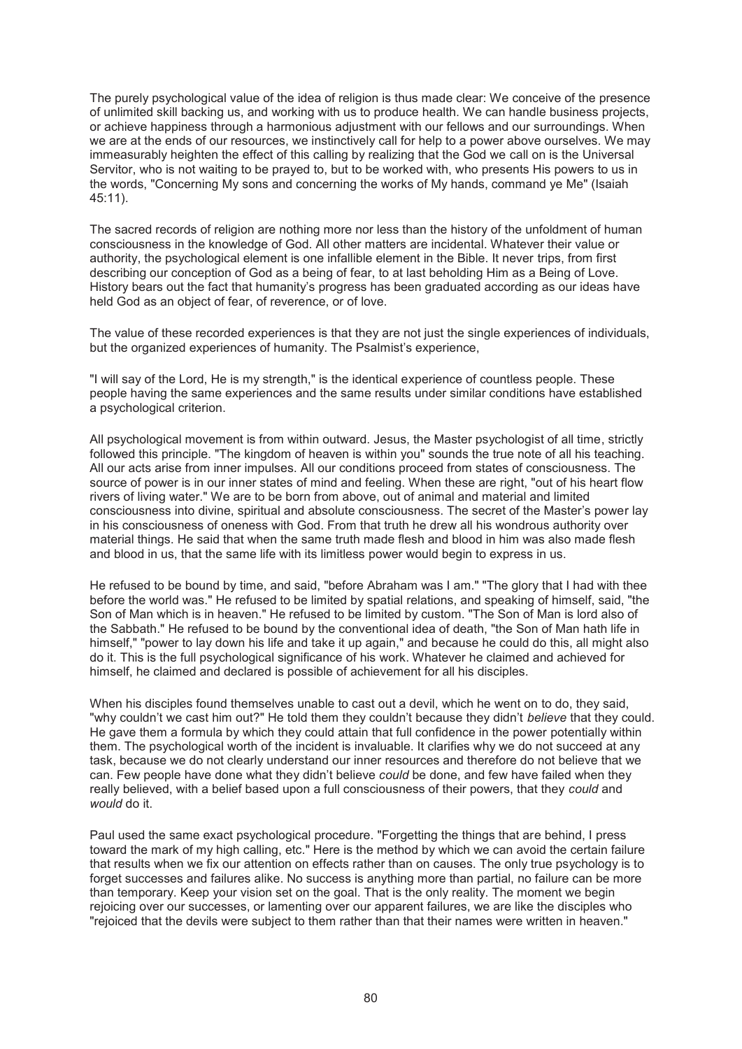The purely psychological value of the idea of religion is thus made clear: We conceive of the presence of unlimited skill backing us, and working with us to produce health. We can handle business projects, or achieve happiness through a harmonious adjustment with our fellows and our surroundings. When we are at the ends of our resources, we instinctively call for help to a power above ourselves. We may immeasurably heighten the effect of this calling by realizing that the God we call on is the Universal Servitor, who is not waiting to be prayed to, but to be worked with, who presents His powers to us in the words, "Concerning My sons and concerning the works of My hands, command ye Me" (Isaiah 45:11).

The sacred records of religion are nothing more nor less than the history of the unfoldment of human consciousness in the knowledge of God. All other matters are incidental. Whatever their value or authority, the psychological element is one infallible element in the Bible. It never trips, from first describing our conception of God as a being of fear, to at last beholding Him as a Being of Love. History bears out the fact that humanity's progress has been graduated according as our ideas have held God as an object of fear, of reverence, or of love.

The value of these recorded experiences is that they are not just the single experiences of individuals, but the organized experiences of humanity. The Psalmist's experience,

"I will say of the Lord, He is my strength," is the identical experience of countless people. These people having the same experiences and the same results under similar conditions have established a psychological criterion.

All psychological movement is from within outward. Jesus, the Master psychologist of all time, strictly followed this principle. "The kingdom of heaven is within you" sounds the true note of all his teaching. All our acts arise from inner impulses. All our conditions proceed from states of consciousness. The source of power is in our inner states of mind and feeling. When these are right, "out of his heart flow rivers of living water." We are to be born from above, out of animal and material and limited consciousness into divine, spiritual and absolute consciousness. The secret of the Master's power lay in his consciousness of oneness with God. From that truth he drew all his wondrous authority over material things. He said that when the same truth made flesh and blood in him was also made flesh and blood in us, that the same life with its limitless power would begin to express in us.

He refused to be bound by time, and said, "before Abraham was I am." "The glory that I had with thee before the world was." He refused to be limited by spatial relations, and speaking of himself, said, "the Son of Man which is in heaven." He refused to be limited by custom. "The Son of Man is lord also of the Sabbath." He refused to be bound by the conventional idea of death, "the Son of Man hath life in himself," "power to lay down his life and take it up again," and because he could do this, all might also do it. This is the full psychological significance of his work. Whatever he claimed and achieved for himself, he claimed and declared is possible of achievement for all his disciples.

When his disciples found themselves unable to cast out a devil, which he went on to do, they said, "why couldn't we cast him out?" He told them they couldn't because they didn't *believe* that they could. He gave them a formula by which they could attain that full confidence in the power potentially within them. The psychological worth of the incident is invaluable. It clarifies why we do not succeed at any task, because we do not clearly understand our inner resources and therefore do not believe that we can. Few people have done what they didn't believe *could* be done, and few have failed when they really believed, with a belief based upon a full consciousness of their powers, that they *could* and *would* do it.

Paul used the same exact psychological procedure. "Forgetting the things that are behind, I press toward the mark of my high calling, etc." Here is the method by which we can avoid the certain failure that results when we fix our attention on effects rather than on causes. The only true psychology is to forget successes and failures alike. No success is anything more than partial, no failure can be more than temporary. Keep your vision set on the goal. That is the only reality. The moment we begin rejoicing over our successes, or lamenting over our apparent failures, we are like the disciples who "rejoiced that the devils were subject to them rather than that their names were written in heaven."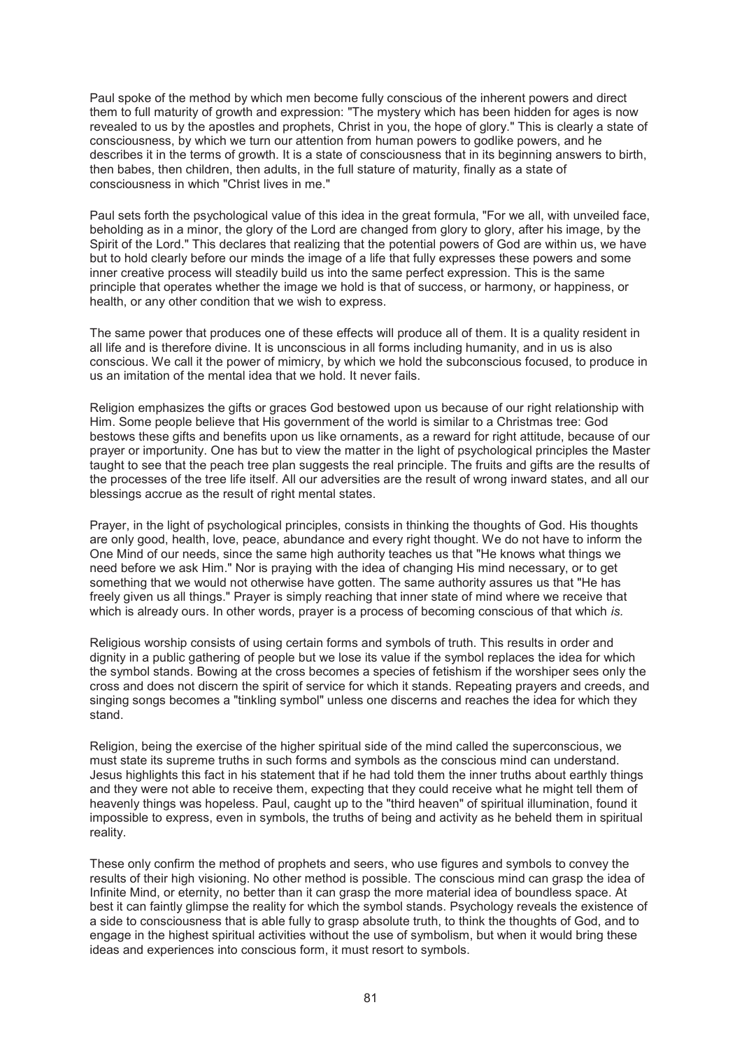Paul spoke of the method by which men become fully conscious of the inherent powers and direct them to full maturity of growth and expression: "The mystery which has been hidden for ages is now revealed to us by the apostles and prophets, Christ in you, the hope of glory." This is clearly a state of consciousness, by which we turn our attention from human powers to godlike powers, and he describes it in the terms of growth. It is a state of consciousness that in its beginning answers to birth, then babes, then children, then adults, in the full stature of maturity, finally as a state of consciousness in which "Christ lives in me."

Paul sets forth the psychological value of this idea in the great formula, "For we all, with unveiled face, beholding as in a minor, the glory of the Lord are changed from glory to glory, after his image, by the Spirit of the Lord." This declares that realizing that the potential powers of God are within us, we have but to hold clearly before our minds the image of a life that fully expresses these powers and some inner creative process will steadily build us into the same perfect expression. This is the same principle that operates whether the image we hold is that of success, or harmony, or happiness, or health, or any other condition that we wish to express.

The same power that produces one of these effects will produce all of them. It is a quality resident in all life and is therefore divine. It is unconscious in all forms including humanity, and in us is also conscious. We call it the power of mimicry, by which we hold the subconscious focused, to produce in us an imitation of the mental idea that we hold. It never fails.

Religion emphasizes the gifts or graces God bestowed upon us because of our right relationship with Him. Some people believe that His government of the world is similar to a Christmas tree: God bestows these gifts and benefits upon us like ornaments, as a reward for right attitude, because of our prayer or importunity. One has but to view the matter in the light of psychological principles the Master taught to see that the peach tree plan suggests the real principle. The fruits and gifts are the results of the processes of the tree life itself. All our adversities are the result of wrong inward states, and all our blessings accrue as the result of right mental states.

Prayer, in the light of psychological principles, consists in thinking the thoughts of God. His thoughts are only good, health, love, peace, abundance and every right thought. We do not have to inform the One Mind of our needs, since the same high authority teaches us that "He knows what things we need before we ask Him." Nor is praying with the idea of changing His mind necessary, or to get something that we would not otherwise have gotten. The same authority assures us that "He has freely given us all things." Prayer is simply reaching that inner state of mind where we receive that which is already ours. In other words, prayer is a process of becoming conscious of that which *is.* 

Religious worship consists of using certain forms and symbols of truth. This results in order and dignity in a public gathering of people but we lose its value if the symbol replaces the idea for which the symbol stands. Bowing at the cross becomes a species of fetishism if the worshiper sees only the cross and does not discern the spirit of service for which it stands. Repeating prayers and creeds, and singing songs becomes a "tinkling symbol" unless one discerns and reaches the idea for which they stand.

Religion, being the exercise of the higher spiritual side of the mind called the superconscious, we must state its supreme truths in such forms and symbols as the conscious mind can understand. Jesus highlights this fact in his statement that if he had told them the inner truths about earthly things and they were not able to receive them, expecting that they could receive what he might tell them of heavenly things was hopeless. Paul, caught up to the "third heaven" of spiritual illumination, found it impossible to express, even in symbols, the truths of being and activity as he beheld them in spiritual reality.

These only confirm the method of prophets and seers, who use figures and symbols to convey the results of their high visioning. No other method is possible. The conscious mind can grasp the idea of Infinite Mind, or eternity, no better than it can grasp the more material idea of boundless space. At best it can faintly glimpse the reality for which the symbol stands. Psychology reveals the existence of a side to consciousness that is able fully to grasp absolute truth, to think the thoughts of God, and to engage in the highest spiritual activities without the use of symbolism, but when it would bring these ideas and experiences into conscious form, it must resort to symbols.